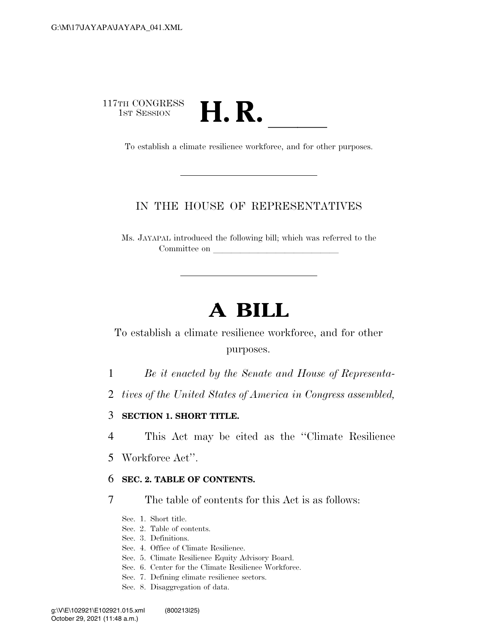# 117TH CONGRESS TH CONGRESS<br>1st SESSION **H. R.** <u>Indice workforce</u>, and for other purposes.

# IN THE HOUSE OF REPRESENTATIVES

Ms. JAYAPAL introduced the following bill; which was referred to the Committee on

# **A BILL**

To establish a climate resilience workforce, and for other purposes.

1 *Be it enacted by the Senate and House of Representa-*

2 *tives of the United States of America in Congress assembled,* 

3 **SECTION 1. SHORT TITLE.** 

4 This Act may be cited as the ''Climate Resilience

5 Workforce Act''.

### 6 **SEC. 2. TABLE OF CONTENTS.**

7 The table of contents for this Act is as follows:

Sec. 1. Short title.

- Sec. 2. Table of contents.
- Sec. 3. Definitions.
- Sec. 4. Office of Climate Resilience.
- Sec. 5. Climate Resilience Equity Advisory Board.
- Sec. 6. Center for the Climate Resilience Workforce.
- Sec. 7. Defining climate resilience sectors.
- Sec. 8. Disaggregation of data.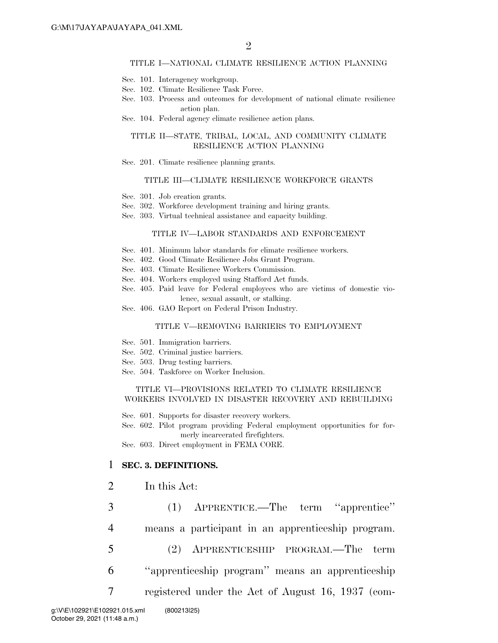#### TITLE I—NATIONAL CLIMATE RESILIENCE ACTION PLANNING

- Sec. 101. Interagency workgroup.
- Sec. 102. Climate Resilience Task Force.
- Sec. 103. Process and outcomes for development of national climate resilience action plan.
- Sec. 104. Federal agency climate resilience action plans.

#### TITLE II—STATE, TRIBAL, LOCAL, AND COMMUNITY CLIMATE RESILIENCE ACTION PLANNING

Sec. 201. Climate resilience planning grants.

#### TITLE III—CLIMATE RESILIENCE WORKFORCE GRANTS

- Sec. 301. Job creation grants.
- Sec. 302. Workforce development training and hiring grants.
- Sec. 303. Virtual technical assistance and capacity building.

#### TITLE IV—LABOR STANDARDS AND ENFORCEMENT

- Sec. 401. Minimum labor standards for climate resilience workers.
- Sec. 402. Good Climate Resilience Jobs Grant Program.
- Sec. 403. Climate Resilience Workers Commission.
- Sec. 404. Workers employed using Stafford Act funds.
- Sec. 405. Paid leave for Federal employees who are victims of domestic violence, sexual assault, or stalking.
- Sec. 406. GAO Report on Federal Prison Industry.

#### TITLE V—REMOVING BARRIERS TO EMPLOYMENT

- Sec. 501. Immigration barriers.
- Sec. 502. Criminal justice barriers.
- Sec. 503. Drug testing barriers.
- Sec. 504. Taskforce on Worker Inclusion.

#### TITLE VI—PROVISIONS RELATED TO CLIMATE RESILIENCE WORKERS INVOLVED IN DISASTER RECOVERY AND REBUILDING

Sec. 601. Supports for disaster recovery workers.

Sec. 602. Pilot program providing Federal employment opportunities for formerly incarcerated firefighters.

Sec. 603. Direct employment in FEMA CORE.

#### 1 **SEC. 3. DEFINITIONS.**

- 2 In this Act:
- 3 (1) APPRENTICE.—The term ''apprentice'' 4 means a participant in an apprenticeship program. 5 (2) APPRENTICESHIP PROGRAM.—The term 6 ''apprenticeship program'' means an apprenticeship 7 registered under the Act of August 16, 1937 (com-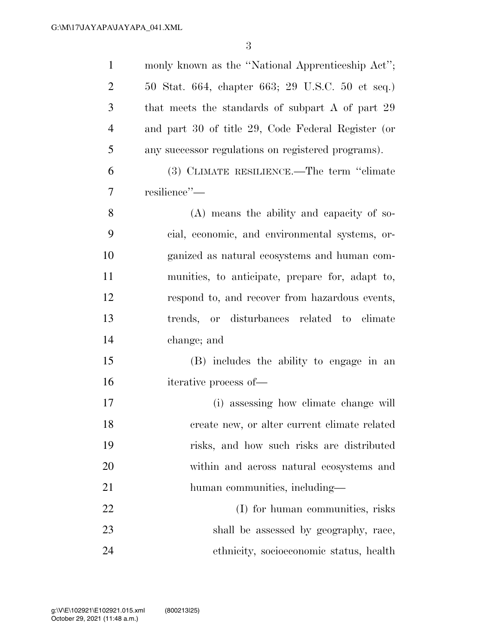| $\mathbf{1}$   | monly known as the "National Apprenticeship Act";  |
|----------------|----------------------------------------------------|
| $\overline{2}$ | 50 Stat. 664, chapter 663; 29 U.S.C. 50 et seq.)   |
| 3              | that meets the standards of subpart A of part 29   |
| $\overline{4}$ | and part 30 of title 29, Code Federal Register (or |
| 5              | any successor regulations on registered programs). |
| 6              | (3) CLIMATE RESILIENCE.—The term "climate          |
| 7              | resilience"-                                       |
| 8              | (A) means the ability and capacity of so-          |
| 9              | cial, economic, and environmental systems, or-     |
| 10             | ganized as natural ecosystems and human com-       |
| 11             | munities, to anticipate, prepare for, adapt to,    |
| 12             | respond to, and recover from hazardous events,     |
| 13             | trends, or disturbances related to climate         |
| 14             | change; and                                        |
| 15             | (B) includes the ability to engage in an           |
| 16             | iterative process of-                              |
| 17             | (i) assessing how climate change will              |
| 18             | create new, or alter current climate related       |
| 19             | risks, and how such risks are distributed          |
| 20             | within and across natural ecosystems and           |
| 21             | human communities, including—                      |
| 22             | (I) for human communities, risks                   |
| 23             | shall be assessed by geography, race,              |
| 24             | ethnicity, socioeconomic status, health            |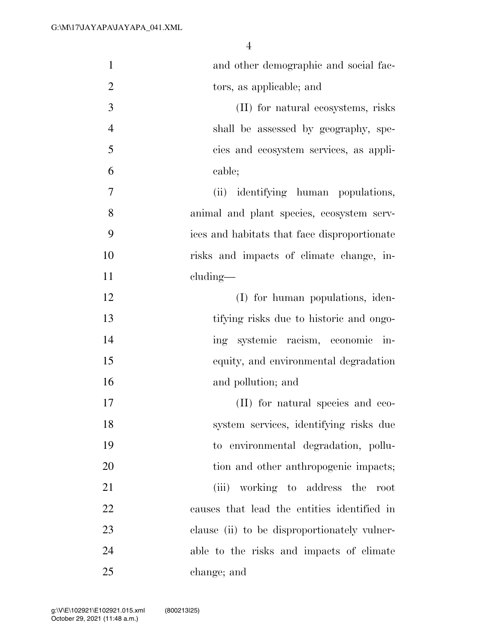| $\mathbf{1}$   | and other demographic and social fac-            |
|----------------|--------------------------------------------------|
| $\overline{2}$ | tors, as applicable; and                         |
| 3              | (II) for natural ecosystems, risks               |
| $\overline{4}$ | shall be assessed by geography, spe-             |
| 5              | cies and ecosystem services, as appli-           |
| 6              | cable;                                           |
| 7              | (ii) identifying human populations,              |
| 8              | animal and plant species, ecosystem serv-        |
| 9              | ices and habitats that face disproportionate     |
| 10             | risks and impacts of climate change, in-         |
| 11             | cluding—                                         |
| 12             | (I) for human populations, iden-                 |
| 13             | tifying risks due to historic and ongo-          |
| 14             | systemic racism, economic in-<br>ing             |
| 15             | equity, and environmental degradation            |
| 16             | and pollution; and                               |
| 17             | (II) for natural species and eco-                |
| 18             | system services, identifying risks due           |
| 19             | to environmental degradation, pollu-             |
| 20             | tion and other anthropogenic impacts;            |
| 21             | working to address the<br>(iii)<br>$_{\rm root}$ |
| 22             | causes that lead the entities identified in      |
| 23             | clause (ii) to be disproportionately vulner-     |
| 24             | able to the risks and impacts of climate         |
| 25             | change; and                                      |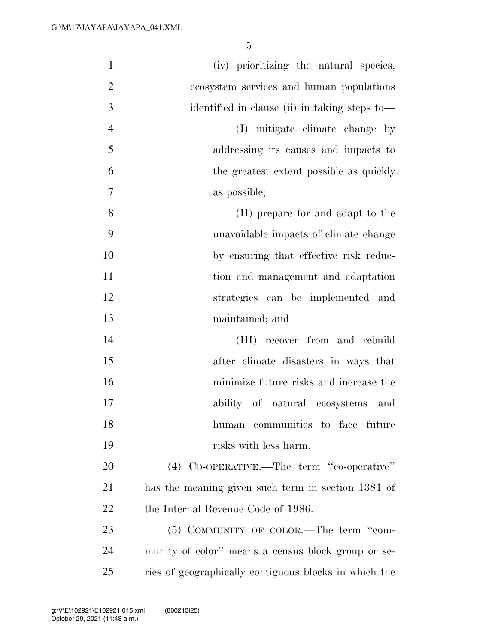| $\mathbf{1}$   | (iv) prioritizing the natural species,                |
|----------------|-------------------------------------------------------|
| $\overline{2}$ | ecosystem services and human populations              |
| 3              | identified in clause (ii) in taking steps to-         |
| $\overline{4}$ | (I) mitigate climate change by                        |
| 5              | addressing its causes and impacts to                  |
| 6              | the greatest extent possible as quickly               |
| 7              | as possible;                                          |
| 8              | (II) prepare for and adapt to the                     |
| 9              | unavoidable impacts of climate change                 |
| 10             | by ensuring that effective risk reduc-                |
| 11             | tion and management and adaptation                    |
| 12             | strategies can be implemented and                     |
| 13             | maintained; and                                       |
| 14             | (III) recover from and rebuild                        |
| 15             | after climate disasters in ways that                  |
| 16             | minimize future risks and increase the                |
| 17             | ability of natural ecosystems and                     |
| 18             | human communities to face future                      |
| 19             | risks with less harm.                                 |
| 20             | (4) CO-OPERATIVE.—The term "co-operative"             |
| 21             | has the meaning given such term in section 1381 of    |
| 22             | the Internal Revenue Code of 1986.                    |
| 23             | $(5)$ COMMUNITY OF COLOR.—The term "com-              |
| 24             | munity of color" means a census block group or se-    |
| 25             | ries of geographically contiguous blocks in which the |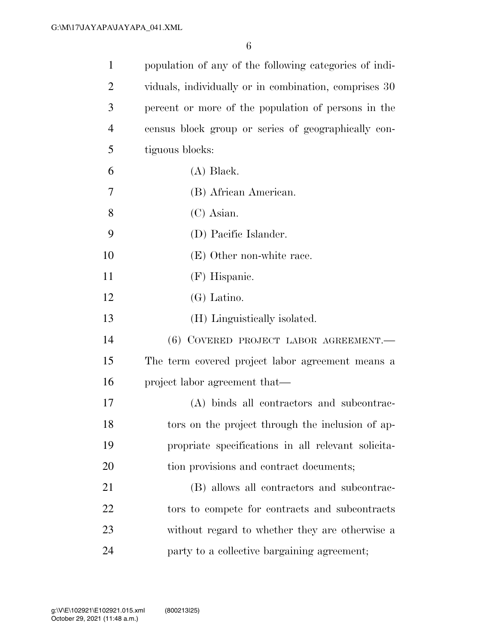| $\mathbf{1}$   | population of any of the following categories of indi- |
|----------------|--------------------------------------------------------|
| $\overline{2}$ | viduals, individually or in combination, comprises 30  |
| 3              | percent or more of the population of persons in the    |
| $\overline{4}$ | census block group or series of geographically con-    |
| 5              | tiguous blocks:                                        |
| 6              | $(A)$ Black.                                           |
| 7              | (B) African American.                                  |
| 8              | $(C)$ Asian.                                           |
| 9              | (D) Pacific Islander.                                  |
| 10             | (E) Other non-white race.                              |
| 11             | (F) Hispanic.                                          |
| 12             | $(G)$ Latino.                                          |
| 13             | (H) Linguistically isolated.                           |
| 14             | (6) COVERED PROJECT LABOR AGREEMENT.                   |
| 15             | The term covered project labor agreement means a       |
| 16             | project labor agreement that—                          |
| 17             | (A) binds all contractors and subcontrac-              |
| 18             | tors on the project through the inclusion of ap-       |
| 19             | propriate specifications in all relevant solicita-     |
| 20             | tion provisions and contract documents;                |
| 21             | (B) allows all contractors and subcontrac-             |
| 22             | tors to compete for contracts and subcontracts         |
| 23             | without regard to whether they are otherwise a         |
| 24             | party to a collective bargaining agreement;            |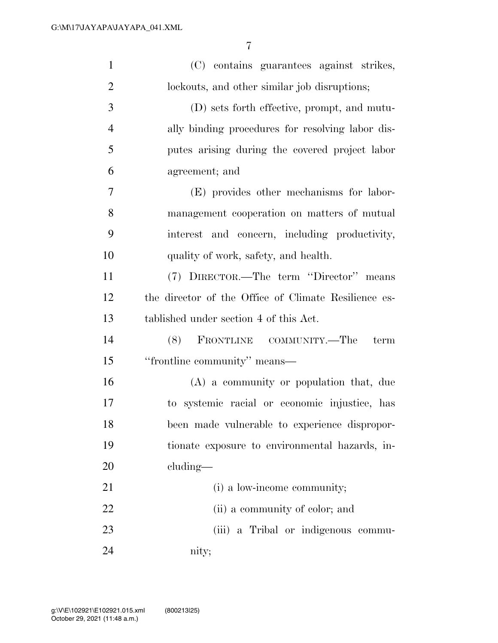| $\mathbf{1}$   | (C) contains guarantees against strikes,             |
|----------------|------------------------------------------------------|
| $\overline{2}$ | lockouts, and other similar job disruptions;         |
| 3              | (D) sets forth effective, prompt, and mutu-          |
| $\overline{4}$ | ally binding procedures for resolving labor dis-     |
| 5              | putes arising during the covered project labor       |
| 6              | agreement; and                                       |
| 7              | (E) provides other mechanisms for labor-             |
| 8              | management cooperation on matters of mutual          |
| 9              | interest and concern, including productivity,        |
| 10             | quality of work, safety, and health.                 |
| 11             | (7) DIRECTOR.—The term "Director" means              |
| 12             | the director of the Office of Climate Resilience es- |
| 13             | tablished under section 4 of this Act.               |
| 14             | FRONTLINE COMMUNITY.—The<br>(8)<br>term              |
| 15             | "frontline community" means—                         |
| 16             | (A) a community or population that, due              |
| 17             | to systemic racial or economic injustice, has        |
| 18             | been made vulnerable to experience dispropor-        |
| 19             | tionate exposure to environmental hazards, in-       |
| 20             | $cluding$ —                                          |
| 21             | (i) a low-income community;                          |
| 22             | (ii) a community of color; and                       |
| 23             | (iii) a Tribal or indigenous commu-                  |
| 24             | nity;                                                |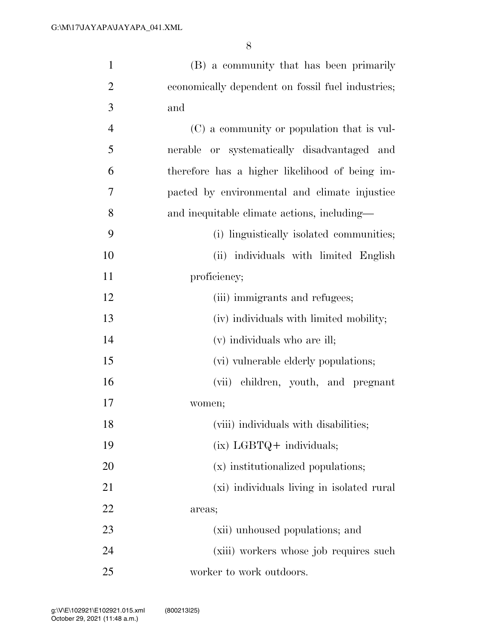| $\mathbf{1}$   | (B) a community that has been primarily           |
|----------------|---------------------------------------------------|
| $\overline{2}$ | economically dependent on fossil fuel industries; |
| 3              | and                                               |
| $\overline{4}$ | (C) a community or population that is vul-        |
| 5              | nerable or systematically disadvantaged and       |
| 6              | therefore has a higher likelihood of being im-    |
| $\overline{7}$ | pacted by environmental and climate injustice     |
| 8              | and inequitable climate actions, including—       |
| 9              | (i) linguistically isolated communities;          |
| 10             | (ii) individuals with limited English             |
| 11             | proficiency;                                      |
| 12             | (iii) immigrants and refugees;                    |
| 13             | (iv) individuals with limited mobility;           |
| 14             | (v) individuals who are ill;                      |
| 15             | (vi) vulnerable elderly populations;              |
| 16             | (vii) children, youth, and pregnant               |
| 17             | women;                                            |
| 18             | (viii) individuals with disabilities;             |
| 19             | $(ix)$ LGBTQ + individuals;                       |
| 20             | (x) institutionalized populations;                |
| 21             | (xi) individuals living in isolated rural         |
| 22             | areas;                                            |
| 23             | (xii) unhoused populations; and                   |
| 24             | (xiii) workers whose job requires such            |
| 25             | worker to work outdoors.                          |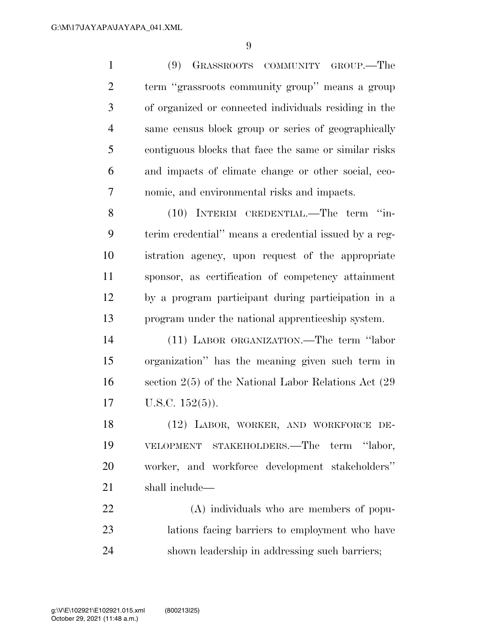(9) GRASSROOTS COMMUNITY GROUP.—The term ''grassroots community group'' means a group of organized or connected individuals residing in the same census block group or series of geographically contiguous blocks that face the same or similar risks and impacts of climate change or other social, eco-nomic, and environmental risks and impacts.

8 (10) INTERIM CREDENTIAL.—The term "in- terim credential'' means a credential issued by a reg- istration agency, upon request of the appropriate sponsor, as certification of competency attainment by a program participant during participation in a program under the national apprenticeship system.

 (11) LABOR ORGANIZATION.—The term ''labor organization'' has the meaning given such term in section 2(5) of the National Labor Relations Act (29 U.S.C. 152(5)).

 (12) LABOR, WORKER, AND WORKFORCE DE- VELOPMENT STAKEHOLDERS.—The term ''labor, worker, and workforce development stakeholders'' shall include—

 (A) individuals who are members of popu- lations facing barriers to employment who have shown leadership in addressing such barriers;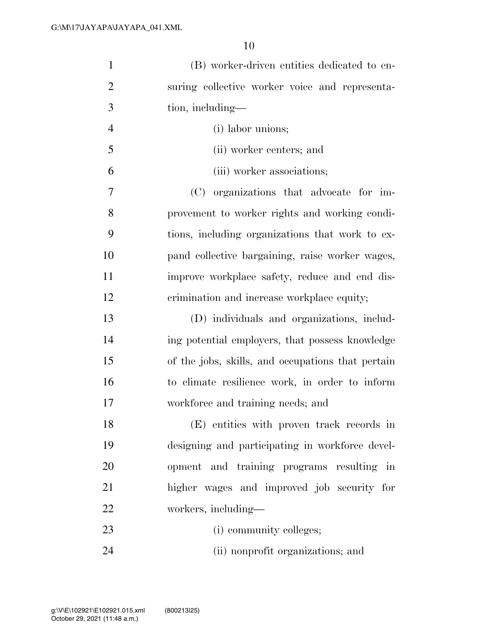| $\mathbf{1}$   | (B) worker-driven entities dedicated to en-       |
|----------------|---------------------------------------------------|
| $\overline{2}$ | suring collective worker voice and representa-    |
| 3              | tion, including—                                  |
| $\overline{4}$ | (i) labor unions;                                 |
| 5              | (ii) worker centers; and                          |
| 6              | (iii) worker associations;                        |
| 7              | (C) organizations that advocate for im-           |
| 8              | provement to worker rights and working condi-     |
| 9              | tions, including organizations that work to ex-   |
| 10             | pand collective bargaining, raise worker wages,   |
| 11             | improve workplace safety, reduce and end dis-     |
| 12             | crimination and increase workplace equity;        |
| 13             | (D) individuals and organizations, includ-        |
| 14             | ing potential employers, that possess knowledge   |
| 15             | of the jobs, skills, and occupations that pertain |
| 16             | to climate resilience work, in order to inform    |
| 17             | workforce and training needs; and                 |
| 18             | (E) entities with proven track records in         |
| 19             | designing and participating in workforce devel-   |
| 20             | opment and training programs resulting in         |
| 21             | higher wages and improved job security for        |
| 22             | workers, including-                               |
| 23             | (i) community colleges;                           |
| 24             | (ii) nonprofit organizations; and                 |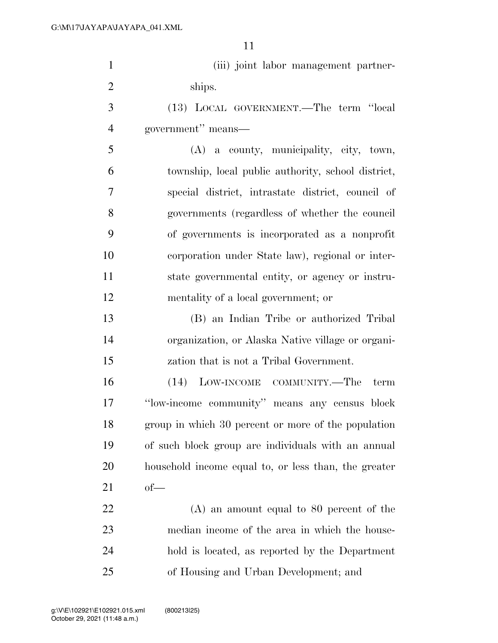| $\mathbf{1}$   | (iii) joint labor management partner-                |
|----------------|------------------------------------------------------|
| $\overline{2}$ | ships.                                               |
| 3              | (13) LOCAL GOVERNMENT.—The term "local               |
| $\overline{4}$ | government" means—                                   |
| 5              | $(A)$ a county, municipality, city, town,            |
| 6              | township, local public authority, school district,   |
| 7              | special district, intrastate district, council of    |
| 8              | governments (regardless of whether the council       |
| 9              | of governments is incorporated as a nonprofit        |
| 10             | corporation under State law), regional or inter-     |
| 11             | state governmental entity, or agency or instru-      |
| 12             | mentality of a local government; or                  |
| 13             | (B) an Indian Tribe or authorized Tribal             |
| 14             | organization, or Alaska Native village or organi-    |
| 15             | zation that is not a Tribal Government.              |
| 16             | (14) LOW-INCOME COMMUNITY.—The<br>term               |
| 17             | "low-income community" means any census block        |
| 18             | group in which 30 percent or more of the population  |
| 19             | of such block group are individuals with an annual   |
| 20             | household income equal to, or less than, the greater |
| 21             | $of$ —                                               |
| 22             | $(A)$ an amount equal to 80 percent of the           |
| 23             | median income of the area in which the house-        |
| 24             | hold is located, as reported by the Department       |
| 25             | of Housing and Urban Development; and                |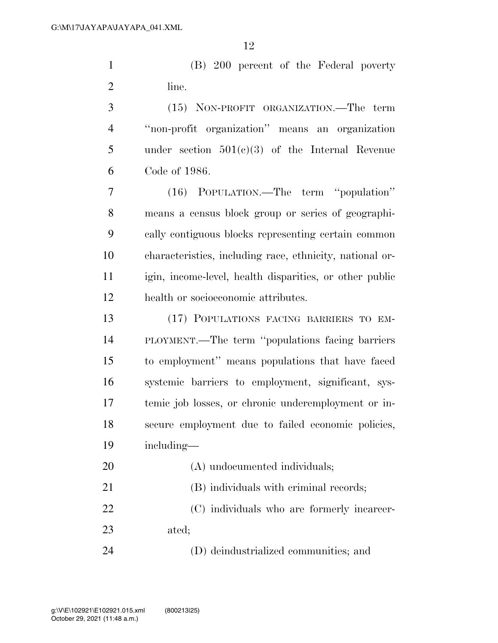(B) 200 percent of the Federal poverty 2 line.

 (15) NON-PROFIT ORGANIZATION.—The term ''non-profit organization'' means an organization under section 501(c)(3) of the Internal Revenue Code of 1986.

 (16) POPULATION.—The term ''population'' means a census block group or series of geographi- cally contiguous blocks representing certain common characteristics, including race, ethnicity, national or- igin, income-level, health disparities, or other public health or socioeconomic attributes.

 (17) POPULATIONS FACING BARRIERS TO EM- PLOYMENT.—The term ''populations facing barriers to employment'' means populations that have faced systemic barriers to employment, significant, sys- temic job losses, or chronic underemployment or in- secure employment due to failed economic policies, including—

 (A) undocumented individuals; (B) individuals with criminal records; (C) individuals who are formerly incarcer- ated; (D) deindustrialized communities; and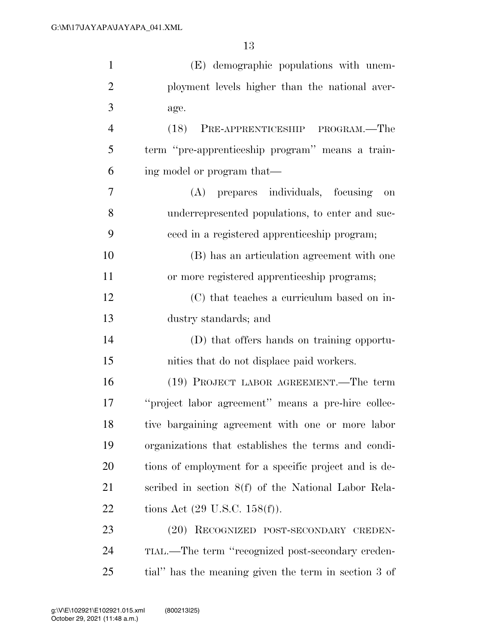| $\mathbf{1}$   | (E) demographic populations with unem-                |
|----------------|-------------------------------------------------------|
| $\overline{2}$ | ployment levels higher than the national aver-        |
| 3              | age.                                                  |
| $\overline{4}$ | PRE-APPRENTICESHIP PROGRAM.—The<br>(18)               |
| 5              | term "pre-apprenticeship program" means a train-      |
| 6              | ing model or program that—                            |
| 7              | (A) prepares individuals, focusing<br>on              |
| 8              | underrepresented populations, to enter and suc-       |
| 9              | ceed in a registered apprenticeship program;          |
| 10             | (B) has an articulation agreement with one            |
| 11             | or more registered apprenticeship programs;           |
| 12             | (C) that teaches a curriculum based on in-            |
| 13             | dustry standards; and                                 |
| 14             | (D) that offers hands on training opportu-            |
| 15             | nities that do not displace paid workers.             |
| 16             | (19) PROJECT LABOR AGREEMENT.—The term                |
| 17             | "project labor agreement" means a pre-hire collec-    |
| 18             | tive bargaining agreement with one or more labor      |
| 19             | organizations that establishes the terms and condi-   |
| 20             | tions of employment for a specific project and is de- |
| 21             | scribed in section 8(f) of the National Labor Rela-   |
| 22             | tions Act $(29 \text{ U.S.C. } 158(f)).$              |
| 23             | (20) RECOGNIZED POST-SECONDARY CREDEN-                |
| 24             | TIAL.—The term "recognized post-secondary creden-     |
| 25             | tial" has the meaning given the term in section 3 of  |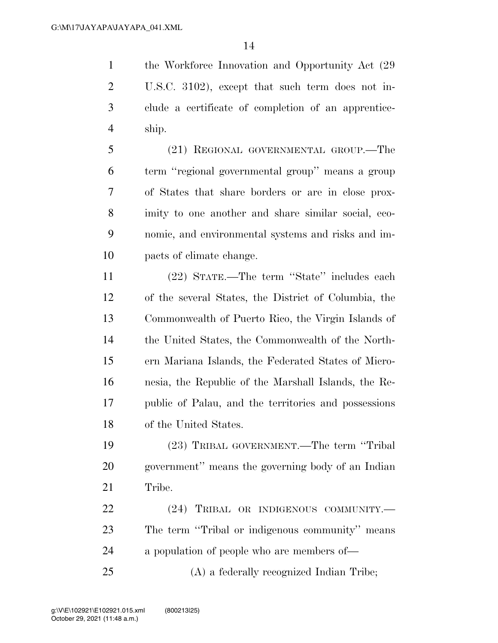1 the Workforce Innovation and Opportunity Act  $(29)$  U.S.C. 3102), except that such term does not in- clude a certificate of completion of an apprentice-ship.

 (21) REGIONAL GOVERNMENTAL GROUP.—The term ''regional governmental group'' means a group of States that share borders or are in close prox- imity to one another and share similar social, eco- nomic, and environmental systems and risks and im-pacts of climate change.

 (22) STATE.—The term ''State'' includes each of the several States, the District of Columbia, the Commonwealth of Puerto Rico, the Virgin Islands of the United States, the Commonwealth of the North- ern Mariana Islands, the Federated States of Micro- nesia, the Republic of the Marshall Islands, the Re- public of Palau, and the territories and possessions of the United States.

 (23) TRIBAL GOVERNMENT.—The term ''Tribal government'' means the governing body of an Indian Tribe.

22 (24) TRIBAL OR INDIGENOUS COMMUNITY. The term ''Tribal or indigenous community'' means a population of people who are members of—

(A) a federally recognized Indian Tribe;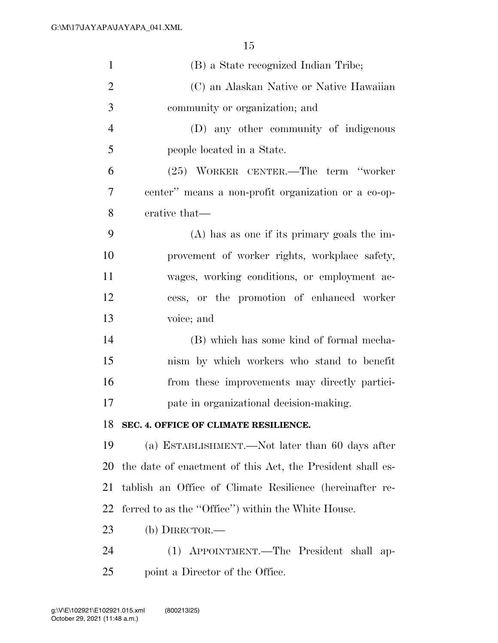| $\mathbf{1}$   | (B) a State recognized Indian Tribe;                       |
|----------------|------------------------------------------------------------|
| $\overline{2}$ | (C) an Alaskan Native or Native Hawaiian                   |
| 3              | community or organization; and                             |
| $\overline{4}$ | (D) any other community of indigenous                      |
| 5              | people located in a State.                                 |
| 6              | (25) WORKER CENTER.—The term "worker                       |
| 7              | center" means a non-profit organization or a co-op-        |
| 8              | erative that—                                              |
| 9              | $(A)$ has as one if its primary goals the im-              |
| 10             | provement of worker rights, workplace safety,              |
| 11             | wages, working conditions, or employment ac-               |
| 12             | cess, or the promotion of enhanced worker                  |
| 13             | voice; and                                                 |
| 14             | (B) which has some kind of formal mecha-                   |
| 15             | nism by which workers who stand to benefit                 |
| 16             | from these improvements may directly partici-              |
| 17             | pate in organizational decision-making.                    |
| 18             | SEC. 4. OFFICE OF CLIMATE RESILIENCE.                      |
| 19             | (a) ESTABLISHMENT.—Not later than 60 days after            |
| 20             | the date of enactment of this Act, the President shall es- |
| 21             | tablish an Office of Climate Resilience (hereinafter re-   |
| 22             | ferred to as the "Office") within the White House.         |
| 23             | (b) DIRECTOR.—                                             |
| 24             | (1) APPOINTMENT.—The President shall ap-                   |
| 25             | point a Director of the Office.                            |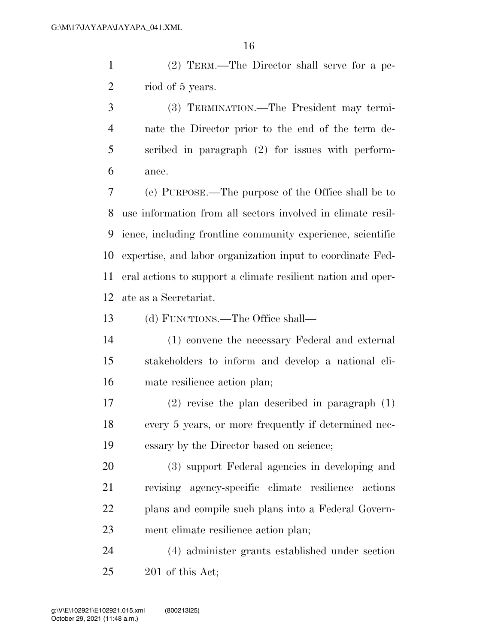(2) TERM.—The Director shall serve for a pe-2 riod of 5 years.

 (3) TERMINATION.—The President may termi- nate the Director prior to the end of the term de- scribed in paragraph (2) for issues with perform-ance.

 (c) PURPOSE.—The purpose of the Office shall be to use information from all sectors involved in climate resil- ience, including frontline community experience, scientific expertise, and labor organization input to coordinate Fed- eral actions to support a climate resilient nation and oper-ate as a Secretariat.

(d) FUNCTIONS.—The Office shall—

 (1) convene the necessary Federal and external stakeholders to inform and develop a national cli-mate resilience action plan;

 (2) revise the plan described in paragraph (1) every 5 years, or more frequently if determined nec-essary by the Director based on science;

 (3) support Federal agencies in developing and revising agency-specific climate resilience actions plans and compile such plans into a Federal Govern-ment climate resilience action plan;

 (4) administer grants established under section 201 of this Act;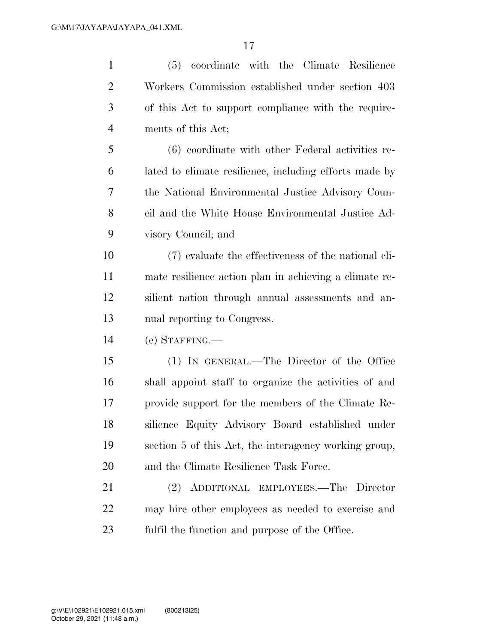| coordinate with the Climate Resilience<br>(5)          |
|--------------------------------------------------------|
| Workers Commission established under section 403       |
| of this Act to support compliance with the require-    |
| ments of this Act;                                     |
| (6) coordinate with other Federal activities re-       |
| lated to climate resilience, including efforts made by |
| the National Environmental Justice Advisory Coun-      |
| cil and the White House Environmental Justice Ad-      |
| visory Council; and                                    |
| (7) evaluate the effectiveness of the national cli-    |
| mate resilience action plan in achieving a climate re- |
| silient nation through annual assessments and an-      |
| nual reporting to Congress.                            |
| $(e)$ STAFFING.—                                       |
| (1) IN GENERAL.—The Director of the Office             |
| shall appoint staff to organize the activities of and  |
| provide support for the members of the Climate Re-     |
| silience Equity Advisory Board established under       |
| section 5 of this Act, the interagency working group,  |
| and the Climate Resilience Task Force.                 |
| ADDITIONAL EMPLOYEES.—The Director<br>(2)              |
| may hire other employees as needed to exercise and     |
| fulfil the function and purpose of the Office.         |
|                                                        |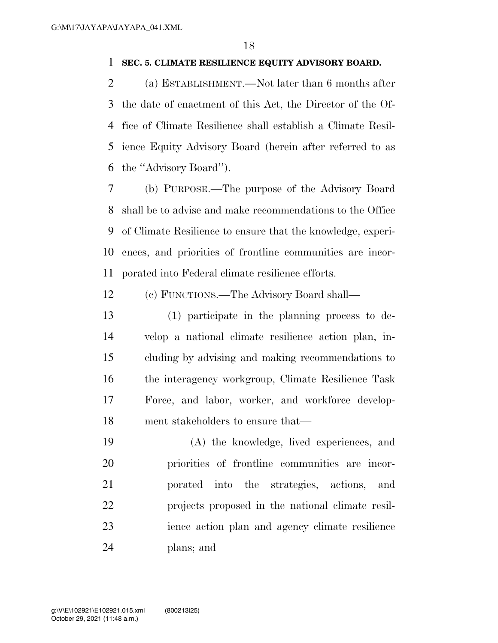## **SEC. 5. CLIMATE RESILIENCE EQUITY ADVISORY BOARD.**

 (a) ESTABLISHMENT.—Not later than 6 months after the date of enactment of this Act, the Director of the Of- fice of Climate Resilience shall establish a Climate Resil- ience Equity Advisory Board (herein after referred to as the ''Advisory Board'').

 (b) PURPOSE.—The purpose of the Advisory Board shall be to advise and make recommendations to the Office of Climate Resilience to ensure that the knowledge, experi- ences, and priorities of frontline communities are incor-porated into Federal climate resilience efforts.

(c) FUNCTIONS.—The Advisory Board shall—

 (1) participate in the planning process to de- velop a national climate resilience action plan, in- cluding by advising and making recommendations to the interagency workgroup, Climate Resilience Task Force, and labor, worker, and workforce develop-ment stakeholders to ensure that—

 (A) the knowledge, lived experiences, and priorities of frontline communities are incor- porated into the strategies, actions, and projects proposed in the national climate resil- ience action plan and agency climate resilience plans; and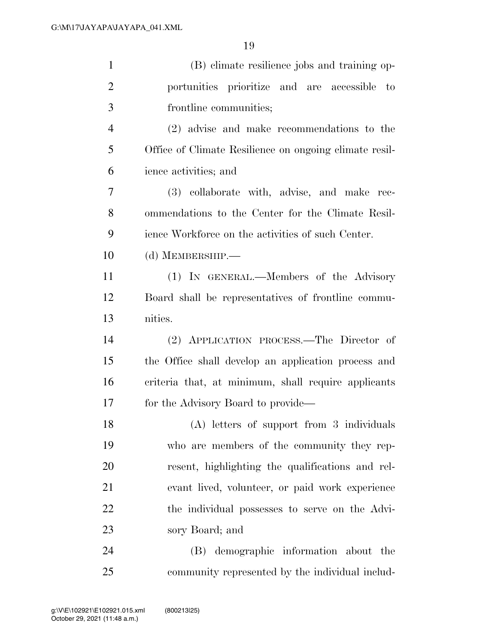| $\mathbf{1}$   | (B) climate resilience jobs and training op-           |
|----------------|--------------------------------------------------------|
| $\overline{2}$ | portunities prioritize and are accessible<br>to        |
| 3              | frontline communities;                                 |
| $\overline{4}$ | (2) advise and make recommendations to the             |
| 5              | Office of Climate Resilience on ongoing climate resil- |
| 6              | ience activities; and                                  |
| 7              | (3) collaborate with, advise, and make rec-            |
| 8              | ommendations to the Center for the Climate Resil-      |
| 9              | ience Workforce on the activities of such Center.      |
| 10             | (d) MEMBERSHIP.—                                       |
| 11             | (1) IN GENERAL.—Members of the Advisory                |
| 12             | Board shall be representatives of frontline commu-     |
| 13             | nities.                                                |
| 14             | (2) APPLICATION PROCESS.—The Director of               |
| 15             | the Office shall develop an application process and    |
| 16             | criteria that, at minimum, shall require applicants    |
| 17             | for the Advisory Board to provide—                     |
| 18             | (A) letters of support from 3 individuals              |
| 19             | who are members of the community they rep-             |
| 20             | resent, highlighting the qualifications and rel-       |
| 21             | evant lived, volunteer, or paid work experience        |
| 22             | the individual possesses to serve on the Advi-         |
| 23             | sory Board; and                                        |
| 24             | (B) demographic information about the                  |
| 25             | community represented by the individual includ-        |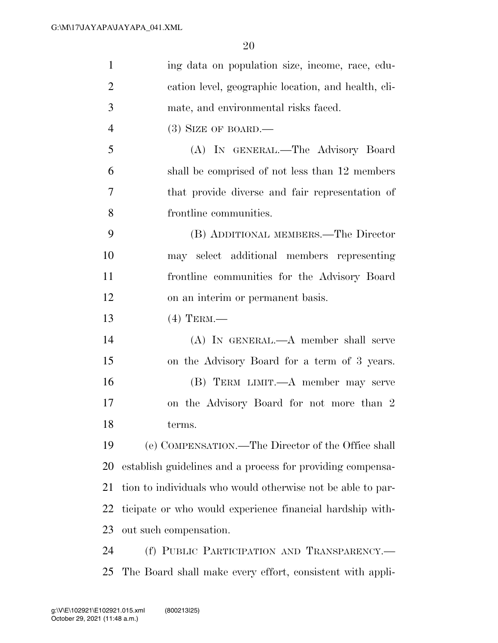| $\mathbf{1}$   | ing data on population size, income, race, edu-             |
|----------------|-------------------------------------------------------------|
| $\overline{2}$ | cation level, geographic location, and health, cli-         |
| 3              | mate, and environmental risks faced.                        |
| $\overline{4}$ | $(3)$ SIZE OF BOARD.—                                       |
| 5              | (A) IN GENERAL.—The Advisory Board                          |
| 6              | shall be comprised of not less than 12 members              |
| $\overline{7}$ | that provide diverse and fair representation of             |
| 8              | frontline communities.                                      |
| 9              | (B) ADDITIONAL MEMBERS.—The Director                        |
| 10             | may select additional members representing                  |
| 11             | frontline communities for the Advisory Board                |
| 12             | on an interim or permanent basis.                           |
| 13             | $(4)$ TERM.—                                                |
| 14             | $(A)$ In GENERAL.— $A$ member shall serve                   |
| 15             | on the Advisory Board for a term of 3 years.                |
| 16             | (B) TERM LIMIT.—A member may serve                          |
| 17             | on the Advisory Board for not more than 2                   |
| 18             | terms.                                                      |
| 19             | (e) COMPENSATION.—The Director of the Office shall          |
| 20             | establish guidelines and a process for providing compensa-  |
| 21             | tion to individuals who would otherwise not be able to par- |
| 22             | ticipate or who would experience financial hardship with-   |
| 23             | out such compensation.                                      |
| 24             | (f) PUBLIC PARTICIPATION AND TRANSPARENCY.-                 |
| 25             | The Board shall make every effort, consistent with appli-   |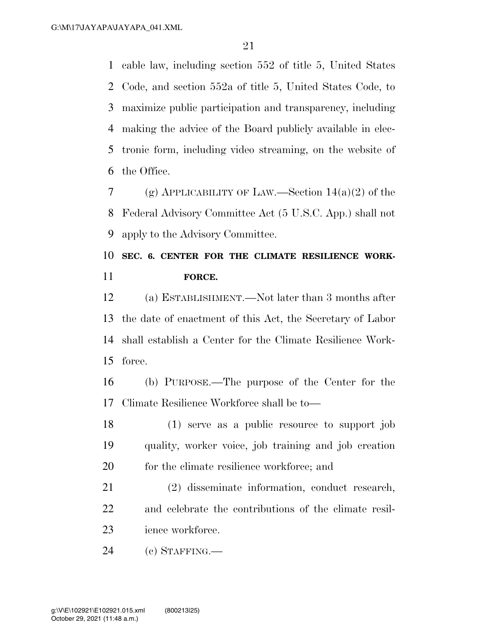cable law, including section 552 of title 5, United States Code, and section 552a of title 5, United States Code, to maximize public participation and transparency, including making the advice of the Board publicly available in elec- tronic form, including video streaming, on the website of the Office.

7 (g) APPLICABILITY OF LAW.—Section  $14(a)(2)$  of the Federal Advisory Committee Act (5 U.S.C. App.) shall not apply to the Advisory Committee.

# **SEC. 6. CENTER FOR THE CLIMATE RESILIENCE WORK-FORCE.**

 (a) ESTABLISHMENT.—Not later than 3 months after the date of enactment of this Act, the Secretary of Labor shall establish a Center for the Climate Resilience Work-force.

 (b) PURPOSE.—The purpose of the Center for the Climate Resilience Workforce shall be to—

18 (1) serve as a public resource to support job quality, worker voice, job training and job creation 20 for the climate resilience workforce; and

 (2) disseminate information, conduct research, and celebrate the contributions of the climate resil-23 ience workforce.

(c) STAFFING.—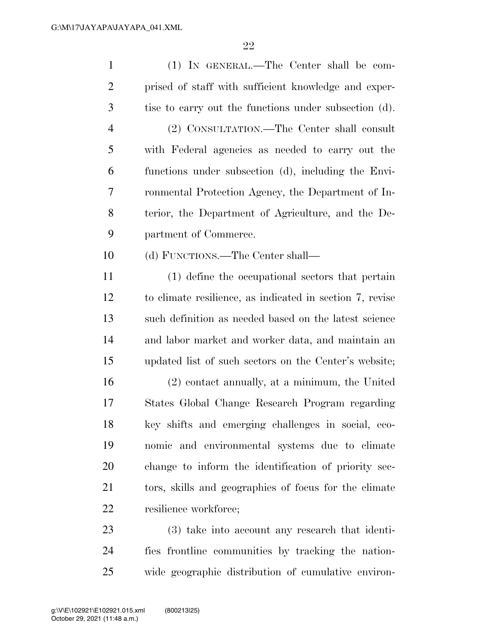| $\mathbf{1}$   | (1) IN GENERAL.—The Center shall be com-                 |
|----------------|----------------------------------------------------------|
| $\overline{2}$ | prised of staff with sufficient knowledge and exper-     |
| 3              | tise to carry out the functions under subsection (d).    |
| $\overline{4}$ | (2) CONSULTATION.—The Center shall consult               |
| 5              | with Federal agencies as needed to carry out the         |
| 6              | functions under subsection (d), including the Envi-      |
| 7              | ronmental Protection Agency, the Department of In-       |
| 8              | terior, the Department of Agriculture, and the De-       |
| 9              | partment of Commerce.                                    |
| 10             | (d) FUNCTIONS.—The Center shall—                         |
| 11             | (1) define the occupational sectors that pertain         |
| 12             | to climate resilience, as indicated in section 7, revise |
| 13             | such definition as needed based on the latest science    |
| 14             | and labor market and worker data, and maintain an        |
| 15             | updated list of such sectors on the Center's website;    |
| 16             | (2) contact annually, at a minimum, the United           |
| 17             | States Global Change Research Program regarding          |
| 18             | key shifts and emerging challenges in social, eco-       |
| 19             | nomic and environmental systems due to climate           |
| 20             | change to inform the identification of priority sec-     |
| 21             | tors, skills and geographies of focus for the climate    |
| 22             | resilience workforce;                                    |
| 23             | (3) take into account any research that identi-          |
|                |                                                          |

 fies frontline communities by tracking the nation-wide geographic distribution of cumulative environ-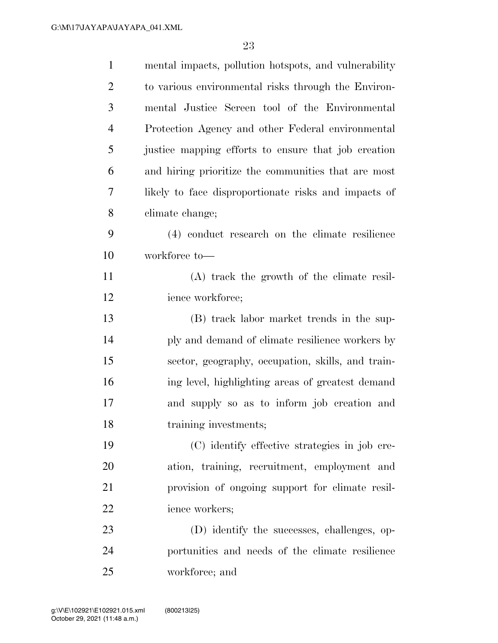| $\mathbf{1}$   | mental impacts, pollution hotspots, and vulnerability |
|----------------|-------------------------------------------------------|
| $\overline{2}$ | to various environmental risks through the Environ-   |
| 3              | mental Justice Screen tool of the Environmental       |
| $\overline{4}$ | Protection Agency and other Federal environmental     |
| 5              | justice mapping efforts to ensure that job creation   |
| 6              | and hiring prioritize the communities that are most   |
| 7              | likely to face disproportionate risks and impacts of  |
| 8              | climate change;                                       |
| 9              | (4) conduct research on the climate resilience        |
| 10             | workforce to-                                         |
| 11             | (A) track the growth of the climate resil-            |
| 12             | ience workforce;                                      |
| 13             | (B) track labor market trends in the sup-             |
| 14             | ply and demand of climate resilience workers by       |
| 15             | sector, geography, occupation, skills, and train-     |
| 16             | ing level, highlighting areas of greatest demand      |
| 17             | and supply so as to inform job creation and           |
| 18             | training investments;                                 |
| 19             | (C) identify effective strategies in job cre-         |
| 20             | ation, training, recruitment, employment and          |
| 21             | provision of ongoing support for climate resil-       |
| 22             | ience workers;                                        |
| 23             | (D) identify the successes, challenges, op-           |
| 24             | portunities and needs of the climate resilience       |
| 25             | workforce; and                                        |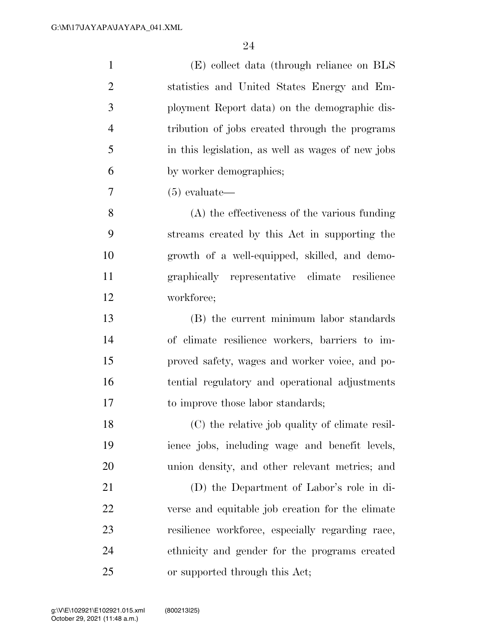| $\mathbf{1}$   | (E) collect data (through reliance on BLS         |
|----------------|---------------------------------------------------|
| $\overline{2}$ | statistics and United States Energy and Em-       |
| 3              | ployment Report data) on the demographic dis-     |
| $\overline{4}$ | tribution of jobs created through the programs    |
| 5              | in this legislation, as well as wages of new jobs |
| 6              | by worker demographics;                           |
| 7              | $(5)$ evaluate—                                   |
| 8              | (A) the effectiveness of the various funding      |
| 9              | streams created by this Act in supporting the     |
| 10             | growth of a well-equipped, skilled, and demo-     |
| 11             | graphically representative climate resilience     |
| 12             | workforce;                                        |
| 13             | (B) the current minimum labor standards           |
| 14             | of climate resilience workers, barriers to im-    |
| 15             | proved safety, wages and worker voice, and po-    |
| 16             | tential regulatory and operational adjustments    |
| 17             | to improve those labor standards;                 |
| 18             | (C) the relative job quality of climate resil-    |
| 19             | ience jobs, including wage and benefit levels,    |
| 20             | union density, and other relevant metrics; and    |
| 21             | (D) the Department of Labor's role in di-         |
| 22             | verse and equitable job creation for the climate  |
| 23             | resilience workforce, especially regarding race,  |
| 24             | ethnicity and gender for the programs created     |
| 25             | or supported through this Act;                    |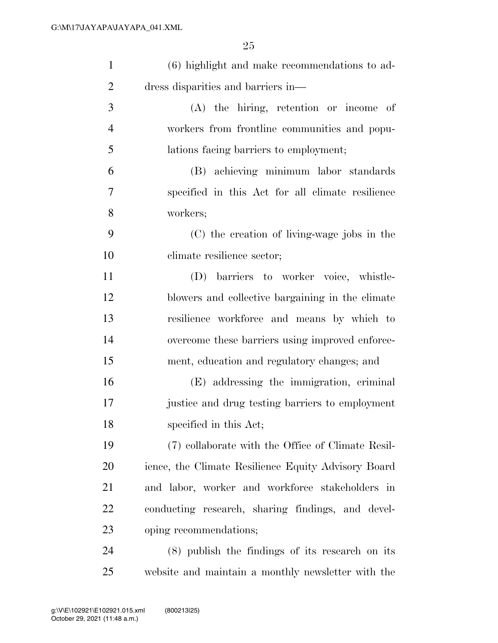| $\mathbf{1}$   | (6) highlight and make recommendations to ad-       |
|----------------|-----------------------------------------------------|
| $\overline{2}$ | dress disparities and barriers in—                  |
| 3              | $(A)$ the hiring, retention or income of            |
| $\overline{4}$ | workers from frontline communities and popu-        |
| 5              | lations facing barriers to employment;              |
| 6              | (B) achieving minimum labor standards               |
| $\tau$         | specified in this Act for all climate resilience    |
| 8              | workers;                                            |
| 9              | (C) the creation of living-wage jobs in the         |
| 10             | climate resilience sector;                          |
| 11             | (D) barriers to worker voice, whistle-              |
| 12             | blowers and collective bargaining in the climate    |
| 13             | resilience workforce and means by which to          |
| 14             | overcome these barriers using improved enforce-     |
| 15             | ment, education and regulatory changes; and         |
| 16             | (E) addressing the immigration, criminal            |
| 17             | justice and drug testing barriers to employment     |
| 18             | specified in this Act;                              |
| 19             | (7) collaborate with the Office of Climate Resil-   |
| <b>20</b>      | ience, the Climate Resilience Equity Advisory Board |
| 21             | and labor, worker and workforce stakeholders in     |
| 22             | conducting research, sharing findings, and devel-   |
| 23             | oping recommendations;                              |
| 24             | $(8)$ publish the findings of its research on its   |
| 25             | website and maintain a monthly newsletter with the  |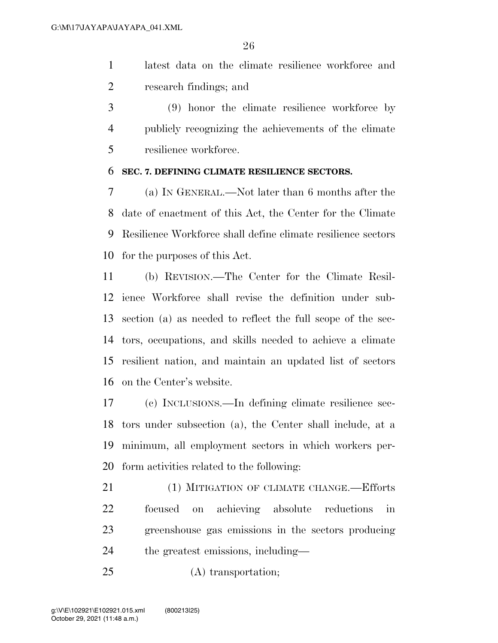latest data on the climate resilience workforce and research findings; and

 (9) honor the climate resilience workforce by publicly recognizing the achievements of the climate resilience workforce.

### **SEC. 7. DEFINING CLIMATE RESILIENCE SECTORS.**

 (a) IN GENERAL.—Not later than 6 months after the date of enactment of this Act, the Center for the Climate Resilience Workforce shall define climate resilience sectors for the purposes of this Act.

 (b) REVISION.—The Center for the Climate Resil- ience Workforce shall revise the definition under sub- section (a) as needed to reflect the full scope of the sec- tors, occupations, and skills needed to achieve a climate resilient nation, and maintain an updated list of sectors on the Center's website.

 (c) INCLUSIONS.—In defining climate resilience sec- tors under subsection (a), the Center shall include, at a minimum, all employment sectors in which workers per-form activities related to the following:

21 (1) MITIGATION OF CLIMATE CHANGE.—Efforts focused on achieving absolute reductions in greenshouse gas emissions in the sectors producing the greatest emissions, including—

(A) transportation;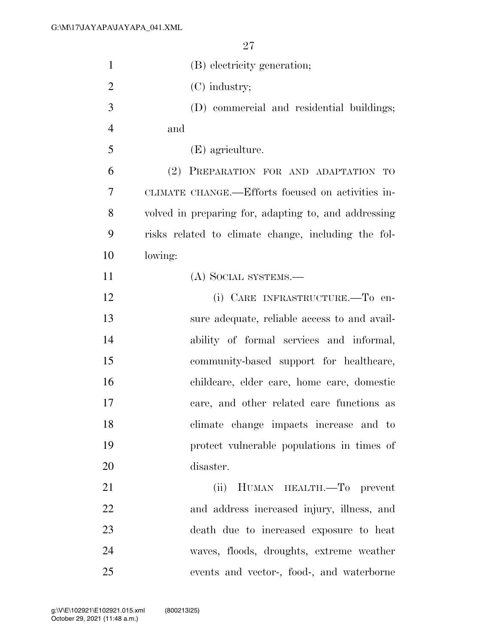| $\mathbf{1}$   | (B) electricity generation;                          |
|----------------|------------------------------------------------------|
| $\overline{2}$ | $(C)$ industry;                                      |
| 3              | (D) commercial and residential buildings;            |
| $\overline{4}$ | and                                                  |
| 5              | (E) agriculture.                                     |
| 6              | (2) PREPARATION FOR AND ADAPTATION TO                |
| 7              | CLIMATE CHANGE.—Efforts focused on activities in-    |
| 8              | volved in preparing for, adapting to, and addressing |
| 9              | risks related to climate change, including the fol-  |
| 10             | lowing:                                              |
| 11             | (A) SOCIAL SYSTEMS.—                                 |
| 12             | (i) CARE INFRASTRUCTURE.-To en-                      |
| 13             | sure adequate, reliable access to and avail-         |
| 14             | ability of formal services and informal,             |
| 15             | community-based support for healthcare,              |
| 16             | childcare, elder care, home care, domestic           |
| 17             | care, and other related care functions as            |
| 18             | climate change impacts increase and to               |
| 19             | protect vulnerable populations in times of           |
| 20             | disaster.                                            |
| 21             | HUMAN HEALTH.-To prevent<br>(ii)                     |
| 22             | and address increased injury, illness, and           |
| 23             | death due to increased exposure to heat              |
| 24             | waves, floods, droughts, extreme weather             |
| 25             | events and vector-, food-, and waterborne            |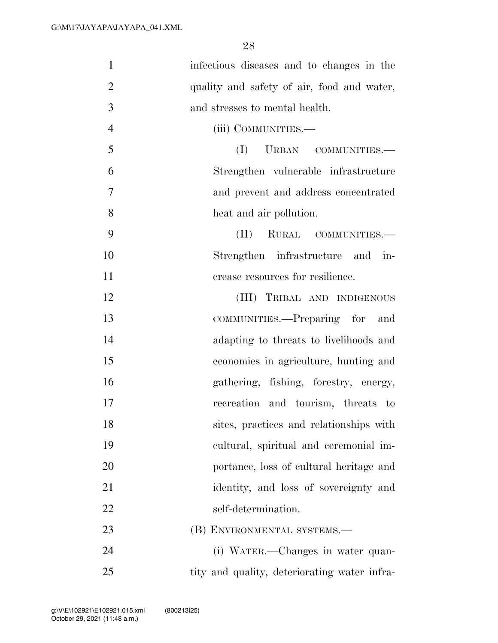| $\mathbf{1}$   | infectious diseases and to changes in the    |
|----------------|----------------------------------------------|
| $\overline{2}$ | quality and safety of air, food and water,   |
| 3              | and stresses to mental health.               |
| $\overline{4}$ | (iii) COMMUNITIES.—                          |
| 5              | (I)<br>URBAN COMMUNITIES.                    |
| 6              | Strengthen vulnerable infrastructure         |
| 7              | and prevent and address concentrated         |
| 8              | heat and air pollution.                      |
| 9              | RURAL COMMUNITIES.-<br>(II)                  |
| 10             | Strengthen infrastructure and in-            |
| 11             | crease resources for resilience.             |
| 12             | (III) TRIBAL AND INDIGENOUS                  |
| 13             | COMMUNITIES.—Preparing for and               |
| 14             | adapting to threats to livelihoods and       |
| 15             | economies in agriculture, hunting and        |
| 16             | gathering, fishing, forestry, energy,        |
| 17             | recreation and tourism, threats to           |
| 18             | sites, practices and relationships with      |
| 19             | cultural, spiritual and ceremonial im-       |
| 20             | portance, loss of cultural heritage and      |
| 21             | identity, and loss of sovereignty and        |
| 22             | self-determination.                          |
| 23             | (B) ENVIRONMENTAL SYSTEMS.-                  |
| 24             | (i) WATER.—Changes in water quan-            |
| 25             | tity and quality, deteriorating water infra- |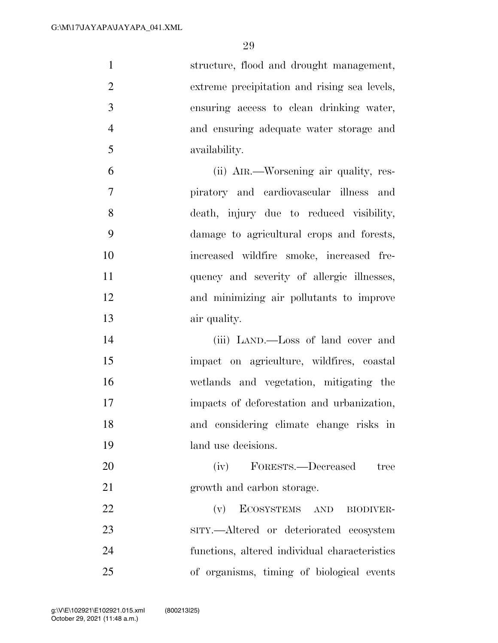structure, flood and drought management, extreme precipitation and rising sea levels, ensuring access to clean drinking water, and ensuring adequate water storage and availability. (ii) AIR.—Worsening air quality, res- piratory and cardiovascular illness and death, injury due to reduced visibility, damage to agricultural crops and forests, increased wildfire smoke, increased fre-11 quency and severity of allergic illnesses, and minimizing air pollutants to improve air quality. (iii) LAND.—Loss of land cover and

 impact on agriculture, wildfires, coastal wetlands and vegetation, mitigating the impacts of deforestation and urbanization, and considering climate change risks in land use decisions.

20 (iv) FORESTS.—Decreased tree growth and carbon storage.

22 (v) ECOSYSTEMS AND BIODIVER- SITY.—Altered or deteriorated ecosystem functions, altered individual characteristics of organisms, timing of biological events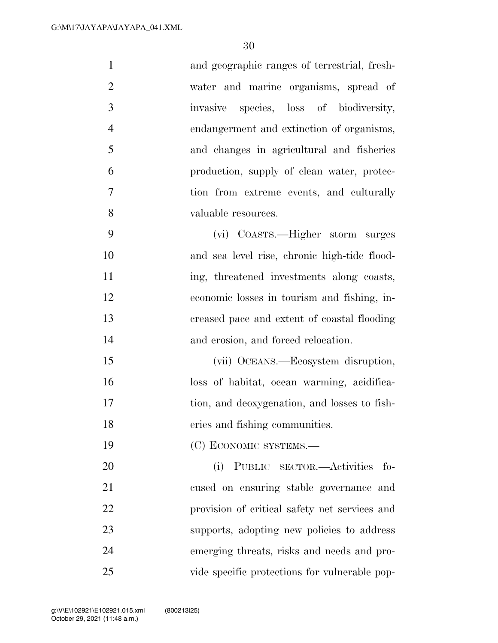| $\mathbf{1}$   | and geographic ranges of terrestrial, fresh-  |
|----------------|-----------------------------------------------|
| $\overline{2}$ | water and marine organisms, spread of         |
| 3              | invasive species, loss of biodiversity,       |
| $\overline{4}$ | endangerment and extinction of organisms,     |
| 5              | and changes in agricultural and fisheries     |
| 6              | production, supply of clean water, protec-    |
| 7              | tion from extreme events, and culturally      |
| 8              | valuable resources.                           |
| 9              | (vi) COASTS.—Higher storm surges              |
| 10             | and sea level rise, chronic high-tide flood-  |
| 11             | ing, threatened investments along coasts,     |
| 12             | economic losses in tourism and fishing, in-   |
| 13             | creased pace and extent of coastal flooding   |
| 14             | and erosion, and forced relocation.           |
| 15             | (vii) OCEANS.—Ecosystem disruption,           |
| 16             | loss of habitat, ocean warming, acidifica-    |
| 17             | tion, and deoxygenation, and losses to fish-  |
| 18             | eries and fishing communities.                |
| 19             | (C) ECONOMIC SYSTEMS.-                        |
| 20             | PUBLIC SECTOR.—Activities<br>(i)<br>- fo-     |
| 21             | cused on ensuring stable governance and       |
| 22             | provision of critical safety net services and |
| 23             | supports, adopting new policies to address    |
| 24             | emerging threats, risks and needs and pro-    |
| 25             | vide specific protections for vulnerable pop- |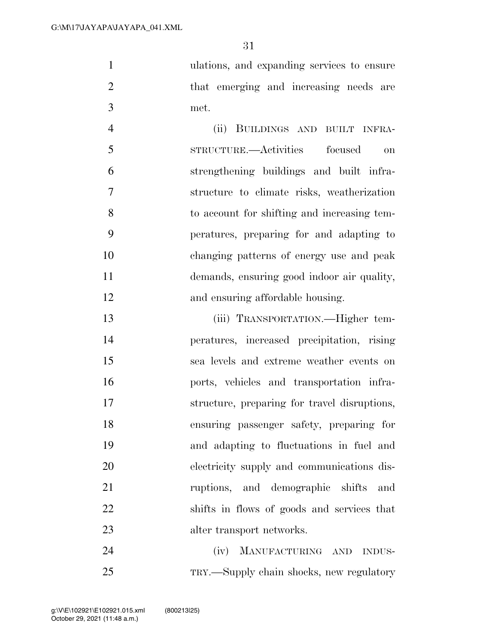ulations, and expanding services to ensure that emerging and increasing needs are met.

 (ii) BUILDINGS AND BUILT INFRA- STRUCTURE.—Activities focused on strengthening buildings and built infra- structure to climate risks, weatherization to account for shifting and increasing tem- peratures, preparing for and adapting to changing patterns of energy use and peak demands, ensuring good indoor air quality, and ensuring affordable housing.

 (iii) TRANSPORTATION.—Higher tem- peratures, increased precipitation, rising sea levels and extreme weather events on ports, vehicles and transportation infra- structure, preparing for travel disruptions, ensuring passenger safety, preparing for and adapting to fluctuations in fuel and electricity supply and communications dis- ruptions, and demographic shifts and shifts in flows of goods and services that alter transport networks.

 (iv) MANUFACTURING AND INDUS-TRY.—Supply chain shocks, new regulatory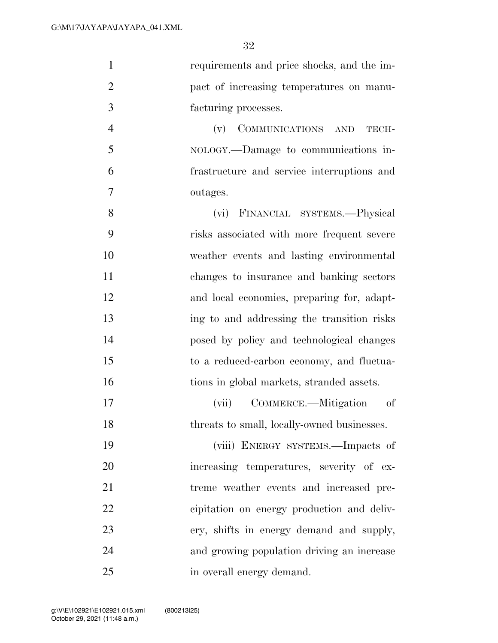| $\mathbf{1}$   | requirements and price shocks, and the im-                               |
|----------------|--------------------------------------------------------------------------|
| $\overline{2}$ | pact of increasing temperatures on manu-                                 |
| 3              | facturing processes.                                                     |
| $\overline{4}$ | $(\mathbf{v}) \quad \textbf{COMMUNICATIONS} \quad \textbf{AND}$<br>TECH- |
| 5              | NOLOGY.—Damage to communications in-                                     |
| 6              | frastructure and service interruptions and                               |
| 7              | outages.                                                                 |
| 8              | (vi) FINANCIAL SYSTEMS.—Physical                                         |
| 9              | risks associated with more frequent severe                               |
| 10             | weather events and lasting environmental                                 |
| 11             | changes to insurance and banking sectors                                 |
| 12             | and local economies, preparing for, adapt-                               |
| 13             | ing to and addressing the transition risks                               |
| 14             | posed by policy and technological changes                                |
| 15             | to a reduced-carbon economy, and fluctua-                                |
| 16             | tions in global markets, stranded assets.                                |
| 17             | COMMERCE.—Mitigation<br>οf<br>(vii)                                      |
| 18             | threats to small, locally-owned businesses.                              |
| 19             | (viii) ENERGY SYSTEMS.—Impacts of                                        |
| 20             | increasing temperatures, severity of ex-                                 |
| 21             | treme weather events and increased pre-                                  |
| 22             | cipitation on energy production and deliv-                               |
| 23             | ery, shifts in energy demand and supply,                                 |
| 24             | and growing population driving an increase                               |
| 25             | in overall energy demand.                                                |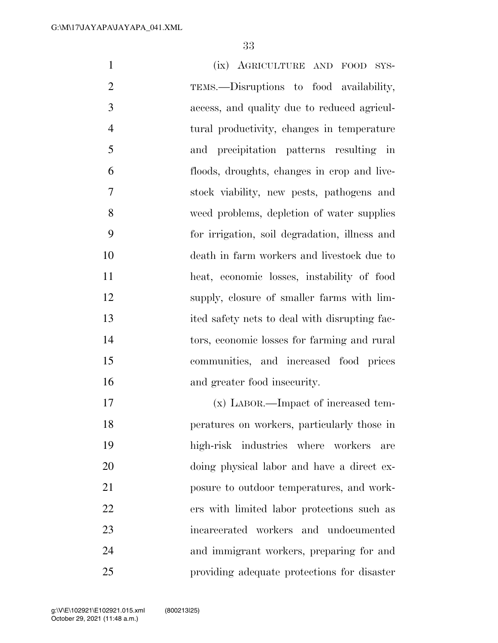| $\mathbf{1}$   | (ix) AGRICULTURE AND FOOD SYS-                |
|----------------|-----------------------------------------------|
| $\overline{2}$ | TEMS.—Disruptions to food availability,       |
| 3              | access, and quality due to reduced agricul-   |
| $\overline{4}$ | tural productivity, changes in temperature    |
| 5              | precipitation patterns resulting in<br>and    |
| 6              | floods, droughts, changes in crop and live-   |
| 7              | stock viability, new pests, pathogens and     |
| 8              | weed problems, depletion of water supplies    |
| 9              | for irrigation, soil degradation, illness and |
| 10             | death in farm workers and livestock due to    |
| 11             | heat, economic losses, instability of food    |
| 12             | supply, closure of smaller farms with lim-    |
| 13             | ited safety nets to deal with disrupting fac- |
| 14             | tors, economic losses for farming and rural   |
| 15             | communities, and increased food prices        |
| 16             | and greater food insecurity.                  |
| 17             | (x) LABOR.—Impact of increased tem-           |
| 18             | peratures on workers, particularly those in   |
| 19             | high-risk industries where workers<br>are     |
| 20             | doing physical labor and have a direct ex-    |
| 21             | posure to outdoor temperatures, and work-     |
| 22             | ers with limited labor protections such as    |
| 23             | incarcerated workers and undocumented         |
| 24             | and immigrant workers, preparing for and      |

providing adequate protections for disaster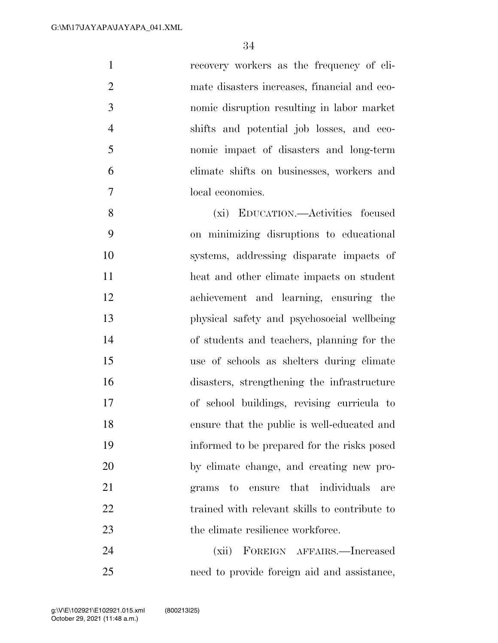| $\mathbf{1}$   | recovery workers as the frequency of cli-     |
|----------------|-----------------------------------------------|
| $\overline{2}$ | mate disasters increases, financial and eco-  |
| 3              | nomic disruption resulting in labor market    |
| $\overline{4}$ | shifts and potential job losses, and eco-     |
| 5              | nomic impact of disasters and long-term       |
| 6              | climate shifts on businesses, workers and     |
| 7              | local economies.                              |
| 8              | (xi) EDUCATION.—Activities focused            |
| 9              | on minimizing disruptions to educational      |
| 10             | systems, addressing disparate impacts of      |
| 11             | heat and other climate impacts on student     |
| 12             | achievement and learning, ensuring the        |
| 13             | physical safety and psychosocial wellbeing    |
| 14             | of students and teachers, planning for the    |
| 15             | use of schools as shelters during climate     |
| 16             | disasters, strengthening the infrastructure   |
| 17             | of school buildings, revising curricula to    |
| 18             | ensure that the public is well-educated and   |
| 19             | informed to be prepared for the risks posed   |
| 20             | by climate change, and creating new pro-      |
| 21             | that individuals<br>grams to<br>ensure<br>are |
| 22             | trained with relevant skills to contribute to |
| 23             | the climate resilience workforce.             |
| 24             | (xii)<br>FOREIGN AFFAIRS.—Increased           |

need to provide foreign aid and assistance,

October 29, 2021 (11:48 a.m.) g:\V\E\102921\E102921.015.xml (800213|25)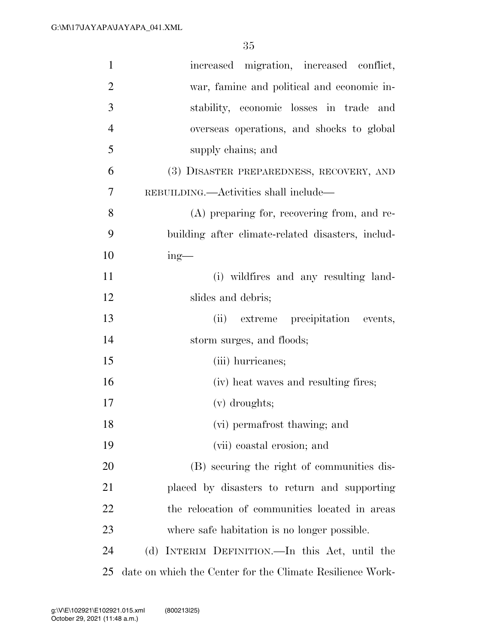| 1              | increased migration, increased conflict,                  |
|----------------|-----------------------------------------------------------|
| $\overline{2}$ | war, famine and political and economic in-                |
| 3              | stability, economic losses in trade and                   |
| $\overline{4}$ | overseas operations, and shocks to global                 |
| 5              | supply chains; and                                        |
| 6              | (3) DISASTER PREPAREDNESS, RECOVERY, AND                  |
| 7              | REBUILDING.—Activities shall include—                     |
| 8              | (A) preparing for, recovering from, and re-               |
| 9              | building after climate-related disasters, includ-         |
| 10             | $ing$ —                                                   |
| 11             | (i) wildfires and any resulting land-                     |
| 12             | slides and debris;                                        |
| 13             | (ii)<br>extreme precipitation events,                     |
| 14             | storm surges, and floods;                                 |
| 15             | (iii) hurricanes;                                         |
| 16             | (iv) heat waves and resulting fires;                      |
| 17             | $(v)$ droughts;                                           |
| 18             | (vi) permafrost thawing; and                              |
| 19             | (vii) coastal erosion; and                                |
| 20             | (B) securing the right of communities dis-                |
| 21             | placed by disasters to return and supporting              |
| 22             | the relocation of communities located in areas            |
| 23             | where safe habitation is no longer possible.              |
| 24             | (d) INTERIM DEFINITION.—In this Act, until the            |
| 25             | date on which the Center for the Climate Resilience Work- |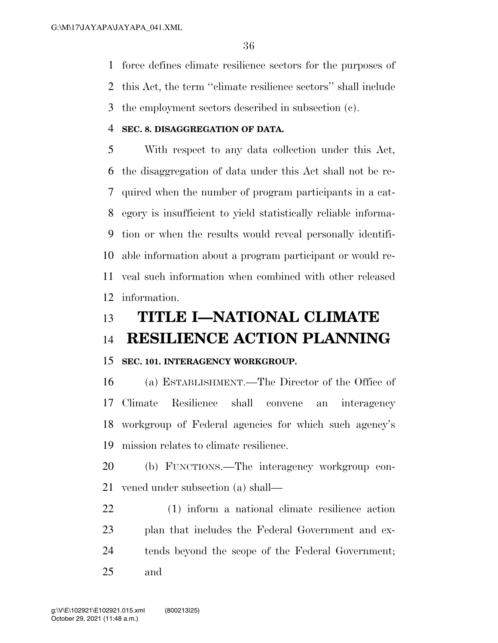force defines climate resilience sectors for the purposes of

this Act, the term ''climate resilience sectors'' shall include

the employment sectors described in subsection (c).

## **SEC. 8. DISAGGREGATION OF DATA.**

 With respect to any data collection under this Act, the disaggregation of data under this Act shall not be re- quired when the number of program participants in a cat- egory is insufficient to yield statistically reliable informa- tion or when the results would reveal personally identifi- able information about a program participant or would re- veal such information when combined with other released information.

# **TITLE I—NATIONAL CLIMATE**

# **RESILIENCE ACTION PLANNING**

# **SEC. 101. INTERAGENCY WORKGROUP.**

 (a) ESTABLISHMENT.—The Director of the Office of Climate Resilience shall convene an interagency workgroup of Federal agencies for which such agency's mission relates to climate resilience.

 (b) FUNCTIONS.—The interagency workgroup con-vened under subsection (a) shall—

 (1) inform a national climate resilience action plan that includes the Federal Government and ex- tends beyond the scope of the Federal Government; and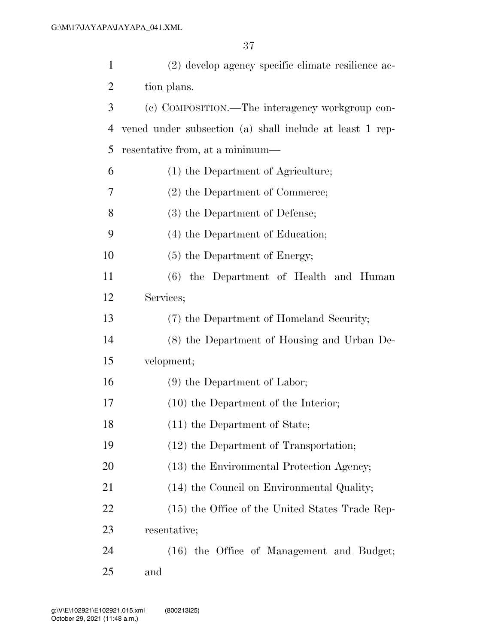| $\mathbf{1}$   | (2) develop agency specific climate resilience ac-       |
|----------------|----------------------------------------------------------|
| $\overline{2}$ | tion plans.                                              |
| 3              | (c) COMPOSITION.—The interagency workgroup con-          |
| 4              | vened under subsection (a) shall include at least 1 rep- |
| 5              | resentative from, at a minimum—                          |
| 6              | (1) the Department of Agriculture;                       |
| 7              | (2) the Department of Commerce;                          |
| 8              | (3) the Department of Defense;                           |
| 9              | (4) the Department of Education;                         |
| 10             | (5) the Department of Energy;                            |
| 11             | (6) the Department of Health and Human                   |
| 12             | Services;                                                |
| 13             | (7) the Department of Homeland Security;                 |
| 14             | (8) the Department of Housing and Urban De-              |
| 15             | velopment;                                               |
| 16             | $(9)$ the Department of Labor;                           |
| 17             | $(10)$ the Department of the Interior;                   |
| 18             | $(11)$ the Department of State;                          |
| 19             | (12) the Department of Transportation;                   |
| 20             | (13) the Environmental Protection Agency;                |
| 21             | (14) the Council on Environmental Quality;               |
| 22             | (15) the Office of the United States Trade Rep-          |
| 23             | resentative;                                             |
| 24             | (16) the Office of Management and Budget;                |
| 25             | and                                                      |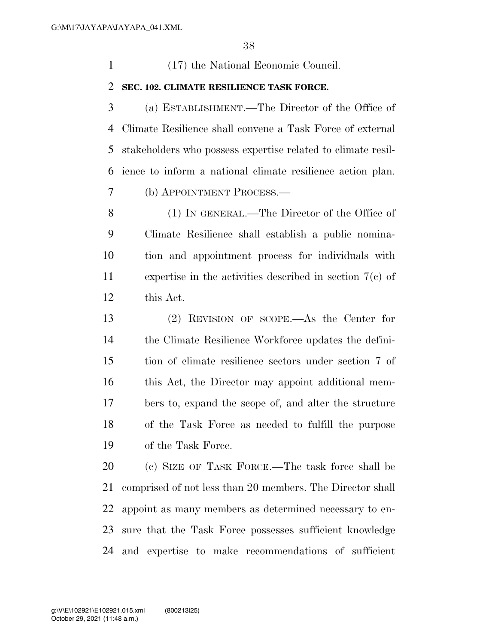(17) the National Economic Council.

#### **SEC. 102. CLIMATE RESILIENCE TASK FORCE.**

 (a) ESTABLISHMENT.—The Director of the Office of Climate Resilience shall convene a Task Force of external stakeholders who possess expertise related to climate resil- ience to inform a national climate resilience action plan. (b) APPOINTMENT PROCESS.—

 (1) IN GENERAL.—The Director of the Office of Climate Resilience shall establish a public nomina- tion and appointment process for individuals with expertise in the activities described in section 7(c) of this Act.

 (2) REVISION OF SCOPE.—As the Center for the Climate Resilience Workforce updates the defini- tion of climate resilience sectors under section 7 of this Act, the Director may appoint additional mem- bers to, expand the scope of, and alter the structure of the Task Force as needed to fulfill the purpose of the Task Force.

 (c) SIZE OF TASK FORCE.—The task force shall be comprised of not less than 20 members. The Director shall appoint as many members as determined necessary to en- sure that the Task Force possesses sufficient knowledge and expertise to make recommendations of sufficient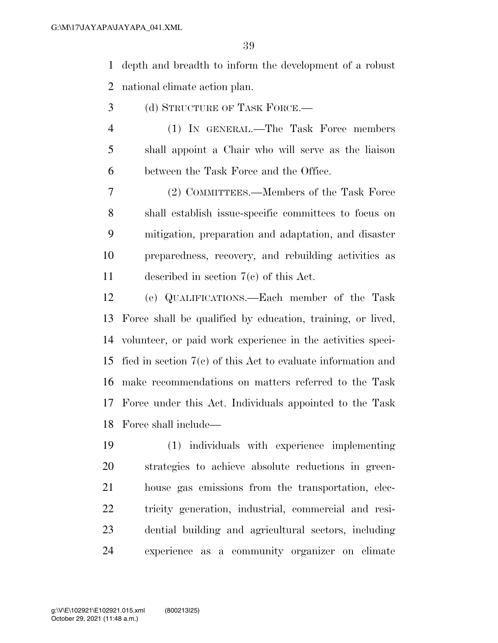depth and breadth to inform the development of a robust national climate action plan.

- (d) STRUCTURE OF TASK FORCE.—
- (1) IN GENERAL.—The Task Force members shall appoint a Chair who will serve as the liaison between the Task Force and the Office.

 (2) COMMITTEES.—Members of the Task Force shall establish issue-specific committees to focus on mitigation, preparation and adaptation, and disaster preparedness, recovery, and rebuilding activities as described in section 7(c) of this Act.

 (e) QUALIFICATIONS.—Each member of the Task Force shall be qualified by education, training, or lived, volunteer, or paid work experience in the activities speci- fied in section 7(c) of this Act to evaluate information and make recommendations on matters referred to the Task Force under this Act. Individuals appointed to the Task Force shall include—

 (1) individuals with experience implementing strategies to achieve absolute reductions in green- house gas emissions from the transportation, elec- tricity generation, industrial, commercial and resi- dential building and agricultural sectors, including experience as a community organizer on climate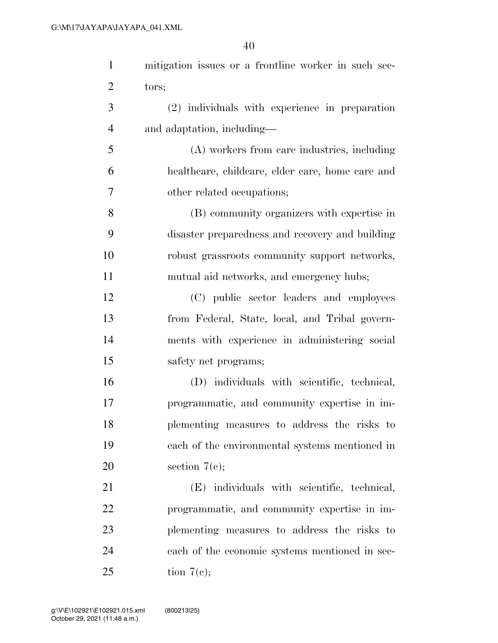| $\mathbf{1}$   | mitigation issues or a frontline worker in such sec- |
|----------------|------------------------------------------------------|
| $\overline{2}$ | tors;                                                |
| 3              | (2) individuals with experience in preparation       |
| $\overline{4}$ | and adaptation, including—                           |
| 5              | (A) workers from care industries, including          |
| 6              | healthcare, childcare, elder care, home care and     |
| 7              | other related occupations;                           |
| 8              | (B) community organizers with expertise in           |
| 9              | disaster preparedness and recovery and building      |
| 10             | robust grassroots community support networks,        |
| 11             | mutual aid networks, and emergency hubs;             |
| 12             | (C) public sector leaders and employees              |
| 13             | from Federal, State, local, and Tribal govern-       |
| 14             | ments with experience in administering social        |
| 15             | safety net programs;                                 |
| 16             | (D) individuals with scientific, technical,          |
| 17             | programmatic, and community expertise in im-         |
| 18             | plementing measures to address the risks to          |
| 19             | each of the environmental systems mentioned in       |
| 20             | section $7(e)$ ;                                     |
| 21             | (E) individuals with scientific, technical,          |
| 22             | programmatic, and community expertise in im-         |
| 23             | plementing measures to address the risks to          |
| 24             | each of the economic systems mentioned in sec-       |
| 25             | tion $7(e)$ ;                                        |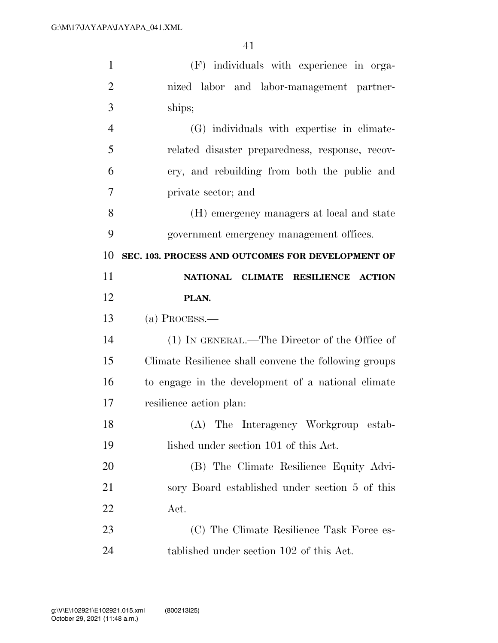| $\mathbf{1}$   | (F) individuals with experience in orga-              |
|----------------|-------------------------------------------------------|
| $\overline{2}$ | nized labor and labor-management partner-             |
| 3              | ships;                                                |
| $\overline{4}$ | (G) individuals with expertise in climate-            |
| 5              | related disaster preparedness, response, recov-       |
| 6              | ery, and rebuilding from both the public and          |
| 7              | private sector; and                                   |
| 8              | (H) emergency managers at local and state             |
| 9              | government emergency management offices.              |
| 10             | SEC. 103. PROCESS AND OUTCOMES FOR DEVELOPMENT OF     |
| 11             | NATIONAL CLIMATE RESILIENCE ACTION                    |
| 12             | PLAN.                                                 |
|                |                                                       |
| 13             | $(a)$ Process.—                                       |
| 14             | (1) IN GENERAL.—The Director of the Office of         |
| 15             | Climate Resilience shall convene the following groups |
| 16             | to engage in the development of a national climate    |
| 17             | resilience action plan:                               |
| 18             | (A) The Interagency Workgroup estab-                  |
| 19             | lished under section 101 of this Act.                 |
| 20             | (B) The Climate Resilience Equity Advi-               |
| 21             | sory Board established under section 5 of this        |
| 22             | Act.                                                  |
| 23             | (C) The Climate Resilience Task Force es-             |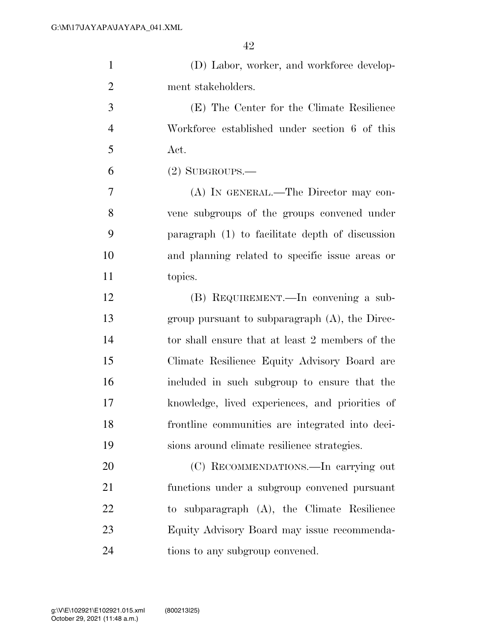| $\mathbf{1}$   | (D) Labor, worker, and workforce develop-         |
|----------------|---------------------------------------------------|
| $\overline{2}$ | ment stakeholders.                                |
| 3              | (E) The Center for the Climate Resilience         |
| $\overline{4}$ | Workforce established under section 6 of this     |
| 5              | Act.                                              |
| 6              | $(2)$ SUBGROUPS.—                                 |
| 7              | (A) IN GENERAL.—The Director may con-             |
| 8              | vene subgroups of the groups convened under       |
| 9              | paragraph (1) to facilitate depth of discussion   |
| 10             | and planning related to specific issue areas or   |
| 11             | topics.                                           |
| 12             | (B) REQUIREMENT.—In convening a sub-              |
| 13             | group pursuant to subparagraph $(A)$ , the Direc- |
| 14             | tor shall ensure that at least 2 members of the   |
| 15             | Climate Resilience Equity Advisory Board are      |
| 16             | included in such subgroup to ensure that the      |
| 17             | knowledge, lived experiences, and priorities of   |
| 18             | frontline communities are integrated into deci-   |
| 19             | sions around climate resilience strategies.       |
| 20             | (C) RECOMMENDATIONS.—In carrying out              |
| 21             | functions under a subgroup convened pursuant      |
| 22             | to subparagraph (A), the Climate Resilience       |
| 23             | Equity Advisory Board may issue recommenda-       |
| 24             | tions to any subgroup convened.                   |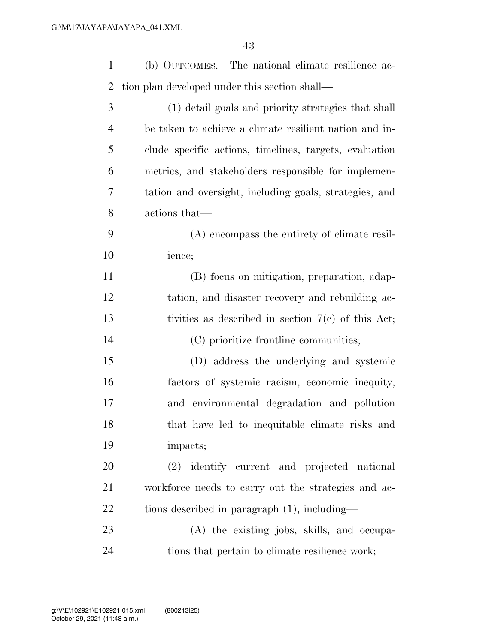| $\mathbf{1}$   | (b) OUTCOMES.—The national climate resilience ac-         |
|----------------|-----------------------------------------------------------|
| $\overline{2}$ | tion plan developed under this section shall—             |
| 3              | (1) detail goals and priority strategies that shall       |
| $\overline{4}$ | be taken to achieve a climate resilient nation and in-    |
| 5              | clude specific actions, timelines, targets, evaluation    |
| 6              | metrics, and stakeholders responsible for implemen-       |
| 7              | tation and oversight, including goals, strategies, and    |
| 8              | actions that—                                             |
| 9              | (A) encompass the entirety of climate resil-              |
| 10             | ience;                                                    |
| 11             | (B) focus on mitigation, preparation, adap-               |
| 12             | tation, and disaster recovery and rebuilding ac-          |
| 13             | tivities as described in section $7(e)$ of this Act;      |
| 14             | (C) prioritize frontline communities;                     |
| 15             | (D) address the underlying and systemic                   |
| 16             | factors of systemic racism, economic inequity,            |
| 17             | and environmental degradation and pollution               |
| 18             | that have led to inequitable climate risks and            |
| 19             | impacts;                                                  |
| 20             | identify current and projected national<br><sup>(2)</sup> |
| 21             | workforce needs to carry out the strategies and ac-       |
| 22             | tions described in paragraph $(1)$ , including—           |
| 23             | (A) the existing jobs, skills, and occupa-                |
| 24             | tions that pertain to climate resilience work;            |
|                |                                                           |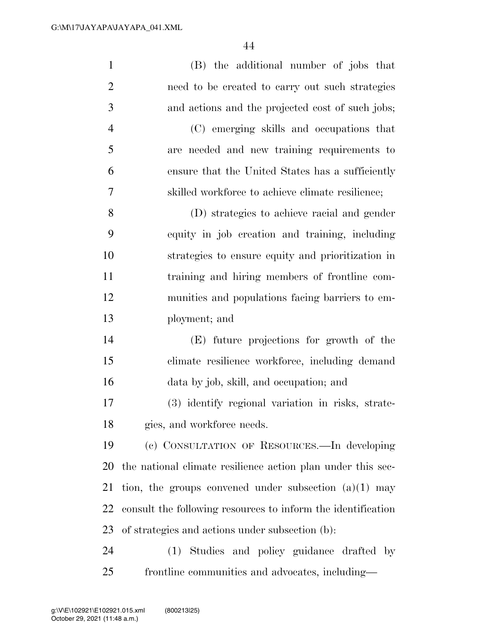| $\mathbf{1}$   | (B) the additional number of jobs that                       |
|----------------|--------------------------------------------------------------|
| $\overline{2}$ | need to be created to carry out such strategies              |
| 3              | and actions and the projected cost of such jobs;             |
| $\overline{4}$ | (C) emerging skills and occupations that                     |
| 5              | are needed and new training requirements to                  |
| 6              | ensure that the United States has a sufficiently             |
| 7              | skilled workforce to achieve climate resilience;             |
| 8              | (D) strategies to achieve racial and gender                  |
| 9              | equity in job creation and training, including               |
| 10             | strategies to ensure equity and prioritization in            |
| 11             | training and hiring members of frontline com-                |
| 12             | munities and populations facing barriers to em-              |
| 13             | ployment; and                                                |
| 14             | (E) future projections for growth of the                     |
| 15             | climate resilience workforce, including demand               |
| 16             | data by job, skill, and occupation; and                      |
| 17             | (3) identify regional variation in risks, strate-            |
| 18             | gies, and workforce needs.                                   |
| 19             | (c) CONSULTATION OF RESOURCES.—In developing                 |
| 20             | the national climate resilience action plan under this sec-  |
| 21             | tion, the groups convened under subsection $(a)(1)$ may      |
| 22             | consult the following resources to inform the identification |
| 23             | of strategies and actions under subsection (b):              |
| 24             | Studies and policy guidance drafted by<br>(1)                |
| 25             | frontline communities and advocates, including—              |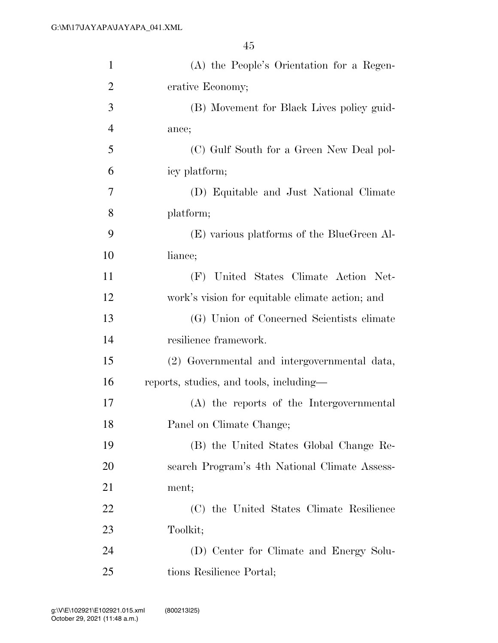| $\mathbf{1}$   | (A) the People's Orientation for a Regen-       |
|----------------|-------------------------------------------------|
| $\overline{2}$ | erative Economy;                                |
| 3              | (B) Movement for Black Lives policy guid-       |
| $\overline{4}$ | ance;                                           |
| 5              | (C) Gulf South for a Green New Deal pol-        |
| 6              | icy platform;                                   |
| 7              | (D) Equitable and Just National Climate         |
| 8              | platform;                                       |
| 9              | (E) various platforms of the BlueGreen Al-      |
| 10             | liance;                                         |
| 11             | (F) United States Climate Action Net-           |
| 12             | work's vision for equitable climate action; and |
| 13             | (G) Union of Concerned Scientists climate       |
| 14             | resilience framework.                           |
| 15             | (2) Governmental and intergovernmental data,    |
| 16             | reports, studies, and tools, including—         |
| 17             | (A) the reports of the Intergovernmental        |
| 18             | Panel on Climate Change;                        |
| 19             | (B) the United States Global Change Re-         |
| 20             | search Program's 4th National Climate Assess-   |
| 21             | ment;                                           |
| 22             | (C) the United States Climate Resilience        |
| 23             | Toolkit;                                        |
| 24             | (D) Center for Climate and Energy Solu-         |
| 25             | tions Resilience Portal;                        |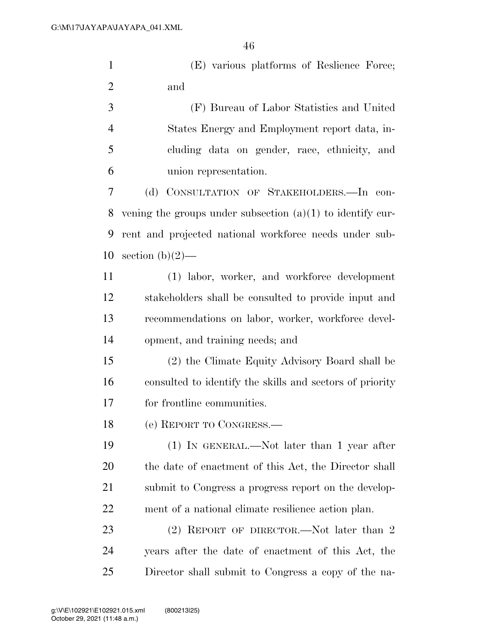(E) various platforms of Reslience Force; and

 (F) Bureau of Labor Statistics and United States Energy and Employment report data, in- cluding data on gender, race, ethnicity, and union representation.

 (d) CONSULTATION OF STAKEHOLDERS.—In con- vening the groups under subsection (a)(1) to identify cur- rent and projected national workforce needs under sub-10 section  $(b)(2)$ —

 (1) labor, worker, and workforce development stakeholders shall be consulted to provide input and recommendations on labor, worker, workforce devel-opment, and training needs; and

 (2) the Climate Equity Advisory Board shall be consulted to identify the skills and sectors of priority for frontline communities.

(e) REPORT TO CONGRESS.—

 (1) IN GENERAL.—Not later than 1 year after the date of enactment of this Act, the Director shall 21 submit to Congress a progress report on the develop-ment of a national climate resilience action plan.

23 (2) REPORT OF DIRECTOR.—Not later than 2 years after the date of enactment of this Act, the Director shall submit to Congress a copy of the na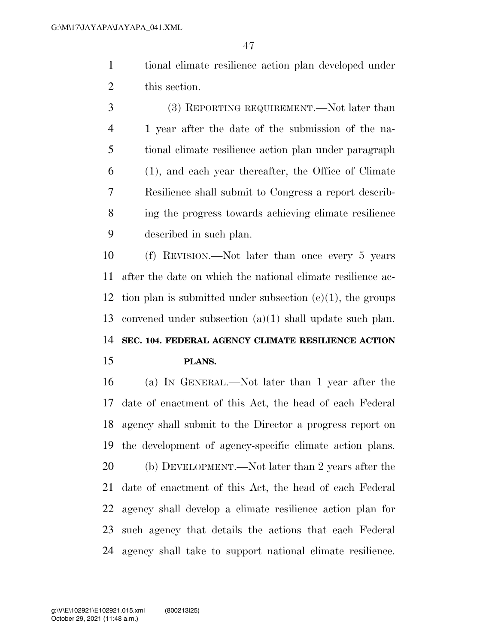tional climate resilience action plan developed under this section.

 (3) REPORTING REQUIREMENT.—Not later than 1 year after the date of the submission of the na- tional climate resilience action plan under paragraph (1), and each year thereafter, the Office of Climate Resilience shall submit to Congress a report describ- ing the progress towards achieving climate resilience described in such plan.

 (f) REVISION.—Not later than once every 5 years after the date on which the national climate resilience ac- tion plan is submitted under subsection (e)(1), the groups convened under subsection (a)(1) shall update such plan. **SEC. 104. FEDERAL AGENCY CLIMATE RESILIENCE ACTION** 

#### **PLANS.**

 (a) IN GENERAL.—Not later than 1 year after the date of enactment of this Act, the head of each Federal agency shall submit to the Director a progress report on the development of agency-specific climate action plans. (b) DEVELOPMENT.—Not later than 2 years after the date of enactment of this Act, the head of each Federal agency shall develop a climate resilience action plan for such agency that details the actions that each Federal agency shall take to support national climate resilience.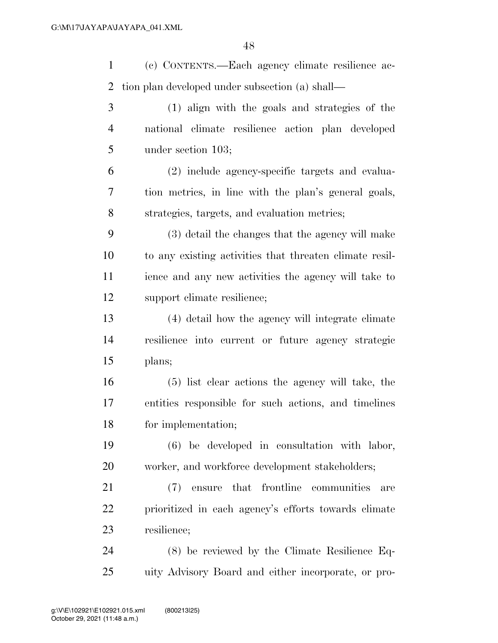(c) CONTENTS.—Each agency climate resilience ac-tion plan developed under subsection (a) shall—

 (1) align with the goals and strategies of the national climate resilience action plan developed under section 103;

 (2) include agency-specific targets and evalua- tion metrics, in line with the plan's general goals, strategies, targets, and evaluation metrics;

 (3) detail the changes that the agency will make to any existing activities that threaten climate resil- ience and any new activities the agency will take to support climate resilience;

 (4) detail how the agency will integrate climate resilience into current or future agency strategic plans;

 (5) list clear actions the agency will take, the entities responsible for such actions, and timelines for implementation;

 (6) be developed in consultation with labor, 20 worker, and workforce development stakeholders;

 (7) ensure that frontline communities are prioritized in each agency's efforts towards climate resilience;

 (8) be reviewed by the Climate Resilience Eq-uity Advisory Board and either incorporate, or pro-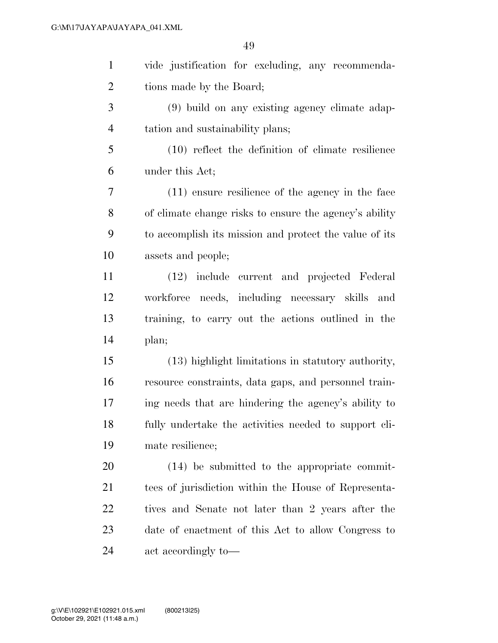| $\mathbf{1}$   | vide justification for excluding, any recommenda-      |
|----------------|--------------------------------------------------------|
| $\overline{2}$ | tions made by the Board;                               |
| 3              | (9) build on any existing agency climate adap-         |
| $\overline{4}$ | tation and sustainability plans;                       |
| 5              | $(10)$ reflect the definition of climate resilience    |
| 6              | under this Act;                                        |
| 7              | $(11)$ ensure resilience of the agency in the face     |
| 8              | of climate change risks to ensure the agency's ability |
| 9              | to accomplish its mission and protect the value of its |
| 10             | assets and people;                                     |
| 11             | (12) include current and projected Federal             |
| 12             | workforce needs, including necessary skills<br>and     |
| 13             | training, to carry out the actions outlined in the     |
| 14             | plan;                                                  |
| 15             | (13) highlight limitations in statutory authority,     |
| 16             | resource constraints, data gaps, and personnel train-  |
| 17             | ing needs that are hindering the agency's ability to   |
| 18             | fully undertake the activities needed to support cli-  |
| 19             | mate resilience;                                       |
| 20             | (14) be submitted to the appropriate commit-           |
| 21             | tees of jurisdiction within the House of Representa-   |
| 22             | tives and Senate not later than 2 years after the      |
| 23             | date of enactment of this Act to allow Congress to     |
| 24             | act accordingly to-                                    |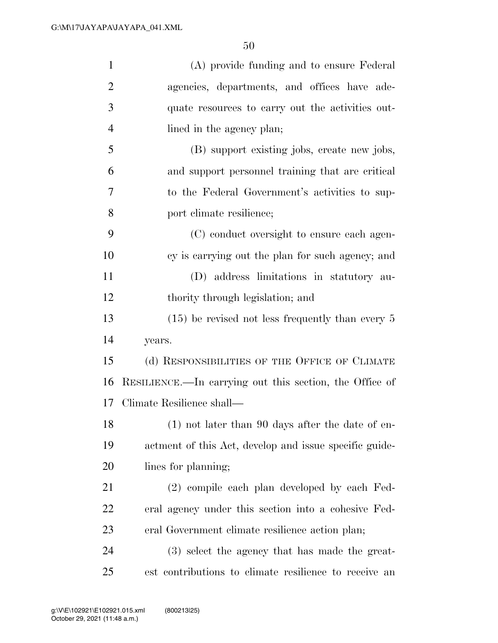| $\mathbf{1}$   | (A) provide funding and to ensure Federal               |
|----------------|---------------------------------------------------------|
| $\overline{2}$ | agencies, departments, and offices have ade-            |
| 3              | quate resources to carry out the activities out-        |
| $\overline{4}$ | lined in the agency plan;                               |
| 5              | (B) support existing jobs, create new jobs,             |
| 6              | and support personnel training that are critical        |
| 7              | to the Federal Government's activities to sup-          |
| 8              | port climate resilience;                                |
| 9              | (C) conduct oversight to ensure each agen-              |
| 10             | cy is carrying out the plan for such agency; and        |
| 11             | (D) address limitations in statutory au-                |
| 12             | thority through legislation; and                        |
| 13             | $(15)$ be revised not less frequently than every 5      |
| 14             | years.                                                  |
| 15             | (d) RESPONSIBILITIES OF THE OFFICE OF CLIMATE           |
| 16             | RESILIENCE.—In carrying out this section, the Office of |
| 17             | Climate Resilience shall—                               |
| 18             | $(1)$ not later than 90 days after the date of en-      |
| 19             | actment of this Act, develop and issue specific guide-  |
| <b>20</b>      | lines for planning;                                     |
| 21             | (2) compile each plan developed by each Fed-            |
| <u>22</u>      | eral agency under this section into a cohesive Fed-     |
| 23             | eral Government climate resilience action plan;         |
| 24             | (3) select the agency that has made the great-          |
| 25             | est contributions to climate resilience to receive an   |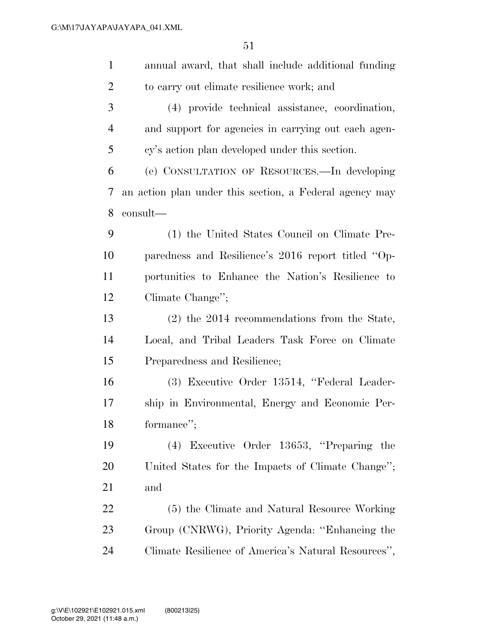| $\mathbf{1}$   | annual award, that shall include additional funding     |
|----------------|---------------------------------------------------------|
| $\overline{2}$ | to carry out climate resilience work; and               |
| 3              | (4) provide technical assistance, coordination,         |
| $\overline{4}$ | and support for agencies in carrying out each agen-     |
| 5              | cy's action plan developed under this section.          |
| 6              | (e) CONSULTATION OF RESOURCES.—In developing            |
| 7              | an action plan under this section, a Federal agency may |
| 8              | consult—                                                |
| 9              | (1) the United States Council on Climate Pre-           |
| 10             | paredness and Resilience's 2016 report titled "Op-      |
| 11             | portunities to Enhance the Nation's Resilience to       |
| 12             | Climate Change";                                        |
| 13             | $(2)$ the 2014 recommendations from the State,          |
| 14             | Local, and Tribal Leaders Task Force on Climate         |
| 15             | Preparedness and Resilience;                            |
| 16             | (3) Executive Order 13514, "Federal Leader-             |
| 17             | ship in Environmental, Energy and Economic Per-         |
| 18             | formance";                                              |
| 19             | (4) Executive Order 13653, "Preparing the               |
| 20             | United States for the Impacts of Climate Change";       |
| 21             | and                                                     |
| 22             | (5) the Climate and Natural Resource Working            |
| 23             | Group (CNRWG), Priority Agenda: "Enhancing the          |
| 24             | Climate Resilience of America's Natural Resources",     |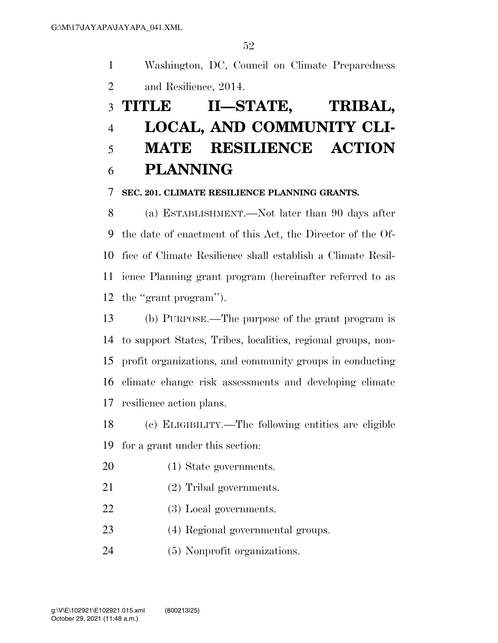Washington, DC, Council on Climate Preparedness and Resilience, 2014.

# **TITLE II—STATE, TRIBAL, LOCAL, AND COMMUNITY CLI- MATE RESILIENCE ACTION PLANNING**

#### **SEC. 201. CLIMATE RESILIENCE PLANNING GRANTS.**

 (a) ESTABLISHMENT.—Not later than 90 days after the date of enactment of this Act, the Director of the Of- fice of Climate Resilience shall establish a Climate Resil- ience Planning grant program (hereinafter referred to as the ''grant program'').

 (b) PURPOSE.—The purpose of the grant program is to support States, Tribes, localities, regional groups, non- profit organizations, and community groups in conducting climate change risk assessments and developing climate resilience action plans.

 (c) ELIGIBILITY.—The following entities are eligible for a grant under this section:

(1) State governments.

- (2) Tribal governments.
- (3) Local governments.
- (4) Regional governmental groups.
- (5) Nonprofit organizations.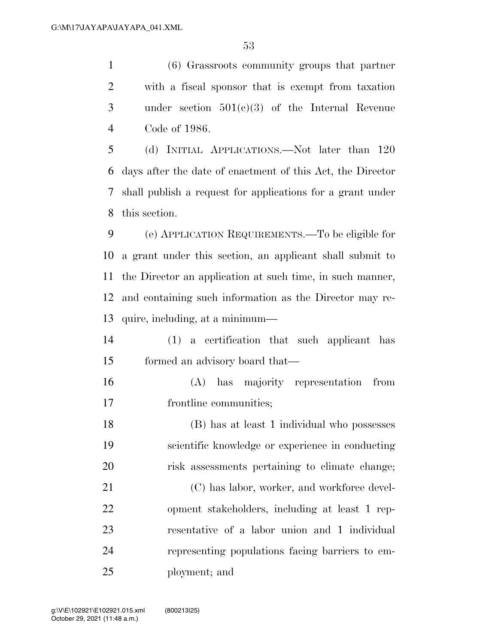(6) Grassroots community groups that partner with a fiscal sponsor that is exempt from taxation under section 501(c)(3) of the Internal Revenue Code of 1986.

 (d) INITIAL APPLICATIONS.—Not later than 120 days after the date of enactment of this Act, the Director shall publish a request for applications for a grant under this section.

 (e) APPLICATION REQUIREMENTS.—To be eligible for a grant under this section, an applicant shall submit to the Director an application at such time, in such manner, and containing such information as the Director may re-quire, including, at a minimum—

- (1) a certification that such applicant has formed an advisory board that—
- (A) has majority representation from frontline communities;
- (B) has at least 1 individual who possesses scientific knowledge or experience in conducting risk assessments pertaining to climate change;

21 (C) has labor, worker, and workforce devel- opment stakeholders, including at least 1 rep- resentative of a labor union and 1 individual representing populations facing barriers to em-ployment; and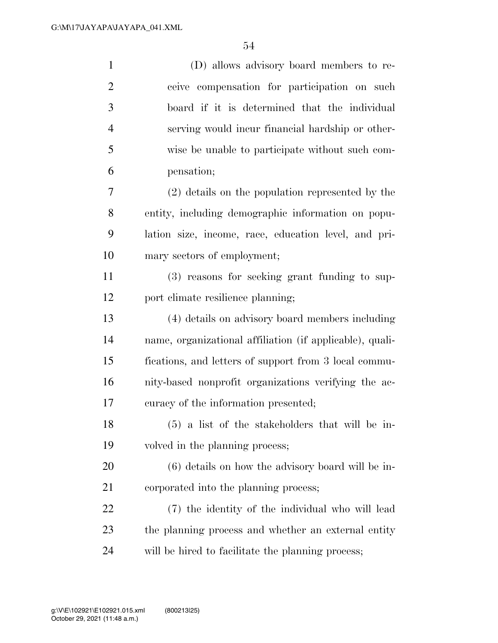| $\mathbf{1}$   | (D) allows advisory board members to re-                 |
|----------------|----------------------------------------------------------|
| $\overline{2}$ | ceive compensation for participation on such             |
| 3              | board if it is determined that the individual            |
| $\overline{4}$ | serving would incur financial hardship or other-         |
| 5              | wise be unable to participate without such com-          |
| 6              | pensation;                                               |
| 7              | $(2)$ details on the population represented by the       |
| 8              | entity, including demographic information on popu-       |
| 9              | lation size, income, race, education level, and pri-     |
| 10             | mary sectors of employment;                              |
| 11             | (3) reasons for seeking grant funding to sup-            |
| 12             | port climate resilience planning;                        |
| 13             | (4) details on advisory board members including          |
| 14             | name, organizational affiliation (if applicable), quali- |
| 15             | fications, and letters of support from 3 local commu-    |
| 16             | nity-based nonprofit organizations verifying the ac-     |
| 17             | curacy of the information presented;                     |
| 18             | $(5)$ a list of the stakeholders that will be in-        |
| 19             | volved in the planning process;                          |
| 20             | $(6)$ details on how the advisory board will be in-      |
| 21             | corporated into the planning process;                    |
| 22             | (7) the identity of the individual who will lead         |
| 23             | the planning process and whether an external entity      |
| 24             | will be hired to facilitate the planning process;        |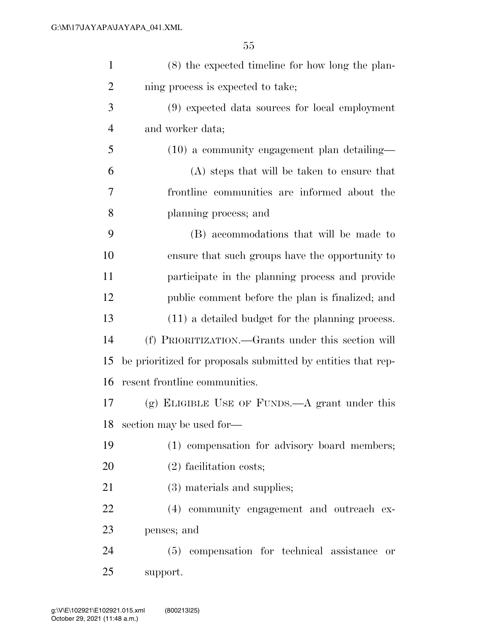| $\mathbf{1}$   | $(8)$ the expected timeline for how long the plan-           |
|----------------|--------------------------------------------------------------|
| $\overline{2}$ | ning process is expected to take;                            |
| 3              | (9) expected data sources for local employment               |
| $\overline{4}$ | and worker data;                                             |
| 5              | $(10)$ a community engagement plan detailing—                |
| 6              | (A) steps that will be taken to ensure that                  |
| 7              | frontline communities are informed about the                 |
| 8              | planning process; and                                        |
| 9              | (B) accommodations that will be made to                      |
| 10             | ensure that such groups have the opportunity to              |
| 11             | participate in the planning process and provide              |
| 12             | public comment before the plan is finalized; and             |
| 13             | (11) a detailed budget for the planning process.             |
| 14             | (f) PRIORITIZATION.—Grants under this section will           |
| 15             | be prioritized for proposals submitted by entities that rep- |
| 16             | resent frontline communities.                                |
| 17             | $(g)$ ELIGIBLE USE OF FUNDS.—A grant under this              |
|                | 18 section may be used for-                                  |
| 19             | (1) compensation for advisory board members;                 |
| 20             | $(2)$ facilitation costs;                                    |
| 21             | (3) materials and supplies;                                  |
| 22             | (4) community engagement and outreach ex-                    |
| 23             | penses; and                                                  |
| 24             | (5) compensation for technical assistance<br><b>or</b>       |
| 25             | support.                                                     |
|                |                                                              |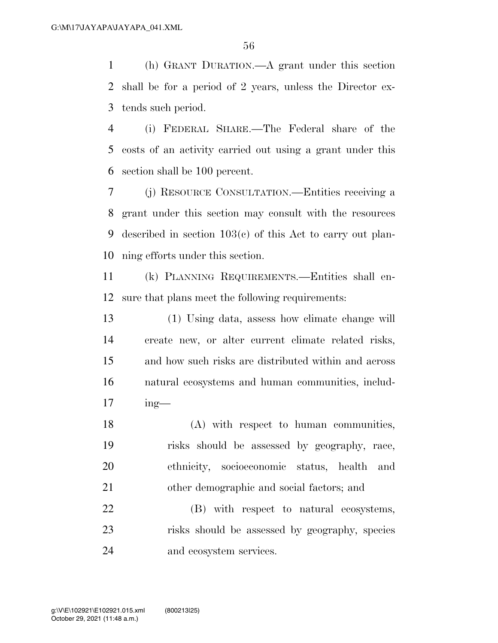(h) GRANT DURATION.—A grant under this section shall be for a period of 2 years, unless the Director ex-tends such period.

 (i) FEDERAL SHARE.—The Federal share of the costs of an activity carried out using a grant under this section shall be 100 percent.

 (j) RESOURCE CONSULTATION.—Entities receiving a grant under this section may consult with the resources described in section 103(c) of this Act to carry out plan-ning efforts under this section.

 (k) PLANNING REQUIREMENTS.—Entities shall en-sure that plans meet the following requirements:

 (1) Using data, assess how climate change will create new, or alter current climate related risks, and how such risks are distributed within and across natural ecosystems and human communities, includ-ing—

 (A) with respect to human communities, risks should be assessed by geography, race, ethnicity, socioeconomic status, health and other demographic and social factors; and

 (B) with respect to natural ecosystems, risks should be assessed by geography, species and ecosystem services.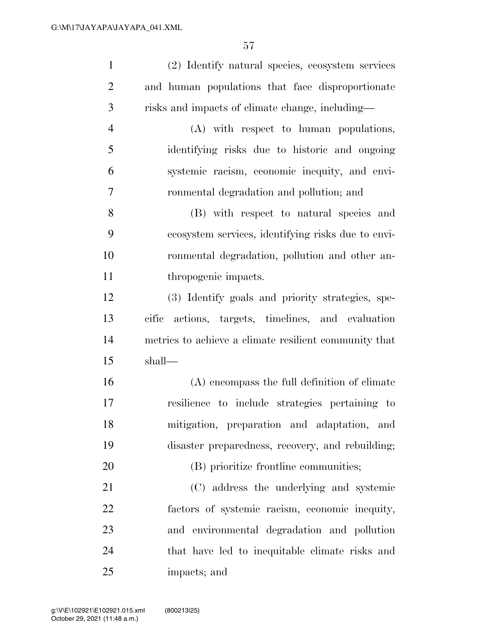| $\mathbf{1}$   | (2) Identify natural species, ecosystem services      |
|----------------|-------------------------------------------------------|
| $\mathbf{2}$   | and human populations that face disproportionate      |
| 3              | risks and impacts of climate change, including—       |
| $\overline{4}$ | (A) with respect to human populations,                |
| 5              | identifying risks due to historic and ongoing         |
| 6              | systemic racism, economic inequity, and envi-         |
| 7              | ronmental degradation and pollution; and              |
| 8              | (B) with respect to natural species and               |
| 9              | ecosystem services, identifying risks due to envi-    |
| 10             | ronmental degradation, pollution and other an-        |
| 11             | thropogenic impacts.                                  |
| 12             | (3) Identify goals and priority strategies, spe-      |
| 13             | actions, targets, timelines, and evaluation<br>cific  |
| 14             | metrics to achieve a climate resilient community that |
| 15             | shall—                                                |
| 16             | (A) encompass the full definition of climate          |
| 17             | resilience to include strategies pertaining to        |
| 18             | mitigation, preparation and adaptation, and           |
| 19             | disaster preparedness, recovery, and rebuilding;      |
| 20             | (B) prioritize frontline communities;                 |
| 21             | (C) address the underlying and systemic               |
| 22             | factors of systemic racism, economic inequity,        |
| 23             | and environmental degradation and pollution           |
| 24             | that have led to inequitable climate risks and        |
| 25             | impacts; and                                          |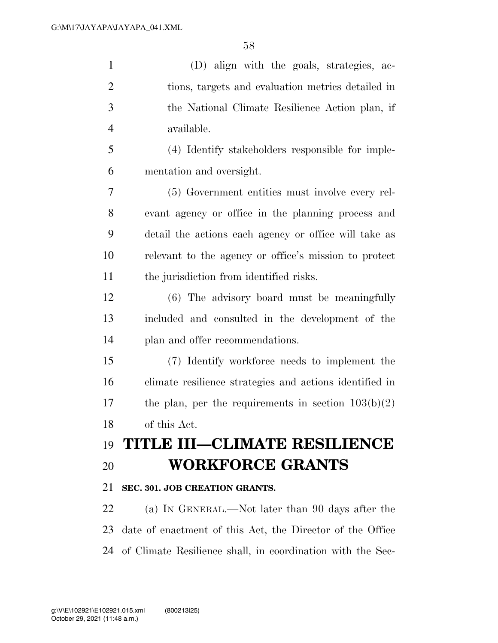(D) align with the goals, strategies, ac- tions, targets and evaluation metrics detailed in the National Climate Resilience Action plan, if available. (4) Identify stakeholders responsible for imple- mentation and oversight. (5) Government entities must involve every rel- evant agency or office in the planning process and detail the actions each agency or office will take as relevant to the agency or office's mission to protect the jurisdiction from identified risks. (6) The advisory board must be meaningfully included and consulted in the development of the plan and offer recommendations. (7) Identify workforce needs to implement the climate resilience strategies and actions identified in 17 the plan, per the requirements in section  $103(b)(2)$  of this Act. **TITLE III—CLIMATE RESILIENCE WORKFORCE GRANTS SEC. 301. JOB CREATION GRANTS.**  (a) IN GENERAL.—Not later than 90 days after the date of enactment of this Act, the Director of the Office

of Climate Resilience shall, in coordination with the Sec-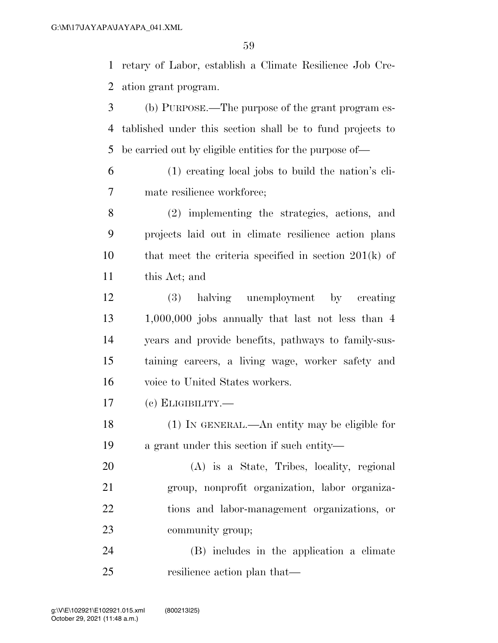retary of Labor, establish a Climate Resilience Job Cre-ation grant program.

- (b) PURPOSE.—The purpose of the grant program es- tablished under this section shall be to fund projects to be carried out by eligible entities for the purpose of—
- (1) creating local jobs to build the nation's cli-mate resilience workforce;
- (2) implementing the strategies, actions, and projects laid out in climate resilience action plans that meet the criteria specified in section 201(k) of this Act; and
- (3) halving unemployment by creating 1,000,000 jobs annually that last not less than 4 years and provide benefits, pathways to family-sus- taining careers, a living wage, worker safety and voice to United States workers.

(c) ELIGIBILITY.—

- (1) IN GENERAL.—An entity may be eligible for a grant under this section if such entity—
- (A) is a State, Tribes, locality, regional group, nonprofit organization, labor organiza- tions and labor-management organizations, or community group;
- (B) includes in the application a climate resilience action plan that—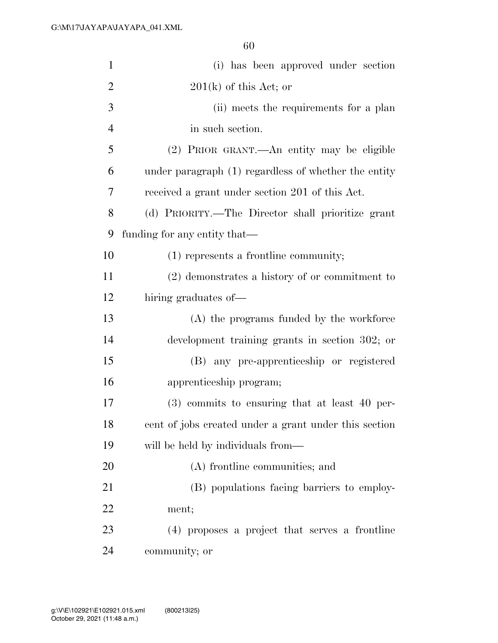| $\mathbf{1}$   | (i) has been approved under section                   |
|----------------|-------------------------------------------------------|
| $\overline{2}$ | $201(k)$ of this Act; or                              |
| 3              | (ii) meets the requirements for a plan                |
| $\overline{4}$ | in such section.                                      |
| 5              | (2) PRIOR GRANT.—An entity may be eligible            |
| 6              | under paragraph (1) regardless of whether the entity  |
| 7              | received a grant under section 201 of this Act.       |
| 8              | (d) PRIORITY.—The Director shall prioritize grant     |
| 9              | funding for any entity that—                          |
| 10             | $(1)$ represents a frontline community;               |
| 11             | $(2)$ demonstrates a history of or commitment to      |
| 12             | hiring graduates of—                                  |
| 13             | (A) the programs funded by the workforce              |
| 14             | development training grants in section 302; or        |
| 15             | (B) any pre-apprenticeship or registered              |
| 16             | apprenticeship program;                               |
| 17             | $(3)$ commits to ensuring that at least 40 per-       |
| 18             | cent of jobs created under a grant under this section |
| 19             | will be held by individuals from—                     |
| 20             | (A) frontline communities; and                        |
| 21             | (B) populations facing barriers to employ-            |
| 22             | ment;                                                 |
| 23             | (4) proposes a project that serves a frontline        |
| 24             | community; or                                         |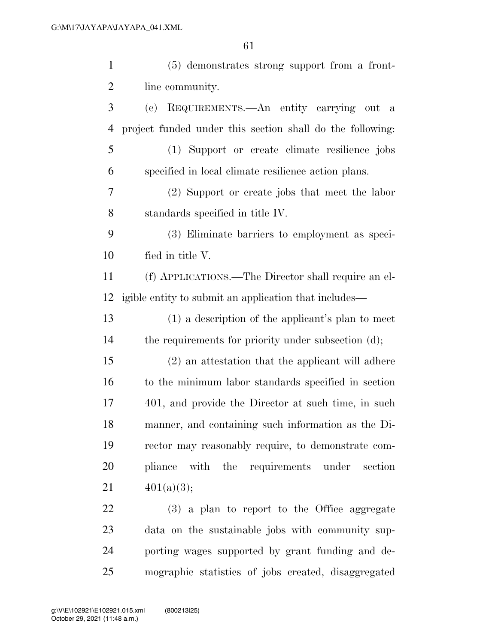| $\mathbf{1}$   | (5) demonstrates strong support from a front-             |
|----------------|-----------------------------------------------------------|
| $\overline{2}$ | line community.                                           |
| 3              | REQUIREMENTS.—An entity carrying out a<br>(e)             |
| 4              | project funded under this section shall do the following: |
| 5              | (1) Support or create climate resilience jobs             |
| 6              | specified in local climate resilience action plans.       |
| 7              | (2) Support or create jobs that meet the labor            |
| 8              | standards specified in title IV.                          |
| 9              | (3) Eliminate barriers to employment as speci-            |
| 10             | fied in title V.                                          |
| 11             | (f) APPLICATIONS.—The Director shall require an el-       |
| 12             | igible entity to submit an application that includes—     |
| 13             | $(1)$ a description of the applicant's plan to meet       |
| 14             | the requirements for priority under subsection (d);       |
| 15             | (2) an attestation that the applicant will adhere         |
| 16             | to the minimum labor standards specified in section       |
| 17             | 401, and provide the Director at such time, in such       |
| 18             | manner, and containing such information as the Di-        |
| 19             | rector may reasonably require, to demonstrate com-        |
| 20             | pliance with the requirements under section               |
| 21             | 401(a)(3);                                                |
| 22             | (3) a plan to report to the Office aggregate              |
| 23             | data on the sustainable jobs with community sup-          |
| 24             | porting wages supported by grant funding and de-          |

mographic statistics of jobs created, disaggregated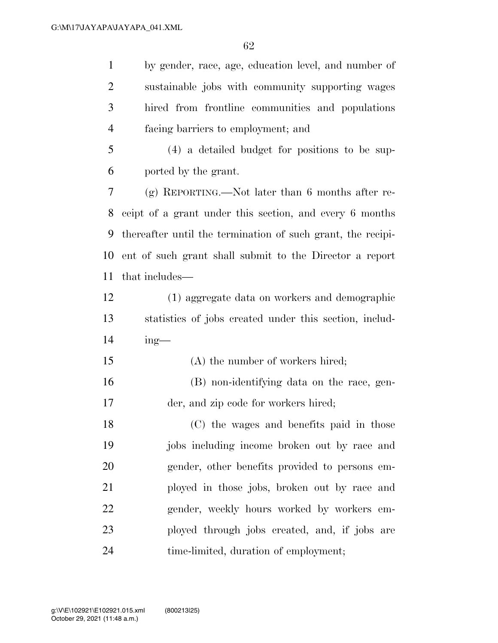by gender, race, age, education level, and number of sustainable jobs with community supporting wages hired from frontline communities and populations facing barriers to employment; and

 (4) a detailed budget for positions to be sup-ported by the grant.

 (g) REPORTING.—Not later than 6 months after re- ceipt of a grant under this section, and every 6 months thereafter until the termination of such grant, the recipi- ent of such grant shall submit to the Director a report that includes—

- (1) aggregate data on workers and demographic statistics of jobs created under this section, includ-ing—
- 15 (A) the number of workers hired; (B) non-identifying data on the race, gen-der, and zip code for workers hired;

 (C) the wages and benefits paid in those jobs including income broken out by race and gender, other benefits provided to persons em- ployed in those jobs, broken out by race and gender, weekly hours worked by workers em- ployed through jobs created, and, if jobs are time-limited, duration of employment;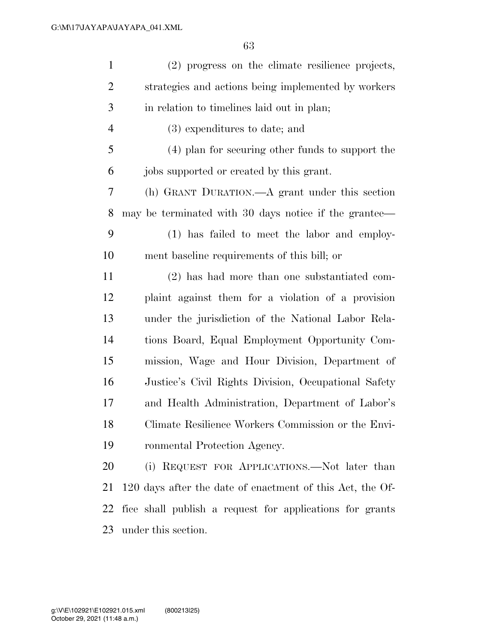| $\mathbf{1}$   | (2) progress on the climate resilience projects,          |
|----------------|-----------------------------------------------------------|
| $\mathbf{2}$   | strategies and actions being implemented by workers       |
| 3              | in relation to timelines laid out in plan;                |
| $\overline{4}$ | (3) expenditures to date; and                             |
| 5              | (4) plan for securing other funds to support the          |
| 6              | jobs supported or created by this grant.                  |
| $\tau$         | (h) GRANT DURATION.—A grant under this section            |
| 8              | may be terminated with 30 days notice if the grantee—     |
| 9              | (1) has failed to meet the labor and employ-              |
| 10             | ment baseline requirements of this bill; or               |
| 11             | (2) has had more than one substantiated com-              |
| 12             | plaint against them for a violation of a provision        |
| 13             | under the jurisdiction of the National Labor Rela-        |
| 14             | tions Board, Equal Employment Opportunity Com-            |
| 15             | mission, Wage and Hour Division, Department of            |
| 16             | Justice's Civil Rights Division, Occupational Safety      |
| 17             | and Health Administration, Department of Labor's          |
| 18             | Climate Resilience Workers Commission or the Envi-        |
| 19             | ronmental Protection Agency.                              |
| 20             | (i) REQUEST FOR APPLICATIONS.—Not later than              |
| 21             | 120 days after the date of enactment of this Act, the Of- |
| 22             | fice shall publish a request for applications for grants  |
| 23             | under this section.                                       |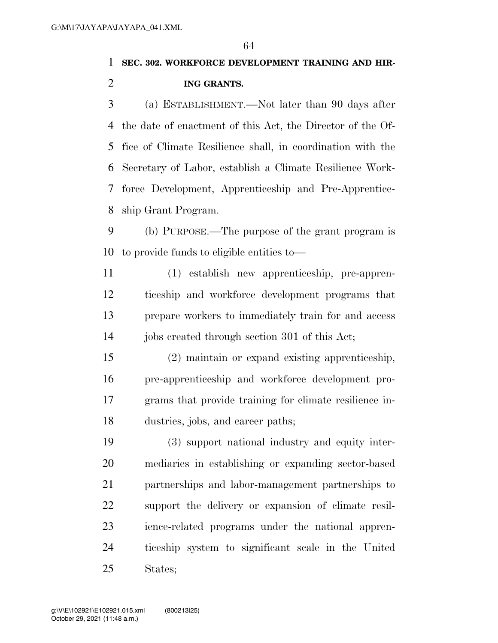### **SEC. 302. WORKFORCE DEVELOPMENT TRAINING AND HIR-ING GRANTS.**

 (a) ESTABLISHMENT.—Not later than 90 days after the date of enactment of this Act, the Director of the Of- fice of Climate Resilience shall, in coordination with the Secretary of Labor, establish a Climate Resilience Work- force Development, Apprenticeship and Pre-Apprentice-ship Grant Program.

 (b) PURPOSE.—The purpose of the grant program is to provide funds to eligible entities to—

 (1) establish new apprenticeship, pre-appren- ticeship and workforce development programs that prepare workers to immediately train for and access 14 jobs created through section 301 of this Act;

 (2) maintain or expand existing apprenticeship, pre-apprenticeship and workforce development pro- grams that provide training for climate resilience in-dustries, jobs, and career paths;

 (3) support national industry and equity inter- mediaries in establishing or expanding sector-based partnerships and labor-management partnerships to support the delivery or expansion of climate resil- ience-related programs under the national appren- ticeship system to significant scale in the United States;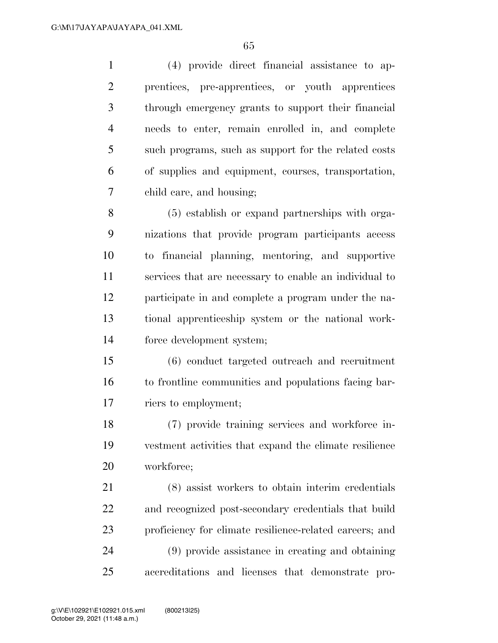(4) provide direct financial assistance to ap- prentices, pre-apprentices, or youth apprentices through emergency grants to support their financial needs to enter, remain enrolled in, and complete such programs, such as support for the related costs of supplies and equipment, courses, transportation, child care, and housing;

 (5) establish or expand partnerships with orga- nizations that provide program participants access to financial planning, mentoring, and supportive services that are necessary to enable an individual to participate in and complete a program under the na- tional apprenticeship system or the national work-force development system;

 (6) conduct targeted outreach and recruitment to frontline communities and populations facing bar-riers to employment;

 (7) provide training services and workforce in- vestment activities that expand the climate resilience workforce;

 (8) assist workers to obtain interim credentials and recognized post-secondary credentials that build proficiency for climate resilience-related careers; and (9) provide assistance in creating and obtaining accreditations and licenses that demonstrate pro-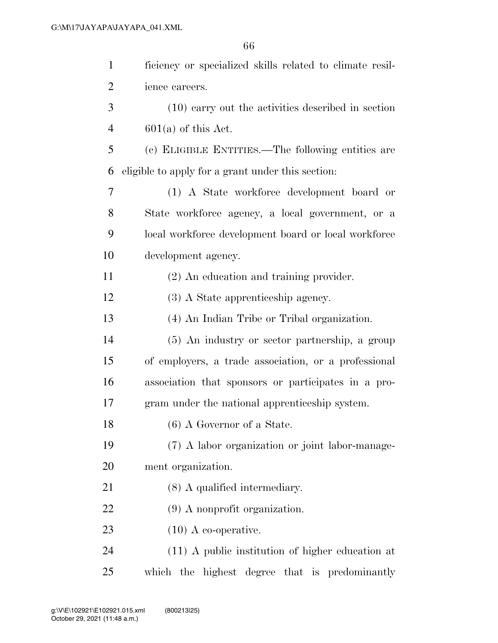| $\mathbf{1}$   | ficiency or specialized skills related to climate resil- |
|----------------|----------------------------------------------------------|
| $\overline{2}$ | ience careers.                                           |
| 3              | (10) carry out the activities described in section       |
| $\overline{4}$ | $601(a)$ of this Act.                                    |
| 5              | (c) ELIGIBLE ENTITIES.—The following entities are        |
| 6              | eligible to apply for a grant under this section:        |
| 7              | (1) A State workforce development board or               |
| 8              | State workforce agency, a local government, or a         |
| 9              | local workforce development board or local workforce     |
| 10             | development agency.                                      |
| 11             | (2) An education and training provider.                  |
| 12             | (3) A State apprenticeship agency.                       |
| 13             | (4) An Indian Tribe or Tribal organization.              |
| 14             | (5) An industry or sector partnership, a group           |
| 15             | of employers, a trade association, or a professional     |
| 16             | association that sponsors or participates in a pro-      |
| 17             | gram under the national apprenticeship system.           |
| 18             | $(6)$ A Governor of a State.                             |
| 19             | (7) A labor organization or joint labor-manage-          |
| 20             | ment organization.                                       |
| 21             | $(8)$ A qualified intermediary.                          |
| 22             | $(9)$ A nonprofit organization.                          |
| 23             | $(10)$ A co-operative.                                   |
| 24             | $(11)$ A public institution of higher education at       |
| 25             | which the highest degree that is predominantly           |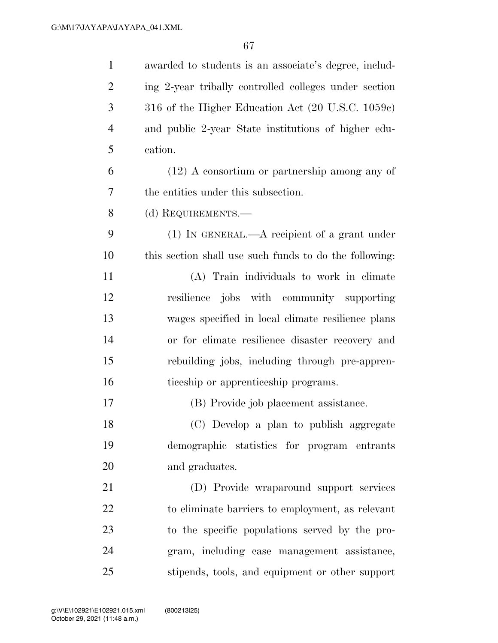| $\mathbf{1}$   | awarded to students is an associate's degree, includ-  |
|----------------|--------------------------------------------------------|
| $\overline{2}$ | ing 2-year tribally controlled colleges under section  |
| 3              | 316 of the Higher Education Act (20 U.S.C. 1059c)      |
| $\overline{4}$ | and public 2-year State institutions of higher edu-    |
| 5              | cation.                                                |
| 6              | $(12)$ A consortium or partnership among any of        |
| 7              | the entities under this subsection.                    |
| 8              | (d) REQUIREMENTS.-                                     |
| 9              | $(1)$ IN GENERAL.—A recipient of a grant under         |
| 10             | this section shall use such funds to do the following: |
| 11             | (A) Train individuals to work in climate               |
| 12             | resilience jobs with community supporting              |
| 13             | wages specified in local climate resilience plans      |
| 14             | or for climate resilience disaster recovery and        |
| 15             | rebuilding jobs, including through pre-appren-         |
| 16             | ticeship or apprenticeship programs.                   |
| 17             | (B) Provide job placement assistance.                  |
| 18             | (C) Develop a plan to publish aggregate                |
| 19             | demographic statistics for program entrants            |
| 20             | and graduates.                                         |
| 21             | (D) Provide wraparound support services                |
| 22             | to eliminate barriers to employment, as relevant       |
| 23             | to the specific populations served by the pro-         |
| 24             | gram, including case management assistance,            |
| 25             | stipends, tools, and equipment or other support        |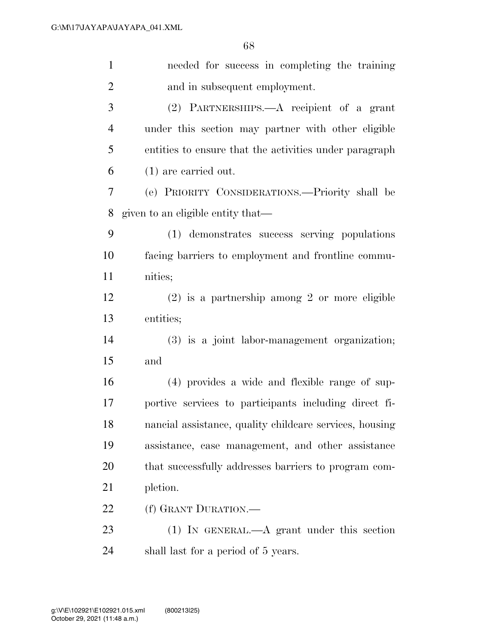| $\mathbf{1}$   | needed for success in completing the training           |
|----------------|---------------------------------------------------------|
| $\overline{2}$ | and in subsequent employment.                           |
| 3              | (2) PARTNERSHIPS.—A recipient of a grant                |
| $\overline{4}$ | under this section may partner with other eligible      |
| 5              | entities to ensure that the activities under paragraph  |
| 6              | $(1)$ are carried out.                                  |
| 7              | (e) PRIORITY CONSIDERATIONS.—Priority shall be          |
| 8              | given to an eligible entity that—                       |
| 9              | (1) demonstrates success serving populations            |
| 10             | facing barriers to employment and frontline commu-      |
| 11             | nities;                                                 |
| 12             | $(2)$ is a partnership among 2 or more eligible         |
| 13             | entities;                                               |
| 14             | (3) is a joint labor-management organization;           |
| 15             | and                                                     |
| 16             | (4) provides a wide and flexible range of sup-          |
| 17             | portive services to participants including direct fi-   |
| 18             | nancial assistance, quality childcare services, housing |
| 19             | assistance, case management, and other assistance       |
| 20             | that successfully addresses barriers to program com-    |
| 21             | pletion.                                                |
| 22             | (f) GRANT DURATION.—                                    |
| 23             | $(1)$ In GENERAL.—A grant under this section            |
| 24             | shall last for a period of 5 years.                     |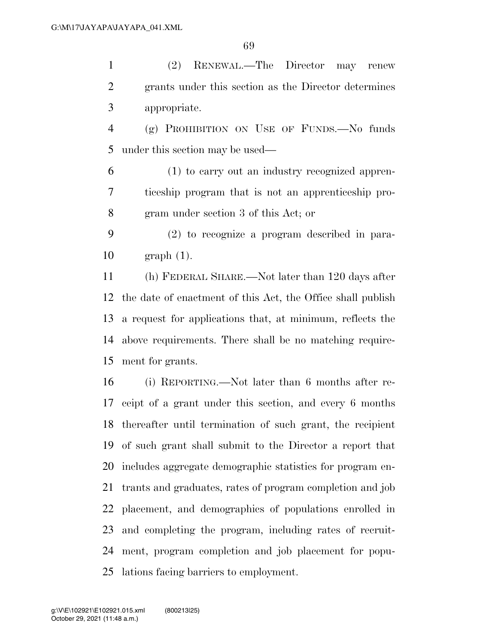(2) RENEWAL.—The Director may renew grants under this section as the Director determines appropriate.

 (g) PROHIBITION ON USE OF FUNDS.—No funds under this section may be used—

 (1) to carry out an industry recognized appren- ticeship program that is not an apprenticeship pro-gram under section 3 of this Act; or

 (2) to recognize a program described in para-graph (1).

 (h) FEDERAL SHARE.—Not later than 120 days after the date of enactment of this Act, the Office shall publish a request for applications that, at minimum, reflects the above requirements. There shall be no matching require-ment for grants.

 (i) REPORTING.—Not later than 6 months after re- ceipt of a grant under this section, and every 6 months thereafter until termination of such grant, the recipient of such grant shall submit to the Director a report that includes aggregate demographic statistics for program en- trants and graduates, rates of program completion and job placement, and demographics of populations enrolled in and completing the program, including rates of recruit- ment, program completion and job placement for popu-lations facing barriers to employment.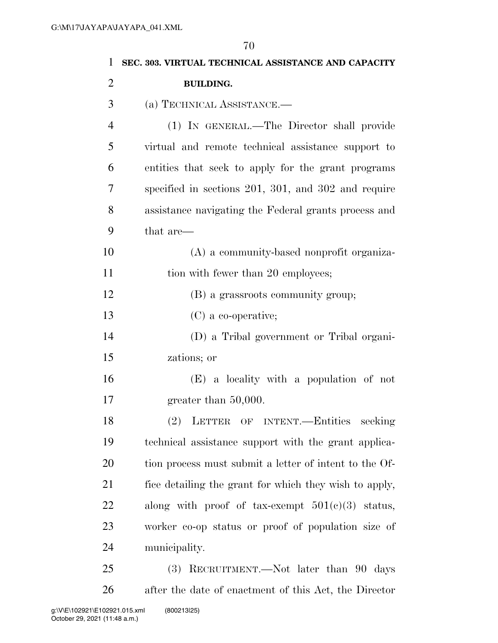| 1              | SEC. 303. VIRTUAL TECHNICAL ASSISTANCE AND CAPACITY    |
|----------------|--------------------------------------------------------|
| $\overline{2}$ | <b>BUILDING.</b>                                       |
| 3              | (a) TECHNICAL ASSISTANCE.                              |
| 4              | (1) IN GENERAL.—The Director shall provide             |
| 5              | virtual and remote technical assistance support to     |
| 6              | entities that seek to apply for the grant programs     |
| 7              | specified in sections 201, 301, and 302 and require    |
| 8              | assistance navigating the Federal grants process and   |
| 9              | that are—                                              |
| 10             | (A) a community-based nonprofit organiza-              |
| 11             | tion with fewer than 20 employees;                     |
| 12             | (B) a grassroots community group;                      |
| 13             | $(C)$ a co-operative;                                  |
| 14             | (D) a Tribal government or Tribal organi-              |
| 15             | zations; or                                            |
| 16             | (E) a locality with a population of not                |
| 17             | greater than $50,000$ .                                |
| 18             | (2) LETTER OF INTENT.-Entities<br>seeking              |
| 19             | technical assistance support with the grant applica-   |
| <b>20</b>      | tion process must submit a letter of intent to the Of- |
| 21             | fice detailing the grant for which they wish to apply, |
| 22             | along with proof of tax-exempt $501(e)(3)$ status,     |
| 23             | worker co-op status or proof of population size of     |
| 24             | municipality.                                          |
| 25             | (3) RECRUITMENT.—Not later than 90 days                |
| 26             | after the date of enactment of this Act, the Director  |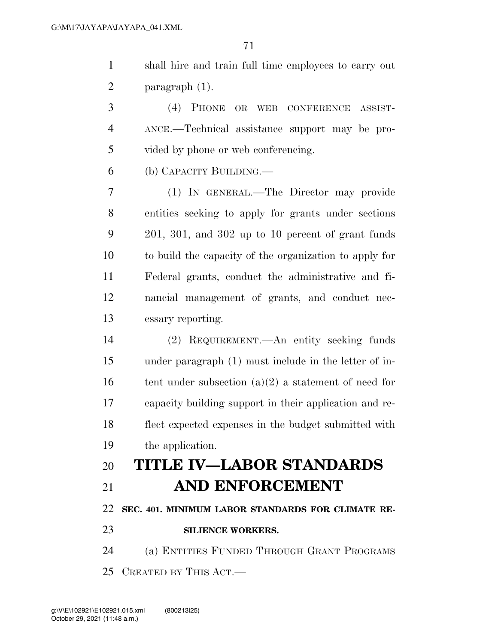shall hire and train full time employees to carry out paragraph (1).

 (4) PHONE OR WEB CONFERENCE ASSIST- ANCE.—Technical assistance support may be pro-vided by phone or web conferencing.

(b) CAPACITY BUILDING.—

 (1) IN GENERAL.—The Director may provide entities seeking to apply for grants under sections 201, 301, and 302 up to 10 percent of grant funds to build the capacity of the organization to apply for Federal grants, conduct the administrative and fi- nancial management of grants, and conduct nec-essary reporting.

 (2) REQUIREMENT.—An entity seeking funds under paragraph (1) must include in the letter of in-16 tent under subsection  $(a)(2)$  a statement of need for capacity building support in their application and re- flect expected expenses in the budget submitted with the application.

## **TITLE IV—LABOR STANDARDS AND ENFORCEMENT**

**SEC. 401. MINIMUM LABOR STANDARDS FOR CLIMATE RE-**

**SILIENCE WORKERS.** 

 (a) ENTITIES FUNDED THROUGH GRANT PROGRAMS CREATED BY THIS ACT.—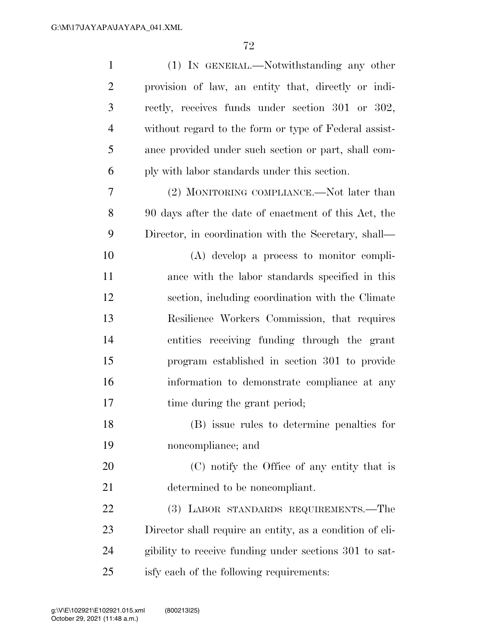| $\mathbf{1}$   | (1) IN GENERAL.—Notwithstanding any other                |
|----------------|----------------------------------------------------------|
| $\overline{2}$ | provision of law, an entity that, directly or indi-      |
| 3              | rectly, receives funds under section 301 or 302,         |
| $\overline{4}$ | without regard to the form or type of Federal assist-    |
| 5              | ance provided under such section or part, shall com-     |
| 6              | ply with labor standards under this section.             |
| 7              | (2) MONITORING COMPLIANCE.—Not later than                |
| 8              | 90 days after the date of enactment of this Act, the     |
| 9              | Director, in coordination with the Secretary, shall—     |
| 10             | $(A)$ develop a process to monitor compli-               |
| 11             | ance with the labor standards specified in this          |
| 12             | section, including coordination with the Climate         |
| 13             | Resilience Workers Commission, that requires             |
| 14             | entities receiving funding through the grant             |
| 15             | program established in section 301 to provide            |
| 16             | information to demonstrate compliance at any             |
| 17             | time during the grant period;                            |
| 18             | (B) issue rules to determine penalties for               |
| 19             | noncompliance; and                                       |
| 20             | (C) notify the Office of any entity that is              |
| 21             | determined to be noncompliant.                           |
| 22             | (3) LABOR STANDARDS REQUIREMENTS.—The                    |
| 23             | Director shall require an entity, as a condition of eli- |
| 24             | gibility to receive funding under sections 301 to sat-   |
| 25             | isfy each of the following requirements:                 |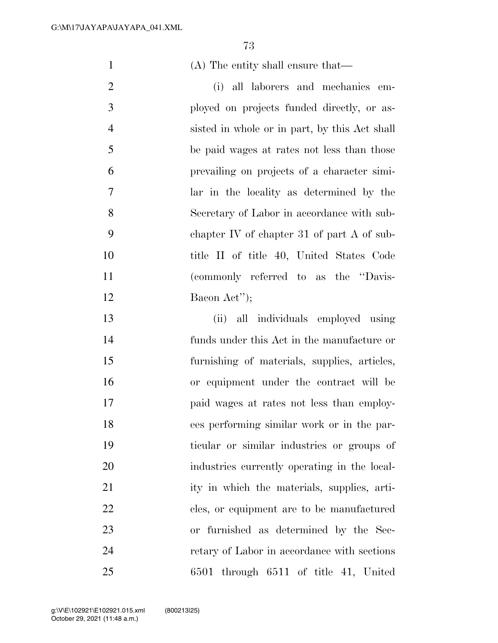(A) The entity shall ensure that—

 (i) all laborers and mechanics em- ployed on projects funded directly, or as- sisted in whole or in part, by this Act shall be paid wages at rates not less than those prevailing on projects of a character simi- lar in the locality as determined by the Secretary of Labor in accordance with sub- chapter IV of chapter 31 of part A of sub- title II of title 40, United States Code (commonly referred to as the ''Davis-12 Bacon Act'');

 (ii) all individuals employed using funds under this Act in the manufacture or furnishing of materials, supplies, articles, or equipment under the contract will be paid wages at rates not less than employ- ees performing similar work or in the par- ticular or similar industries or groups of industries currently operating in the local- ity in which the materials, supplies, arti-22 cles, or equipment are to be manufactured or furnished as determined by the Sec- retary of Labor in accordance with sections 6501 through 6511 of title 41, United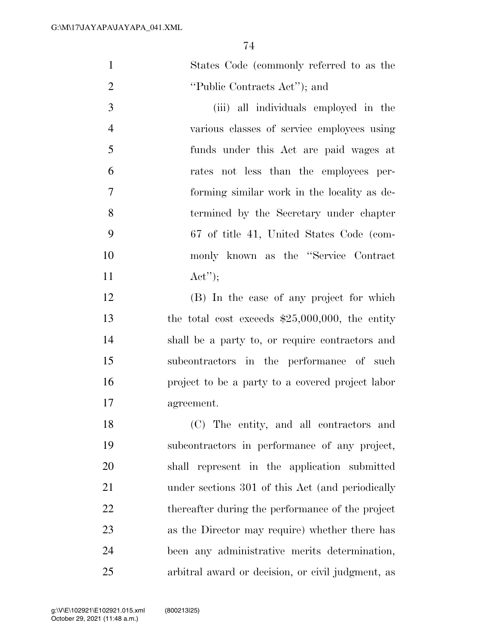| $\mathbf{1}$   | States Code (commonly referred to as the          |
|----------------|---------------------------------------------------|
| $\overline{2}$ | "Public Contracts Act"; and                       |
| 3              | (iii) all individuals employed in the             |
| $\overline{4}$ | various classes of service employees using        |
| 5              | funds under this Act are paid wages at            |
| 6              | rates not less than the employees per-            |
| 7              | forming similar work in the locality as de-       |
| 8              | termined by the Secretary under chapter           |
| 9              | 67 of title 41, United States Code (com-          |
| 10             | monly known as the "Service Contract              |
| 11             | Act'');                                           |
| 12             | (B) In the case of any project for which          |
| 13             | the total cost exceeds $$25,000,000$ , the entity |
| 14             | shall be a party to, or require contractors and   |
| 15             | subcontractors in the performance of such         |
| 16             | project to be a party to a covered project labor  |
| 17             | agreement.                                        |
| 18             | (C) The entity, and all contractors and           |
| 19             | subcontractors in performance of any project,     |
| 20             | shall represent in the application submitted      |
| 21             | under sections 301 of this Act (and periodically  |
| 22             | thereafter during the performance of the project  |
| 23             | as the Director may require) whether there has    |
| 24             | been any administrative merits determination,     |
| 25             | arbitral award or decision, or civil judgment, as |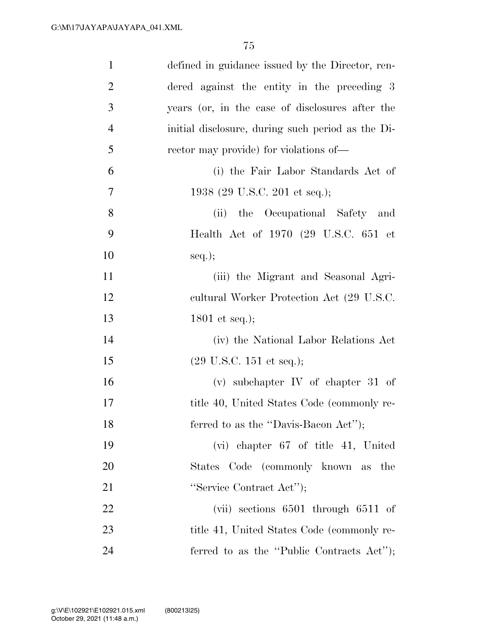| $\mathbf{1}$   | defined in guidance issued by the Director, ren-  |
|----------------|---------------------------------------------------|
| $\overline{2}$ | dered against the entity in the preceding 3       |
| $\mathfrak{Z}$ | years (or, in the case of disclosures after the   |
| $\overline{4}$ | initial disclosure, during such period as the Di- |
| 5              | rector may provide) for violations of—            |
| 6              | (i) the Fair Labor Standards Act of               |
| 7              | 1938 (29 U.S.C. 201 et seq.);                     |
| 8              | the Occupational Safety and<br>(ii)               |
| 9              | Health Act of 1970 (29 U.S.C. 651 et              |
| 10             | $seq.$ ;                                          |
| 11             | (iii) the Migrant and Seasonal Agri-              |
| 12             | eultural Worker Protection Act (29 U.S.C.         |
| 13             | 1801 et seq.);                                    |
| 14             | (iv) the National Labor Relations Act             |
| 15             | $(29 \text{ U.S.C. } 151 \text{ et seq.});$       |
| 16             | (v) subchapter IV of chapter 31 of                |
| 17             | title 40, United States Code (commonly re-        |
| 18             | ferred to as the "Davis-Bacon Act");              |
| 19             | $(vi)$ chapter 67 of title 41, United             |
| 20             | States Code (commonly known as the                |
| 21             | "Service Contract Act");                          |
| 22             | (vii) sections $6501$ through $6511$ of           |
| 23             | title 41, United States Code (commonly re-        |
| 24             | ferred to as the "Public Contracts Act");         |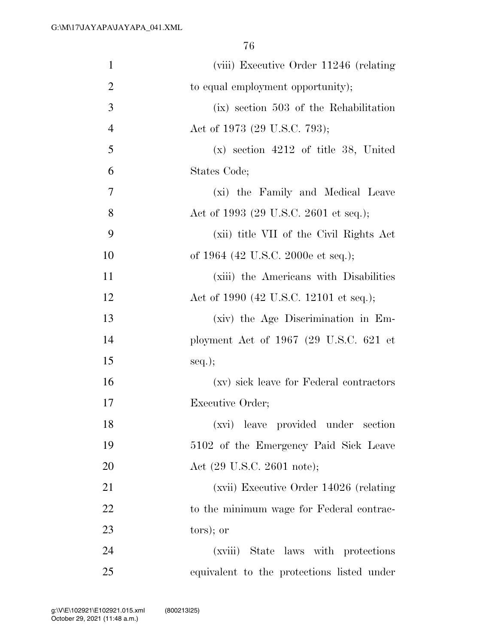| $\mathbf{1}$   | (viii) Executive Order 11246 (relating     |
|----------------|--------------------------------------------|
| $\overline{2}$ | to equal employment opportunity);          |
| 3              | (ix) section 503 of the Rehabilitation     |
| $\overline{4}$ | Act of 1973 (29 U.S.C. 793);               |
| 5              | $(x)$ section 4212 of title 38, United     |
| 6              | States Code;                               |
| 7              | (xi) the Family and Medical Leave          |
| 8              | Act of 1993 (29 U.S.C. 2601 et seq.);      |
| 9              | (xii) title VII of the Civil Rights Act    |
| 10             | of 1964 (42 U.S.C. 2000e et seq.);         |
| 11             | (xiii) the Americans with Disabilities     |
| 12             | Act of 1990 (42 U.S.C. 12101 et seq.);     |
| 13             | (xiv) the Age Discrimination in Em-        |
| 14             | ployment Act of 1967 (29 U.S.C. 621 et     |
| 15             | $seq.$ ;                                   |
| 16             | (xv) sick leave for Federal contractors    |
| 17             | Executive Order;                           |
| 18             | (xvi) leave provided under section         |
| 19             | 5102 of the Emergency Paid Sick Leave      |
| 20             | Act (29 U.S.C. 2601 note);                 |
| 21             | (xvii) Executive Order 14026 (relating     |
| 22             | to the minimum wage for Federal contrac-   |
| 23             | tors); or                                  |
| 24             | (xviii) State laws with protections        |
| 25             | equivalent to the protections listed under |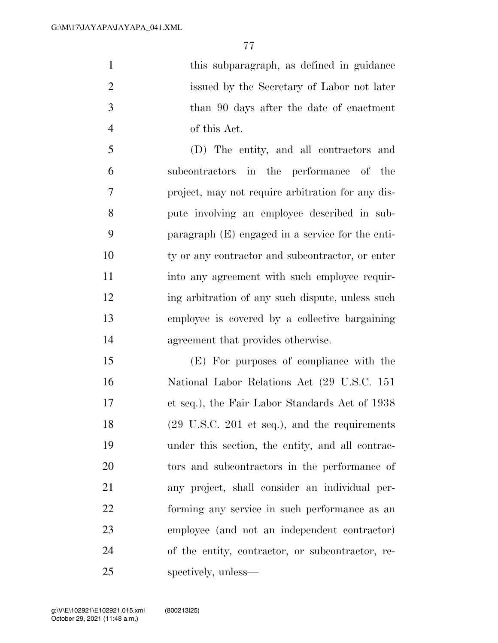1 this subparagraph, as defined in guidance issued by the Secretary of Labor not later than 90 days after the date of enactment of this Act.

 (D) The entity, and all contractors and subcontractors in the performance of the project, may not require arbitration for any dis- pute involving an employee described in sub- paragraph (E) engaged in a service for the enti-10 ty or any contractor and subcontractor, or enter 11 into any agreement with such employee requir-12 ing arbitration of any such dispute, unless such employee is covered by a collective bargaining agreement that provides otherwise.

 (E) For purposes of compliance with the National Labor Relations Act (29 U.S.C. 151 et seq.), the Fair Labor Standards Act of 1938 (29 U.S.C. 201 et seq.), and the requirements under this section, the entity, and all contrac- tors and subcontractors in the performance of any project, shall consider an individual per- forming any service in such performance as an employee (and not an independent contractor) of the entity, contractor, or subcontractor, re-spectively, unless—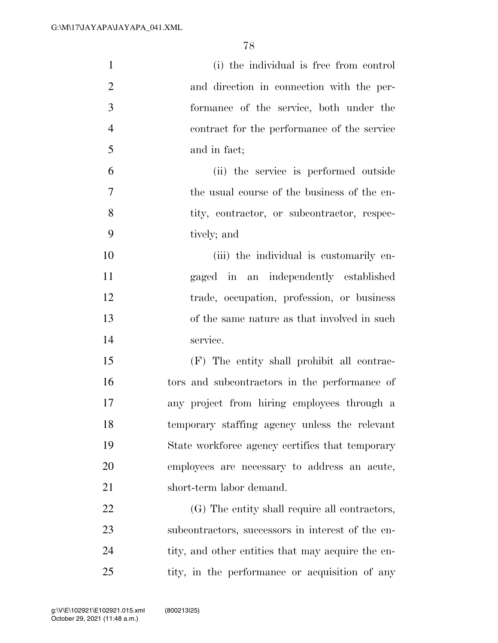| $\mathbf{1}$   | (i) the individual is free from control           |
|----------------|---------------------------------------------------|
| $\overline{2}$ | and direction in connection with the per-         |
| 3              | formance of the service, both under the           |
| $\overline{4}$ | contract for the performance of the service       |
| 5              | and in fact;                                      |
| 6              | (ii) the service is performed outside             |
| 7              | the usual course of the business of the en-       |
| 8              | tity, contractor, or subcontractor, respec-       |
| 9              | tively; and                                       |
| 10             | (iii) the individual is customarily en-           |
| 11             | gaged in an independently established             |
| 12             | trade, occupation, profession, or business        |
| 13             | of the same nature as that involved in such       |
| 14             | service.                                          |
| 15             | (F) The entity shall prohibit all contrac-        |
| 16             | tors and subcontractors in the performance of     |
| 17             | any project from hiring employees through a       |
| 18             | temporary staffing agency unless the relevant     |
| 19             | State workforce agency certifies that temporary   |
| 20             | employees are necessary to address an acute,      |
| 21             | short-term labor demand.                          |
| 22             | (G) The entity shall require all contractors,     |
| 23             | subcontractors, successors in interest of the en- |
| 24             | tity, and other entities that may acquire the en- |
| 25             | tity, in the performance or acquisition of any    |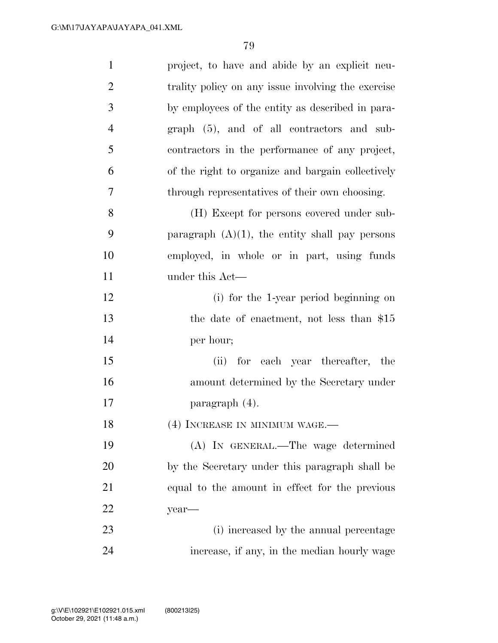| $\mathbf{1}$   | project, to have and abide by an explicit neu-     |
|----------------|----------------------------------------------------|
| $\overline{2}$ | trality policy on any issue involving the exercise |
| 3              | by employees of the entity as described in para-   |
| $\overline{4}$ | graph (5), and of all contractors and sub-         |
| 5              | contractors in the performance of any project,     |
| 6              | of the right to organize and bargain collectively  |
| 7              | through representatives of their own choosing.     |
| 8              | (H) Except for persons covered under sub-          |
| 9              | paragraph $(A)(1)$ , the entity shall pay persons  |
| 10             | employed, in whole or in part, using funds         |
| 11             | under this Act—                                    |
| 12             | (i) for the 1-year period beginning on             |
| 13             | the date of enactment, not less than \$15          |
| 14             | per hour;                                          |
| 15             | (ii) for each year thereafter,<br>the              |
| 16             | amount determined by the Secretary under           |
| 17             | paragraph $(4)$ .                                  |
| 18             | (4) INCREASE IN MINIMUM WAGE.—                     |
| 19             | (A) IN GENERAL.—The wage determined                |
| 20             | by the Secretary under this paragraph shall be     |
| 21             | equal to the amount in effect for the previous     |
| 22             | year-                                              |
| 23             | (i) increased by the annual percentage             |
| 24             | increase, if any, in the median hourly wage        |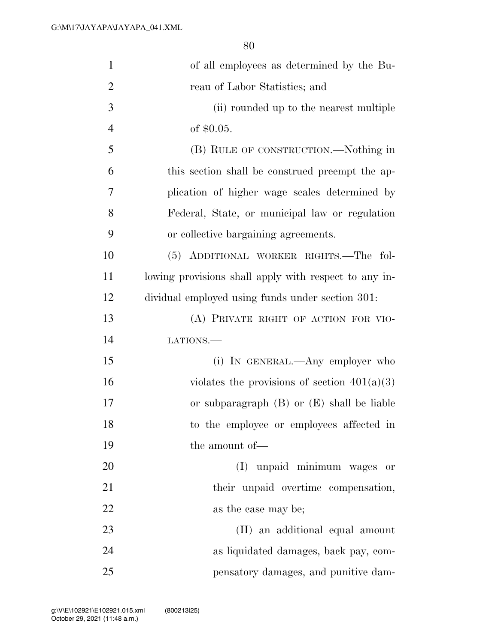| $\mathbf{1}$   | of all employees as determined by the Bu-             |
|----------------|-------------------------------------------------------|
| $\overline{2}$ | reau of Labor Statistics; and                         |
| 3              | (ii) rounded up to the nearest multiple               |
| $\overline{4}$ | of $$0.05$ .                                          |
| 5              | (B) RULE OF CONSTRUCTION.—Nothing in                  |
| 6              | this section shall be construed preempt the ap-       |
| 7              | plication of higher wage scales determined by         |
| 8              | Federal, State, or municipal law or regulation        |
| 9              | or collective bargaining agreements.                  |
| 10             | (5) ADDITIONAL WORKER RIGHTS.—The fol-                |
| 11             | lowing provisions shall apply with respect to any in- |
| 12             | dividual employed using funds under section 301.      |
| 13             | (A) PRIVATE RIGHT OF ACTION FOR VIO-                  |
| 14             | LATIONS.                                              |
| 15             | (i) IN GENERAL.—Any employer who                      |
| 16             | violates the provisions of section $401(a)(3)$        |
| 17             | or subparagraph $(B)$ or $(E)$ shall be liable        |
| 18             | to the employee or employees affected in              |
| 19             | the amount of—                                        |
| 20             | (I) unpaid minimum wages or                           |
| 21             | their unpaid overtime compensation,                   |
| 22             | as the case may be;                                   |
| 23             | (II) an additional equal amount                       |
| 24             | as liquidated damages, back pay, com-                 |
| 25             | pensatory damages, and punitive dam-                  |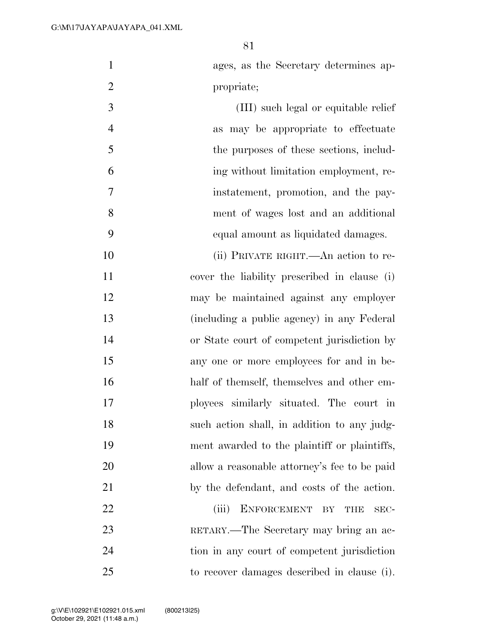| $\mathbf{1}$   | ages, as the Secretary determines ap-        |
|----------------|----------------------------------------------|
| $\overline{2}$ | propriate;                                   |
| 3              | (III) such legal or equitable relief         |
| $\overline{4}$ | as may be appropriate to effectuate          |
| 5              | the purposes of these sections, includ-      |
| 6              | ing without limitation employment, re-       |
| 7              | instatement, promotion, and the pay-         |
| 8              | ment of wages lost and an additional         |
| 9              | equal amount as liquidated damages.          |
| 10             | (ii) PRIVATE RIGHT.—An action to re-         |
| 11             | cover the liability prescribed in clause (i) |
| 12             | may be maintained against any employer       |
| 13             | (including a public agency) in any Federal   |
| 14             | or State court of competent jurisdiction by  |
| 15             | any one or more employees for and in be-     |
| 16             | half of themself, themselves and other em-   |
| 17             | ployees similarly situated. The court in     |
| 18             | such action shall, in addition to any judg-  |
| 19             | ment awarded to the plaintiff or plaintiffs, |
| 20             | allow a reasonable attorney's fee to be paid |
| 21             | by the defendant, and costs of the action.   |
| 22             | ENFORCEMENT BY<br>(iii)<br>THE<br>SEC-       |
| 23             | RETARY.—The Secretary may bring an ac-       |
| 24             | tion in any court of competent jurisdiction  |
| 25             | to recover damages described in clause (i).  |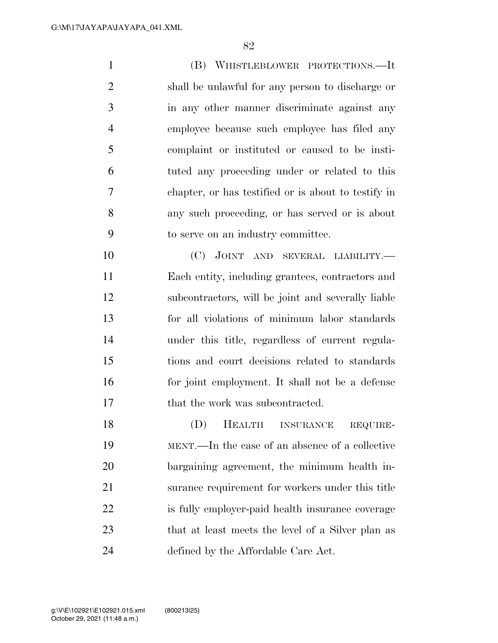(B) WHISTLEBLOWER PROTECTIONS.—It shall be unlawful for any person to discharge or in any other manner discriminate against any employee because such employee has filed any complaint or instituted or caused to be insti- tuted any proceeding under or related to this chapter, or has testified or is about to testify in any such proceeding, or has served or is about to serve on an industry committee. 10 (C) JOINT AND SEVERAL LIABILITY.—

 Each entity, including grantees, contractors and subcontractors, will be joint and severally liable for all violations of minimum labor standards under this title, regardless of current regula- tions and court decisions related to standards for joint employment. It shall not be a defense that the work was subcontracted.

 (D) HEALTH INSURANCE REQUIRE- MENT.—In the case of an absence of a collective bargaining agreement, the minimum health in- surance requirement for workers under this title is fully employer-paid health insurance coverage that at least meets the level of a Silver plan as defined by the Affordable Care Act.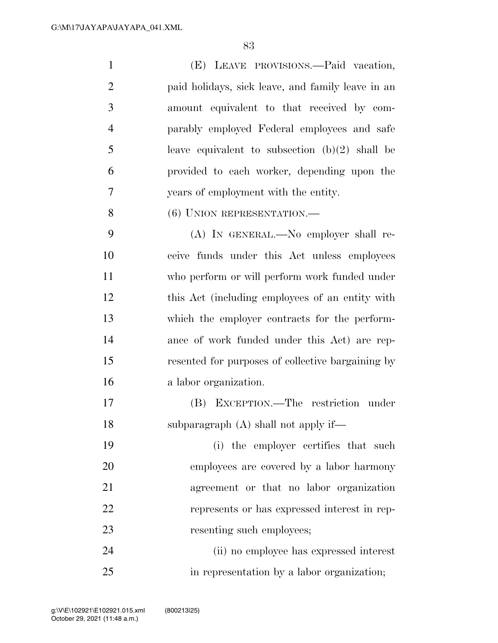| $\mathbf{1}$   | (E) LEAVE PROVISIONS.—Paid vacation,              |
|----------------|---------------------------------------------------|
| $\mathbf{2}$   | paid holidays, sick leave, and family leave in an |
| 3              | amount equivalent to that received by com-        |
| $\overline{4}$ | parably employed Federal employees and safe       |
| 5              | leave equivalent to subsection $(b)(2)$ shall be  |
| 6              | provided to each worker, depending upon the       |
| $\overline{7}$ | years of employment with the entity.              |
| 8              | $(6)$ UNION REPRESENTATION.—                      |
| 9              | (A) IN GENERAL.—No employer shall re-             |
| 10             | ceive funds under this Act unless employees       |
| 11             | who perform or will perform work funded under     |
| 12             | this Act (including employees of an entity with   |
| 13             | which the employer contracts for the perform-     |
| 14             | ance of work funded under this Act) are rep-      |
| 15             | resented for purposes of collective bargaining by |
| 16             | a labor organization.                             |
| 17             | EXCEPTION.—The restriction under<br>(B)           |
| 18             | subparagraph $(A)$ shall not apply if—            |
| 19             | (i) the employer certifies that such              |
| 20             | employees are covered by a labor harmony          |
| 21             | agreement or that no labor organization           |
| 22             | represents or has expressed interest in rep-      |
| 23             | resenting such employees;                         |
| 24             | (ii) no employee has expressed interest           |

in representation by a labor organization;

October 29, 2021 (11:48 a.m.) g:\V\E\102921\E102921.015.xml (800213|25)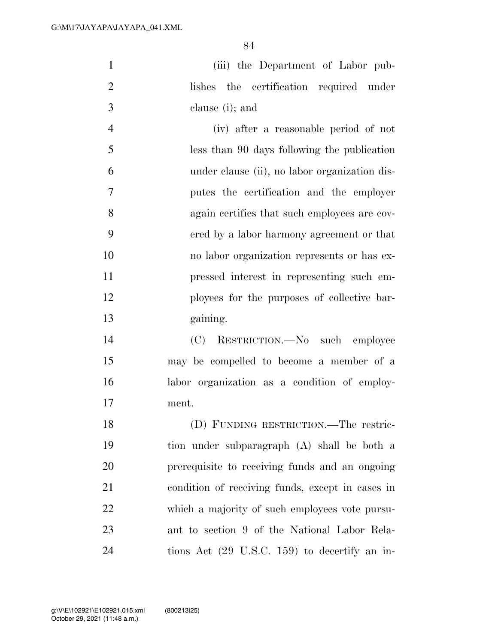| $\mathbf{1}$   | (iii) the Department of Labor pub-            |
|----------------|-----------------------------------------------|
| 2              | lishes the certification required under       |
| 3              | clause (i); and                               |
| $\overline{4}$ | (iv) after a reasonable period of not         |
| $\overline{5}$ | less than 90 days following the publication   |
| 6              | under clause (ii), no labor organization dis- |
| 7              | putes the certification and the employer      |
| 8              | again certifies that such employees are cov-  |
|                |                                               |

 ered by a labor harmony agreement or that no labor organization represents or has ex- pressed interest in representing such em- ployees for the purposes of collective bar-gaining.

 (C) RESTRICTION.—No such employee may be compelled to become a member of a labor organization as a condition of employ-ment.

 (D) FUNDING RESTRICTION.—The restric- tion under subparagraph (A) shall be both a prerequisite to receiving funds and an ongoing condition of receiving funds, except in cases in which a majority of such employees vote pursu- ant to section 9 of the National Labor Rela-tions Act (29 U.S.C. 159) to decertify an in-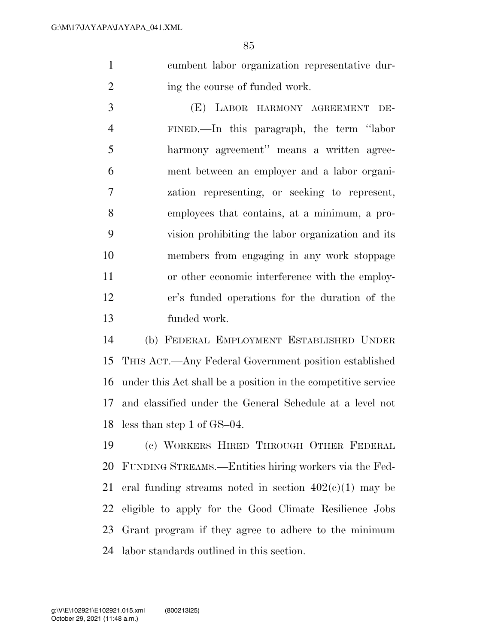cumbent labor organization representative dur-2 ing the course of funded work.

 (E) LABOR HARMONY AGREEMENT DE- FINED.—In this paragraph, the term ''labor harmony agreement'' means a written agree- ment between an employer and a labor organi- zation representing, or seeking to represent, employees that contains, at a minimum, a pro- vision prohibiting the labor organization and its members from engaging in any work stoppage or other economic interference with the employ- er's funded operations for the duration of the funded work.

 (b) FEDERAL EMPLOYMENT ESTABLISHED UNDER THIS ACT.—Any Federal Government position established under this Act shall be a position in the competitive service and classified under the General Schedule at a level not less than step 1 of GS–04.

 (c) WORKERS HIRED THROUGH OTHER FEDERAL FUNDING STREAMS.—Entities hiring workers via the Fed-21 eral funding streams noted in section  $402(c)(1)$  may be eligible to apply for the Good Climate Resilience Jobs Grant program if they agree to adhere to the minimum labor standards outlined in this section.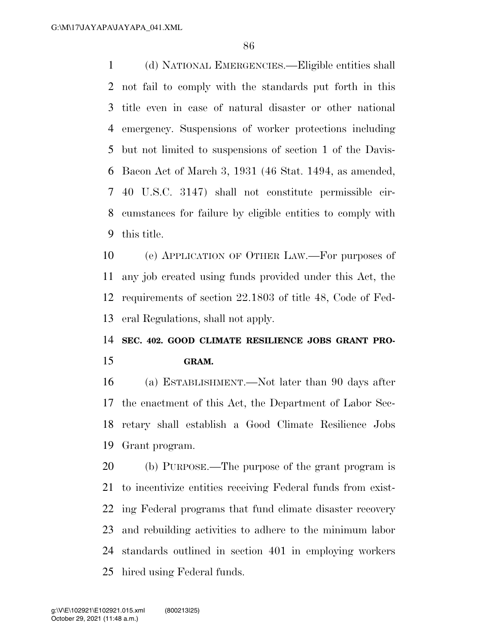(d) NATIONAL EMERGENCIES.—Eligible entities shall not fail to comply with the standards put forth in this title even in case of natural disaster or other national emergency. Suspensions of worker protections including but not limited to suspensions of section 1 of the Davis- Bacon Act of March 3, 1931 (46 Stat. 1494, as amended, 40 U.S.C. 3147) shall not constitute permissible cir- cumstances for failure by eligible entities to comply with this title.

 (e) APPLICATION OF OTHER LAW.—For purposes of any job created using funds provided under this Act, the requirements of section 22.1803 of title 48, Code of Fed-eral Regulations, shall not apply.

## **SEC. 402. GOOD CLIMATE RESILIENCE JOBS GRANT PRO-GRAM.**

(a) ESTABLISHMENT.—Not later than 90 days after

 the enactment of this Act, the Department of Labor Sec- retary shall establish a Good Climate Resilience Jobs Grant program.

 (b) PURPOSE.—The purpose of the grant program is to incentivize entities receiving Federal funds from exist- ing Federal programs that fund climate disaster recovery and rebuilding activities to adhere to the minimum labor standards outlined in section 401 in employing workers hired using Federal funds.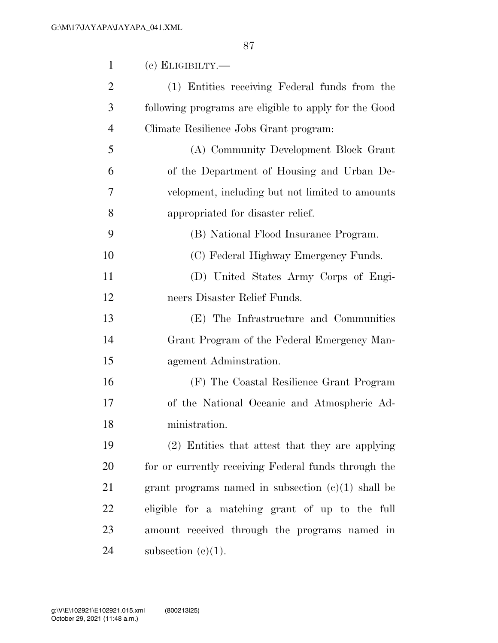| $\mathbf{1}$   | $(c)$ ELIGIBILTY.—                                    |
|----------------|-------------------------------------------------------|
| $\overline{2}$ | (1) Entities receiving Federal funds from the         |
| 3              | following programs are eligible to apply for the Good |
| $\overline{4}$ | Climate Resilience Jobs Grant program:                |
| 5              | (A) Community Development Block Grant                 |
| 6              | of the Department of Housing and Urban De-            |
| 7              | velopment, including but not limited to amounts       |
| 8              | appropriated for disaster relief.                     |
| 9              | (B) National Flood Insurance Program.                 |
| 10             | (C) Federal Highway Emergency Funds.                  |
| 11             | (D) United States Army Corps of Engi-                 |
| 12             | neers Disaster Relief Funds.                          |
| 13             | (E) The Infrastructure and Communities                |
| 14             | Grant Program of the Federal Emergency Man-           |
| 15             | agement Administration.                               |
| 16             | (F) The Coastal Resilience Grant Program              |
| 17             | of the National Oceanic and Atmospheric Ad-           |
| 18             | ministration.                                         |
| 19             | (2) Entities that attest that they are applying       |
| 20             | for or currently receiving Federal funds through the  |
| 21             | grant programs named in subsection $(c)(1)$ shall be  |
| 22             | eligible for a matching grant of up to the full       |
| 23             | amount received through the programs named in         |
| 24             | subsection $(c)(1)$ .                                 |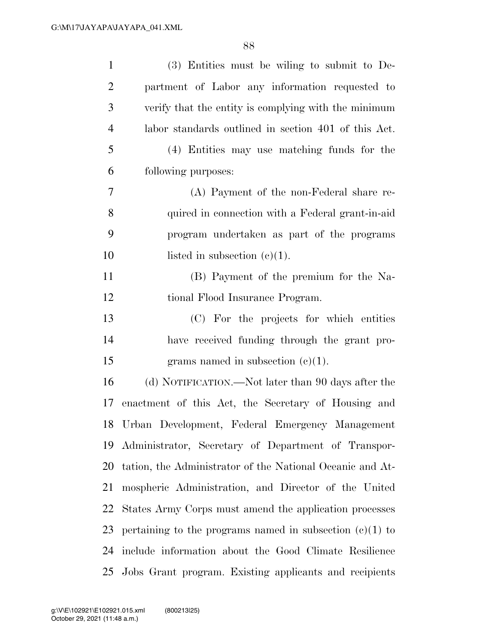| $\mathbf{1}$   | $(3)$ Entities must be willing to submit to De-            |
|----------------|------------------------------------------------------------|
| $\overline{2}$ | partment of Labor any information requested to             |
| 3              | verify that the entity is complying with the minimum       |
| $\overline{4}$ | labor standards outlined in section 401 of this Act.       |
| 5              | (4) Entities may use matching funds for the                |
| 6              | following purposes:                                        |
| 7              | (A) Payment of the non-Federal share re-                   |
| 8              | quired in connection with a Federal grant-in-aid           |
| 9              | program undertaken as part of the programs                 |
| 10             | listed in subsection $(e)(1)$ .                            |
| 11             | (B) Payment of the premium for the Na-                     |
| 12             | tional Flood Insurance Program.                            |
| 13             | (C) For the projects for which entities                    |
| 14             | have received funding through the grant pro-               |
| 15             | grams named in subsection $(c)(1)$ .                       |
| 16             | (d) NOTIFICATION.—Not later than 90 days after the         |
| 17             | enactment of this Act, the Secretary of Housing and        |
|                | 18 Urban Development, Federal Emergency Management         |
| 19             | Administrator, Secretary of Department of Transpor-        |
| 20             | tation, the Administrator of the National Oceanic and At-  |
| 21             | mospheric Administration, and Director of the United       |
| 22             | States Army Corps must amend the application processes     |
| 23             | pertaining to the programs named in subsection $(c)(1)$ to |
| 24             | include information about the Good Climate Resilience      |
|                | 25 Jobs Grant program. Existing applicants and recipients  |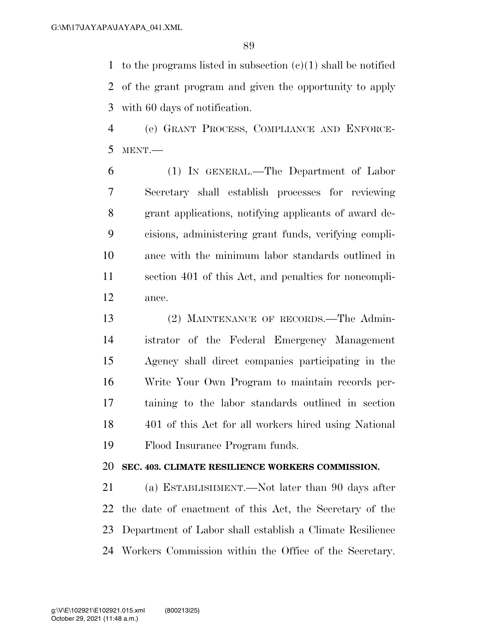1 to the programs listed in subsection  $(c)(1)$  shall be notified of the grant program and given the opportunity to apply with 60 days of notification.

 (e) GRANT PROCESS, COMPLIANCE AND ENFORCE-MENT.—

 (1) IN GENERAL.—The Department of Labor Secretary shall establish processes for reviewing grant applications, notifying applicants of award de- cisions, administering grant funds, verifying compli- ance with the minimum labor standards outlined in section 401 of this Act, and penalties for noncompli-ance.

 (2) MAINTENANCE OF RECORDS.—The Admin- istrator of the Federal Emergency Management Agency shall direct companies participating in the Write Your Own Program to maintain records per- taining to the labor standards outlined in section 401 of this Act for all workers hired using National Flood Insurance Program funds.

### **SEC. 403. CLIMATE RESILIENCE WORKERS COMMISSION.**

 (a) ESTABLISHMENT.—Not later than 90 days after the date of enactment of this Act, the Secretary of the Department of Labor shall establish a Climate Resilience Workers Commission within the Office of the Secretary.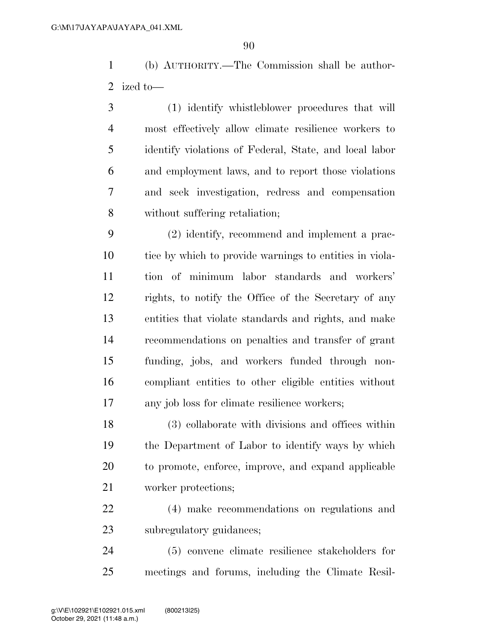(b) AUTHORITY.—The Commission shall be author-ized to—

 (1) identify whistleblower procedures that will most effectively allow climate resilience workers to identify violations of Federal, State, and local labor and employment laws, and to report those violations and seek investigation, redress and compensation without suffering retaliation;

 (2) identify, recommend and implement a prac- tice by which to provide warnings to entities in viola- tion of minimum labor standards and workers' rights, to notify the Office of the Secretary of any entities that violate standards and rights, and make recommendations on penalties and transfer of grant funding, jobs, and workers funded through non- compliant entities to other eligible entities without any job loss for climate resilience workers;

 (3) collaborate with divisions and offices within the Department of Labor to identify ways by which to promote, enforce, improve, and expand applicable worker protections;

 (4) make recommendations on regulations and subregulatory guidances;

 (5) convene climate resilience stakeholders for meetings and forums, including the Climate Resil-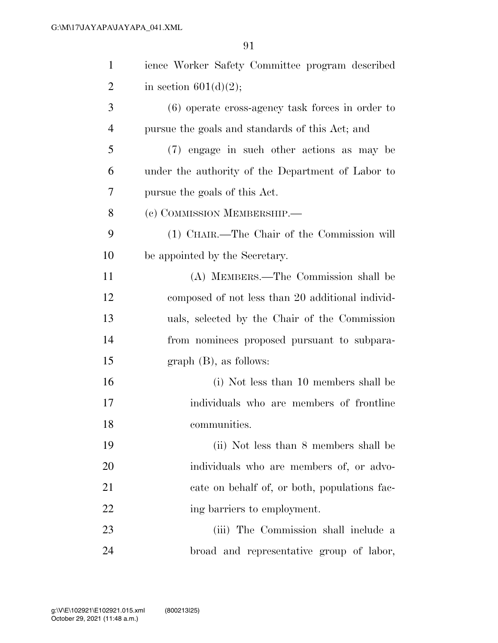| $\mathbf{1}$   | ience Worker Safety Committee program described    |
|----------------|----------------------------------------------------|
| 2              | in section $601(d)(2)$ ;                           |
| 3              | $(6)$ operate cross-agency task forces in order to |
| $\overline{4}$ | pursue the goals and standards of this Act; and    |
| 5              | (7) engage in such other actions as may be         |
| 6              | under the authority of the Department of Labor to  |
| 7              | pursue the goals of this Act.                      |
| 8              | (c) COMMISSION MEMBERSHIP.-                        |
| 9              | (1) CHAIR.—The Chair of the Commission will        |
| 10             | be appointed by the Secretary.                     |
| 11             | (A) MEMBERS.—The Commission shall be               |
| 12             | composed of not less than 20 additional individ-   |
| 13             | uals, selected by the Chair of the Commission      |
| 14             | from nominees proposed pursuant to subpara-        |
| 15             | $graph(B)$ , as follows:                           |
| 16             | (i) Not less than 10 members shall be              |
| 17             | individuals who are members of frontline           |
| 18             | communities.                                       |
| 19             | (ii) Not less than 8 members shall be              |
| 20             | individuals who are members of, or advo-           |
| 21             | cate on behalf of, or both, populations fac-       |
| 22             | ing barriers to employment.                        |
| 23             | (iii) The Commission shall include a               |
| 24             | broad and representative group of labor,           |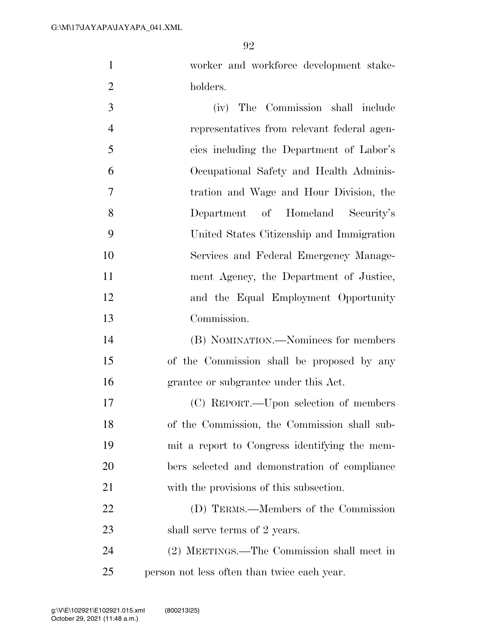worker and workforce development stake-holders.

 (iv) The Commission shall include representatives from relevant federal agen- cies including the Department of Labor's Occupational Safety and Health Adminis- tration and Wage and Hour Division, the Department of Homeland Security's United States Citizenship and Immigration Services and Federal Emergency Manage- ment Agency, the Department of Justice, and the Equal Employment Opportunity Commission. (B) NOMINATION.—Nominees for members of the Commission shall be proposed by any grantee or subgrantee under this Act. (C) REPORT.—Upon selection of members of the Commission, the Commission shall sub- mit a report to Congress identifying the mem- bers selected and demonstration of compliance with the provisions of this subsection. (D) TERMS.—Members of the Commission 23 shall serve terms of 2 years.

 (2) MEETINGS.—The Commission shall meet in person not less often than twice each year.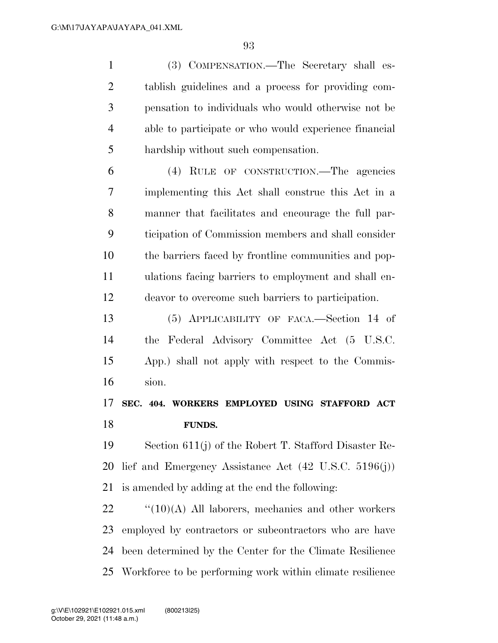(3) COMPENSATION.—The Secretary shall es- tablish guidelines and a process for providing com- pensation to individuals who would otherwise not be able to participate or who would experience financial hardship without such compensation.

 (4) RULE OF CONSTRUCTION.—The agencies implementing this Act shall construe this Act in a manner that facilitates and encourage the full par- ticipation of Commission members and shall consider the barriers faced by frontline communities and pop- ulations facing barriers to employment and shall en-deavor to overcome such barriers to participation.

 (5) APPLICABILITY OF FACA.—Section 14 of the Federal Advisory Committee Act (5 U.S.C. App.) shall not apply with respect to the Commis-sion.

# **SEC. 404. WORKERS EMPLOYED USING STAFFORD ACT FUNDS.**

 Section 611(j) of the Robert T. Stafford Disaster Re- lief and Emergency Assistance Act (42 U.S.C. 5196(j)) is amended by adding at the end the following:

 " $(10)(A)$  All laborers, mechanics and other workers employed by contractors or subcontractors who are have been determined by the Center for the Climate Resilience Workforce to be performing work within climate resilience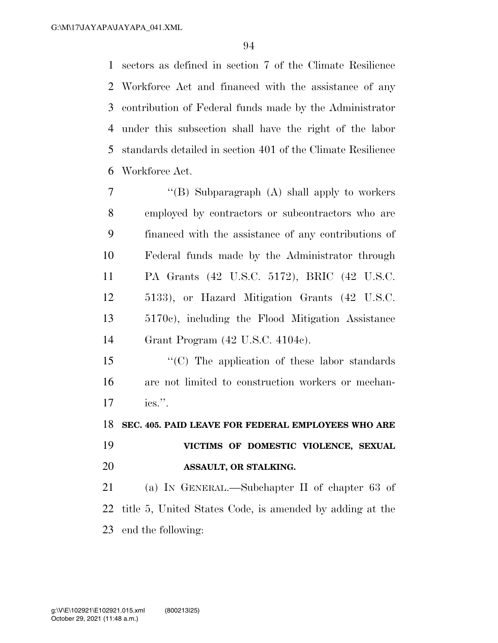sectors as defined in section 7 of the Climate Resilience Workforce Act and financed with the assistance of any contribution of Federal funds made by the Administrator under this subsection shall have the right of the labor standards detailed in section 401 of the Climate Resilience Workforce Act.

- ''(B) Subparagraph (A) shall apply to workers employed by contractors or subcontractors who are financed with the assistance of any contributions of Federal funds made by the Administrator through PA Grants (42 U.S.C. 5172), BRIC (42 U.S.C. 5133), or Hazard Mitigation Grants (42 U.S.C. 5170c), including the Flood Mitigation Assistance Grant Program (42 U.S.C. 4104c).
- ''(C) The application of these labor standards are not limited to construction workers or mechan-ics.''.

**SEC. 405. PAID LEAVE FOR FEDERAL EMPLOYEES WHO ARE** 

 **VICTIMS OF DOMESTIC VIOLENCE, SEXUAL ASSAULT, OR STALKING.** 

 (a) IN GENERAL.—Subchapter II of chapter 63 of title 5, United States Code, is amended by adding at the end the following: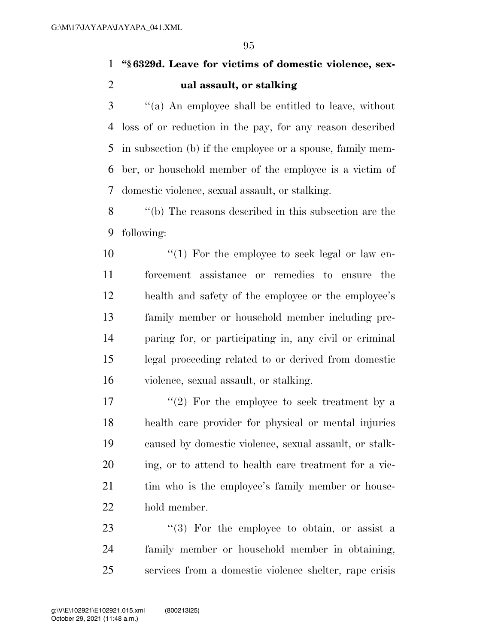**''§ 6329d. Leave for victims of domestic violence, sex-ual assault, or stalking** 

 ''(a) An employee shall be entitled to leave, without loss of or reduction in the pay, for any reason described in subsection (b) if the employee or a spouse, family mem- ber, or household member of the employee is a victim of domestic violence, sexual assault, or stalking.

 ''(b) The reasons described in this subsection are the following:

10 ''(1) For the employee to seek legal or law en- forcement assistance or remedies to ensure the health and safety of the employee or the employee's family member or household member including pre- paring for, or participating in, any civil or criminal legal proceeding related to or derived from domestic violence, sexual assault, or stalking.

 $\langle \cdot (2) \rangle$  For the employee to seek treatment by a health care provider for physical or mental injuries caused by domestic violence, sexual assault, or stalk- ing, or to attend to health care treatment for a vic-21 tim who is the employee's family member or house-hold member.

23  $\frac{1}{2}$   $\frac{1}{2}$  For the employee to obtain, or assist a family member or household member in obtaining, services from a domestic violence shelter, rape crisis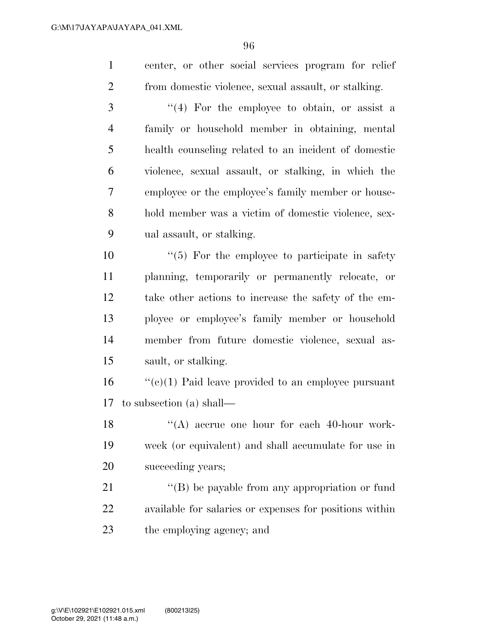center, or other social services program for relief from domestic violence, sexual assault, or stalking.

 ''(4) For the employee to obtain, or assist a family or household member in obtaining, mental health counseling related to an incident of domestic violence, sexual assault, or stalking, in which the employee or the employee's family member or house- hold member was a victim of domestic violence, sex-ual assault, or stalking.

 ''(5) For the employee to participate in safety planning, temporarily or permanently relocate, or take other actions to increase the safety of the em- ployee or employee's family member or household member from future domestic violence, sexual as-sault, or stalking.

 ''(c)(1) Paid leave provided to an employee pursuant to subsection (a) shall—

18 ''(A) accrue one hour for each 40-hour work- week (or equivalent) and shall accumulate for use in succeeding years;

21 ''(B) be payable from any appropriation or fund available for salaries or expenses for positions within the employing agency; and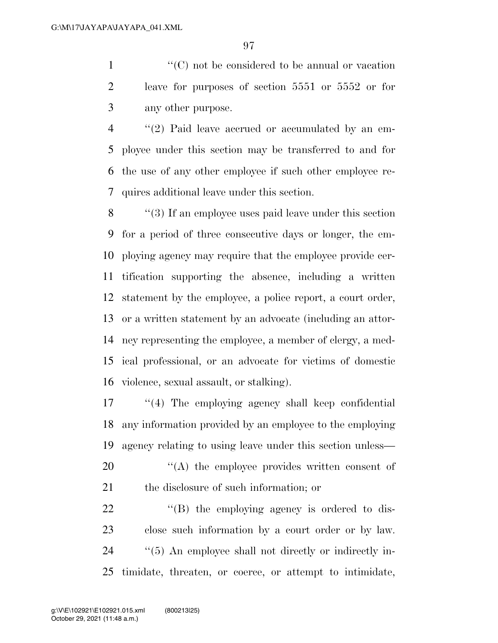1  $\langle ^{\prime}(C) \rangle$  not be considered to be annual or vacation leave for purposes of section 5551 or 5552 or for any other purpose.

 ''(2) Paid leave accrued or accumulated by an em- ployee under this section may be transferred to and for the use of any other employee if such other employee re-quires additional leave under this section.

 ''(3) If an employee uses paid leave under this section for a period of three consecutive days or longer, the em- ploying agency may require that the employee provide cer- tification supporting the absence, including a written statement by the employee, a police report, a court order, or a written statement by an advocate (including an attor- ney representing the employee, a member of clergy, a med- ical professional, or an advocate for victims of domestic violence, sexual assault, or stalking).

 ''(4) The employing agency shall keep confidential any information provided by an employee to the employing agency relating to using leave under this section unless—

20  $\langle A \rangle$  the employee provides written consent of the disclosure of such information; or

 $\langle$  (B) the employing agency is ordered to dis- close such information by a court order or by law.  $\frac{1}{2}$  (5) An employee shall not directly or indirectly in-timidate, threaten, or coerce, or attempt to intimidate,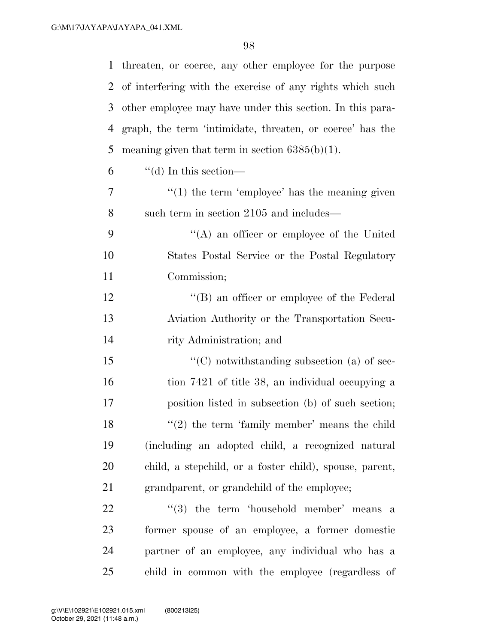| $\mathbf{1}$ | threaten, or coerce, any other employee for the purpose   |
|--------------|-----------------------------------------------------------|
| 2            | of interfering with the exercise of any rights which such |
| 3            | other employee may have under this section. In this para- |
| 4            | graph, the term 'intimidate, threaten, or coerce' has the |
| 5            | meaning given that term in section $6385(b)(1)$ .         |
| 6            | $\lq\lq$ (d) In this section—                             |
| 7            | $f'(1)$ the term 'employee' has the meaning given         |
| 8            | such term in section 2105 and includes—                   |
| 9            | $\lq\lq$ an officer or employee of the United             |
| 10           | States Postal Service or the Postal Regulatory            |
| 11           | Commission;                                               |
| 12           | "(B) an officer or employee of the Federal                |
| 13           | Aviation Authority or the Transportation Secu-            |
| 14           | rity Administration; and                                  |
| 15           | $\lq\lq$ notwithstanding subsection (a) of sec-           |
| 16           | tion 7421 of title 38, an individual occupying a          |
| 17           | position listed in subsection (b) of such section;        |
| 18           | $f'(2)$ the term 'family member' means the child          |
| 19           | (including an adopted child, a recognized natural         |
| 20           | child, a stepchild, or a foster child), spouse, parent,   |
| 21           | grandparent, or grandchild of the employee;               |
| 22           | $(3)$ the term 'household member' means a                 |
| 23           | former spouse of an employee, a former domestic           |
| 24           | partner of an employee, any individual who has a          |
| 25           | child in common with the employee (regardless of          |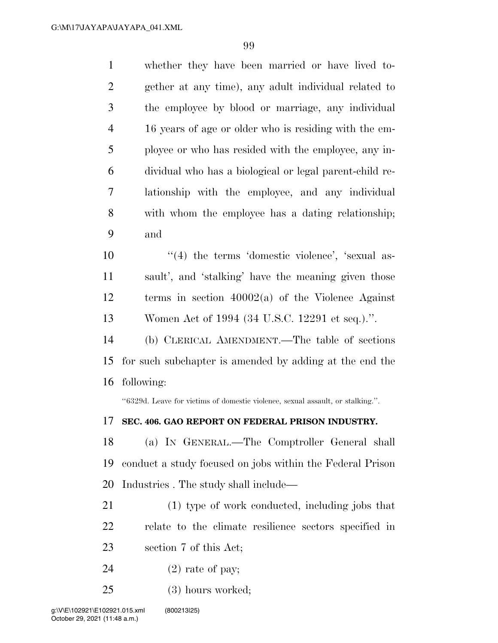whether they have been married or have lived to- gether at any time), any adult individual related to the employee by blood or marriage, any individual 16 years of age or older who is residing with the em- ployee or who has resided with the employee, any in- dividual who has a biological or legal parent-child re- lationship with the employee, and any individual with whom the employee has a dating relationship; and

 ''(4) the terms 'domestic violence', 'sexual as- sault', and 'stalking' have the meaning given those terms in section 40002(a) of the Violence Against Women Act of 1994 (34 U.S.C. 12291 et seq.).''.

 (b) CLERICAL AMENDMENT.—The table of sections for such subchapter is amended by adding at the end the following:

''6329d. Leave for victims of domestic violence, sexual assault, or stalking.''.

## **SEC. 406. GAO REPORT ON FEDERAL PRISON INDUSTRY.**

 (a) IN GENERAL.—The Comptroller General shall conduct a study focused on jobs within the Federal Prison Industries . The study shall include—

 (1) type of work conducted, including jobs that relate to the climate resilience sectors specified in section 7 of this Act;

- 24  $(2)$  rate of pay;
- (3) hours worked;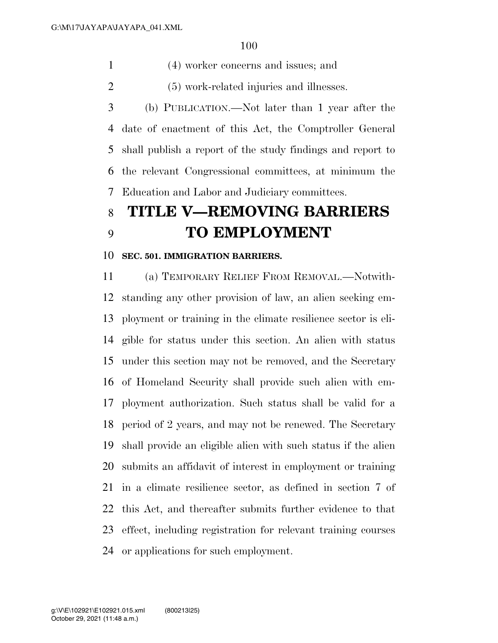(4) worker concerns and issues; and

(5) work-related injuries and illnesses.

 (b) PUBLICATION.—Not later than 1 year after the date of enactment of this Act, the Comptroller General shall publish a report of the study findings and report to the relevant Congressional committees, at minimum the Education and Labor and Judiciary committees.

# **TITLE V—REMOVING BARRIERS TO EMPLOYMENT**

#### **SEC. 501. IMMIGRATION BARRIERS.**

 (a) TEMPORARY RELIEF FROM REMOVAL.—Notwith- standing any other provision of law, an alien seeking em- ployment or training in the climate resilience sector is eli- gible for status under this section. An alien with status under this section may not be removed, and the Secretary of Homeland Security shall provide such alien with em- ployment authorization. Such status shall be valid for a period of 2 years, and may not be renewed. The Secretary shall provide an eligible alien with such status if the alien submits an affidavit of interest in employment or training in a climate resilience sector, as defined in section 7 of this Act, and thereafter submits further evidence to that effect, including registration for relevant training courses or applications for such employment.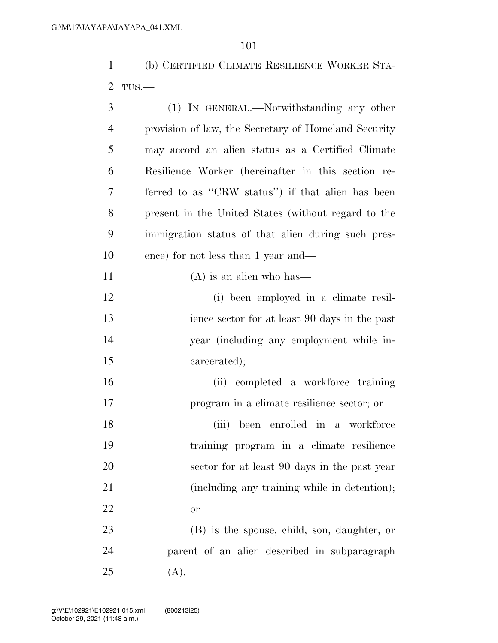(b) CERTIFIED CLIMATE RESILIENCE WORKER STA-TUS.—

| 3              | (1) IN GENERAL.—Notwithstanding any other            |
|----------------|------------------------------------------------------|
| $\overline{4}$ | provision of law, the Secretary of Homeland Security |
| 5              | may accord an alien status as a Certified Climate    |
| 6              | Resilience Worker (hereinafter in this section re-   |
| 7              | ferred to as "CRW status") if that alien has been    |
| 8              | present in the United States (without regard to the  |
| 9              | immigration status of that alien during such pres-   |
| 10             | ence) for not less than 1 year and—                  |
| 11             | $(A)$ is an alien who has—                           |
| 12             | (i) been employed in a climate resil-                |
| 13             | ience sector for at least 90 days in the past        |
| 14             | year (including any employment while in-             |
| 15             | carcerated);                                         |
| 16             | (ii) completed a workforce training                  |
| 17             | program in a climate resilience sector; or           |
| 18             | been enrolled in a workforce<br>(iii)                |
| 19             | training program in a climate resilience             |
| 20             | sector for at least 90 days in the past year         |
| 21             | (including any training while in detention);         |
| 22             | or                                                   |
| 23             | (B) is the spouse, child, son, daughter, or          |
| 24             | parent of an alien described in subparagraph         |
| 25             | (A).                                                 |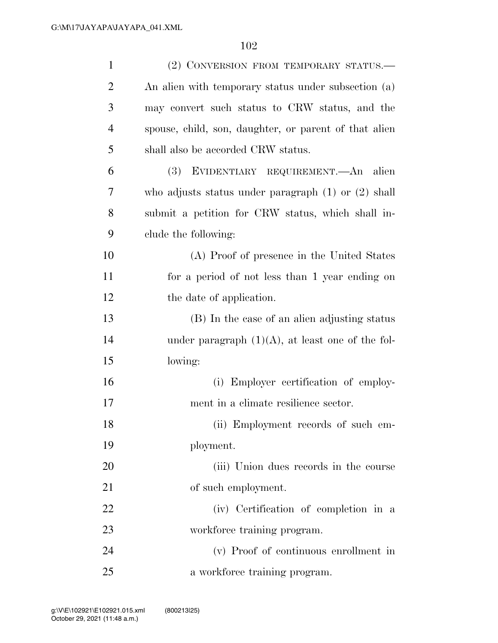| $\mathbf{1}$   | (2) CONVERSION FROM TEMPORARY STATUS.—                  |
|----------------|---------------------------------------------------------|
| 2              | An alien with temporary status under subsection (a)     |
| 3              | may convert such status to CRW status, and the          |
| $\overline{4}$ | spouse, child, son, daughter, or parent of that alien   |
| 5              | shall also be accorded CRW status.                      |
| 6              | EVIDENTIARY REQUIREMENT.—An alien<br><b>(3)</b>         |
| 7              | who adjusts status under paragraph $(1)$ or $(2)$ shall |
| 8              | submit a petition for CRW status, which shall in-       |
| 9              | clude the following:                                    |
| 10             | (A) Proof of presence in the United States              |
| 11             | for a period of not less than 1 year ending on          |
| 12             | the date of application.                                |
| 13             | (B) In the case of an alien adjusting status            |
| 14             | under paragraph $(1)(A)$ , at least one of the fol-     |
| 15             | lowing:                                                 |
| 16             | Employer certification of employ-<br>(i)                |
| 17             | ment in a climate resilience sector.                    |
| 18             | (ii) Employment records of such em-                     |
| 19             | ployment.                                               |
| 20             | (iii) Union dues records in the course                  |
| 21             | of such employment.                                     |
| 22             | (iv) Certification of completion in a                   |
| 23             | workforce training program.                             |
| 24             | (v) Proof of continuous enrollment in                   |
| 25             | a workforce training program.                           |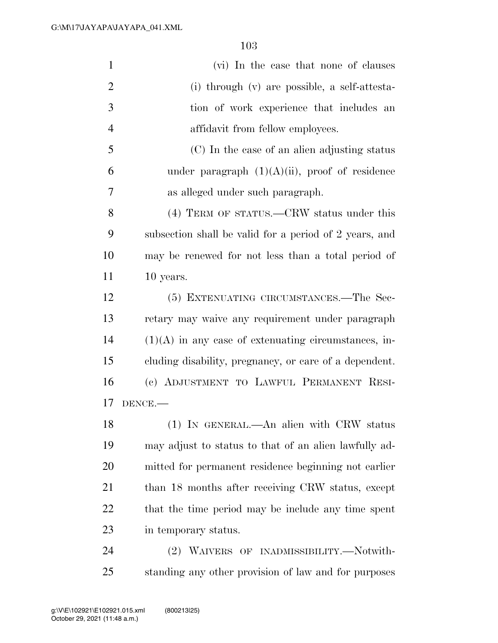| $\mathbf{1}$   | (vi) In the case that none of clauses                  |
|----------------|--------------------------------------------------------|
| $\overline{2}$ | (i) through (v) are possible, a self-attesta-          |
| 3              | tion of work experience that includes an               |
| $\overline{4}$ | affidavit from fellow employees.                       |
| 5              | (C) In the case of an alien adjusting status           |
| 6              | under paragraph $(1)(A)(ii)$ , proof of residence      |
| 7              | as alleged under such paragraph.                       |
| 8              | (4) TERM OF STATUS.—CRW status under this              |
| 9              | subsection shall be valid for a period of 2 years, and |
| 10             | may be renewed for not less than a total period of     |
| 11             | 10 years.                                              |
| 12             | (5) EXTENUATING CIRCUMSTANCES.—The Sec-                |
| 13             | retary may waive any requirement under paragraph       |
| 14             | $(1)(A)$ in any case of extenuating circumstances, in- |
| 15             | cluding disability, pregnancy, or care of a dependent. |
| 16             | (c) ADJUSTMENT TO LAWFUL PERMANENT RESI-               |
| 17             | DENCE.                                                 |
| 18             | (1) IN GENERAL.—An alien with CRW status               |
| 19             | may adjust to status to that of an alien lawfully ad-  |
| 20             | mitted for permanent residence beginning not earlier   |
| 21             | than 18 months after receiving CRW status, except      |
| 22             | that the time period may be include any time spent     |
| 23             | in temporary status.                                   |
| 24             | (2) WAIVERS OF INADMISSIBILITY.—Notwith-               |

standing any other provision of law and for purposes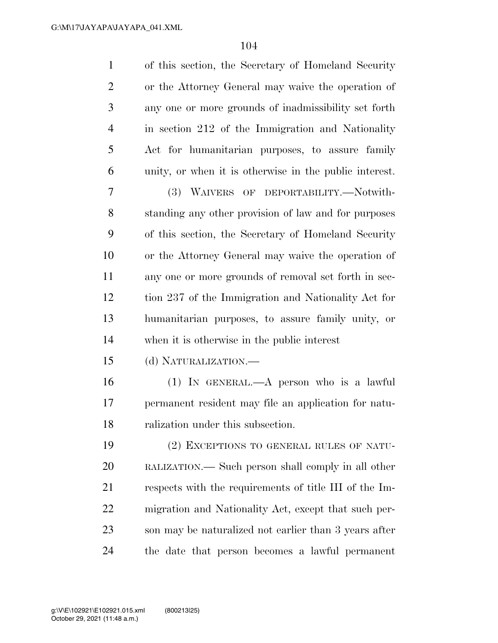| $\mathbf{1}$   | of this section, the Secretary of Homeland Security    |
|----------------|--------------------------------------------------------|
| $\overline{2}$ | or the Attorney General may waive the operation of     |
| 3              | any one or more grounds of inadmissibility set forth   |
| $\overline{4}$ | in section 212 of the Immigration and Nationality      |
| 5              | Act for humanitarian purposes, to assure family        |
| 6              | unity, or when it is otherwise in the public interest. |
| 7              | (3) WAIVERS OF DEPORTABILITY.—Notwith-                 |
| 8              | standing any other provision of law and for purposes   |
| 9              | of this section, the Secretary of Homeland Security    |
| 10             | or the Attorney General may waive the operation of     |
| 11             | any one or more grounds of removal set forth in sec-   |
| 12             | tion 237 of the Immigration and Nationality Act for    |
| 13             | humanitarian purposes, to assure family unity, or      |
| 14             | when it is otherwise in the public interest            |
| 15             | (d) NATURALIZATION.-                                   |
| 16             | (1) IN GENERAL.—A person who is a lawful               |
| 17             | permanent resident may file an application for natu-   |
| 18             | ralization under this subsection.                      |
| 19             | (2) EXCEPTIONS TO GENERAL RULES OF NATU-               |
| 20             | RALIZATION.— Such person shall comply in all other     |
| 21             | respects with the requirements of title III of the Im- |
| 22             | migration and Nationality Act, except that such per-   |
| 23             | son may be naturalized not earlier than 3 years after  |
| 24             | the date that person becomes a lawful permanent        |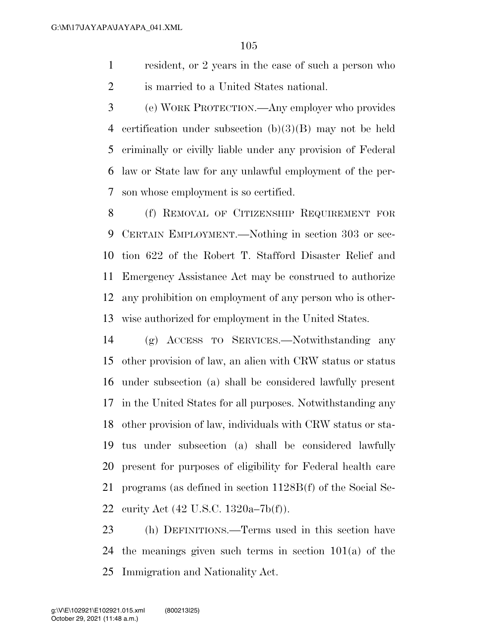resident, or 2 years in the case of such a person who is married to a United States national.

 (e) WORK PROTECTION.—Any employer who provides certification under subsection (b)(3)(B) may not be held criminally or civilly liable under any provision of Federal law or State law for any unlawful employment of the per-son whose employment is so certified.

 (f) REMOVAL OF CITIZENSHIP REQUIREMENT FOR CERTAIN EMPLOYMENT.—Nothing in section 303 or sec- tion 622 of the Robert T. Stafford Disaster Relief and Emergency Assistance Act may be construed to authorize any prohibition on employment of any person who is other-wise authorized for employment in the United States.

 (g) ACCESS TO SERVICES.—Notwithstanding any other provision of law, an alien with CRW status or status under subsection (a) shall be considered lawfully present in the United States for all purposes. Notwithstanding any other provision of law, individuals with CRW status or sta- tus under subsection (a) shall be considered lawfully present for purposes of eligibility for Federal health care programs (as defined in section 1128B(f) of the Social Se-curity Act (42 U.S.C. 1320a–7b(f)).

 (h) DEFINITIONS.—Terms used in this section have the meanings given such terms in section 101(a) of the Immigration and Nationality Act.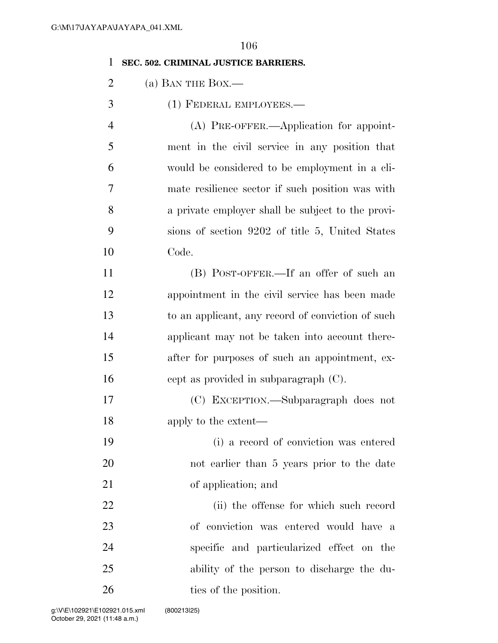#### **SEC. 502. CRIMINAL JUSTICE BARRIERS.**

- 2 (a) BAN THE BOX.—
- (1) FEDERAL EMPLOYEES.—

|    | $(A)$ PRE-OFFER.—Application for appoint-         |
|----|---------------------------------------------------|
| 5  | ment in the civil service in any position that    |
| 6  | would be considered to be employment in a cli-    |
| 7  | mate resilience sector if such position was with  |
| 8  | a private employer shall be subject to the provi- |
| 9  | sions of section 9202 of title 5, United States   |
| 10 | Code.                                             |

 (B) POST-OFFER.—If an offer of such an appointment in the civil service has been made to an applicant, any record of conviction of such applicant may not be taken into account there- after for purposes of such an appointment, ex-cept as provided in subparagraph (C).

 (C) EXCEPTION.—Subparagraph does not 18 apply to the extent—

 (i) a record of conviction was entered not earlier than 5 years prior to the date of application; and

 (ii) the offense for which such record of conviction was entered would have a specific and particularized effect on the ability of the person to discharge the du-26 ties of the position.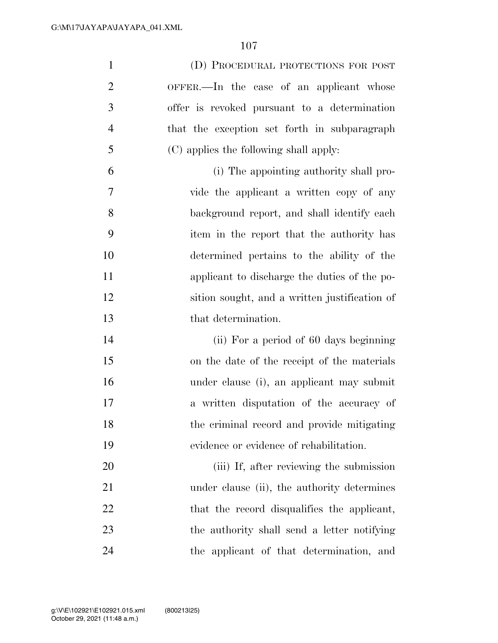| $\mathbf{1}$   | (D) PROCEDURAL PROTECTIONS FOR POST           |
|----------------|-----------------------------------------------|
| $\overline{2}$ | OFFER.—In the case of an applicant whose      |
| 3              | offer is revoked pursuant to a determination  |
| $\overline{4}$ | that the exception set forth in subparagraph  |
| 5              | (C) applies the following shall apply:        |
| 6              | (i) The appointing authority shall pro-       |
| 7              | vide the applicant a written copy of any      |
| 8              | background report, and shall identify each    |
| 9              | item in the report that the authority has     |
| 10             | determined pertains to the ability of the     |
| 11             | applicant to discharge the duties of the po-  |
| 12             | sition sought, and a written justification of |
| 13             | that determination.                           |
| 14             | (ii) For a period of 60 days beginning        |
| 15             | on the date of the receipt of the materials   |
| 16             | under clause (i), an applicant may submit     |
|                |                                               |
| 17             | a written disputation of the accuracy of      |
| 18             | the criminal record and provide mitigating    |
| 19             | evidence or evidence of rehabilitation.       |
| 20             | (iii) If, after reviewing the submission      |
| 21             | under clause (ii), the authority determines   |
| 22             | that the record disqualifies the applicant,   |
| 23             | the authority shall send a letter notifying   |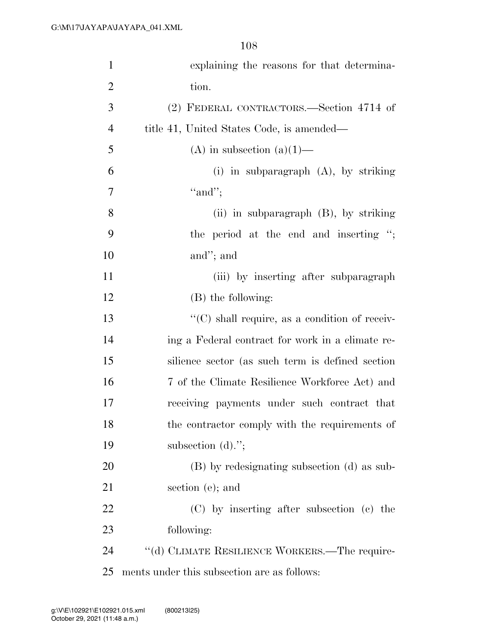| $\mathbf{1}$   | explaining the reasons for that determina-            |
|----------------|-------------------------------------------------------|
| $\overline{2}$ | tion.                                                 |
| 3              | (2) FEDERAL CONTRACTORS.—Section 4714 of              |
| $\overline{4}$ | title 41, United States Code, is amended—             |
| 5              | (A) in subsection (a)(1)—                             |
| 6              | (i) in subparagraph $(A)$ , by striking               |
| 7              | "and";                                                |
| 8              | (ii) in subparagraph $(B)$ , by striking              |
| 9              | the period at the end and inserting ";                |
| 10             | and"; and                                             |
| 11             | (iii) by inserting after subparagraph                 |
| 12             | (B) the following:                                    |
| 13             | $\lq\lq$ (C) shall require, as a condition of receiv- |
| 14             | ing a Federal contract for work in a climate re-      |
| 15             | silience sector (as such term is defined section      |
| 16             | 7 of the Climate Resilience Workforce Act) and        |
| 17             | receiving payments under such contract that           |
| 18             | the contractor comply with the requirements of        |
| 19             | subsection $(d)$ .";                                  |
| 20             | (B) by redesignating subsection (d) as sub-           |
| 21             | section (e); and                                      |
| 22             | (C) by inserting after subsection (c) the             |
| 23             | following:                                            |
| 24             | "(d) CLIMATE RESILIENCE WORKERS.—The require-         |
| 25             | ments under this subsection are as follows:           |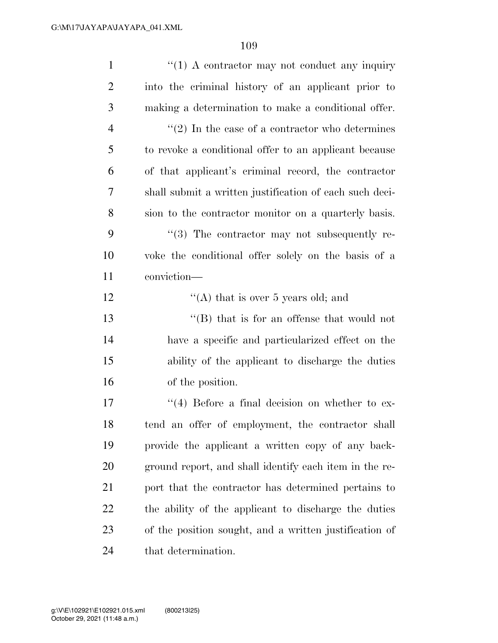| $\mathbf{1}$   | $\lq(1)$ A contractor may not conduct any inquiry       |
|----------------|---------------------------------------------------------|
| $\overline{2}$ | into the criminal history of an applicant prior to      |
| 3              | making a determination to make a conditional offer.     |
| $\overline{4}$ | $\lq(2)$ In the case of a contractor who determines     |
| 5              | to revoke a conditional offer to an applicant because   |
| 6              | of that applicant's criminal record, the contractor     |
| 7              | shall submit a written justification of each such deci- |
| 8              | sion to the contractor monitor on a quarterly basis.    |
| 9              | $\cdot$ (3) The contractor may not subsequently re-     |
| 10             | voke the conditional offer solely on the basis of a     |
| 11             | conviction-                                             |
| 12             | "(A) that is over 5 years old; and                      |
| 13             | $\lq\lq$ that is for an offense that would not          |
| 14             | have a specific and particularized effect on the        |
| 15             | ability of the applicant to discharge the duties        |
| 16             | of the position.                                        |
| 17             | $\lq(4)$ Before a final decision on whether to ex-      |
| 18             | tend an offer of employment, the contractor shall       |
| 19             | provide the applicant a written copy of any back-       |
| <b>20</b>      | ground report, and shall identify each item in the re-  |
| 21             | port that the contractor has determined pertains to     |
| 22             | the ability of the applicant to discharge the duties    |
| 23             | of the position sought, and a written justification of  |
| 24             | that determination.                                     |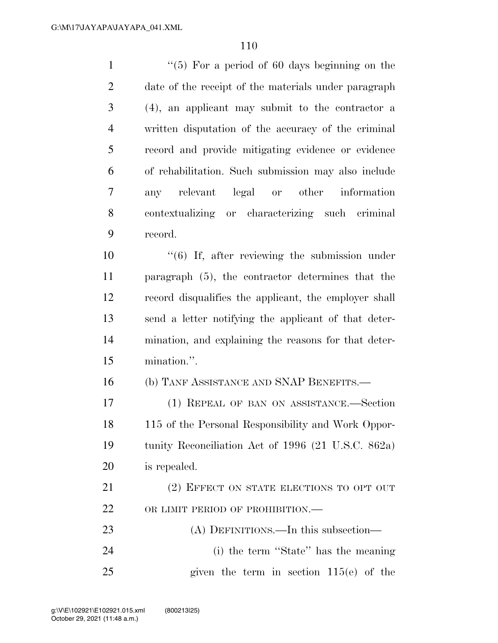| $\mathbf{1}$   | $\lq(5)$ For a period of 60 days beginning on the         |
|----------------|-----------------------------------------------------------|
| $\overline{2}$ | date of the receipt of the materials under paragraph      |
| 3              | (4), an applicant may submit to the contractor a          |
| $\overline{4}$ | written disputation of the accuracy of the criminal       |
| 5              | record and provide mitigating evidence or evidence        |
| 6              | of rehabilitation. Such submission may also include       |
| 7              | any relevant legal or other information                   |
| 8              | contextualizing or characterizing such criminal           |
| 9              | record.                                                   |
| 10             | $\cdot\cdot$ (6) If, after reviewing the submission under |
| 11             | paragraph (5), the contractor determines that the         |
| 12             | record disqualifies the applicant, the employer shall     |
| 13             | send a letter notifying the applicant of that deter-      |
| 14             | mination, and explaining the reasons for that deter-      |
| 15             | mination.".                                               |
| 16             | (b) TANF ASSISTANCE AND SNAP BENEFITS.                    |
| 17             | (1) REPEAL OF BAN ON ASSISTANCE.-Section                  |
| 18             | 115 of the Personal Responsibility and Work Oppor-        |
| 19             | tunity Reconciliation Act of 1996 (21 U.S.C. 862a)        |
| 20             | is repealed.                                              |
| 21             | (2) EFFECT ON STATE ELECTIONS TO OPT OUT                  |
| 22             | OR LIMIT PERIOD OF PROHIBITION.-                          |
| 23             | (A) DEFINITIONS.—In this subsection—                      |
| 24             | (i) the term "State" has the meaning                      |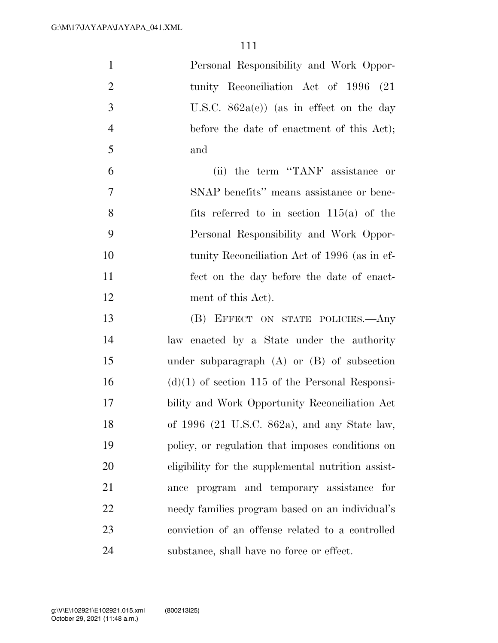| $\mathbf{1}$   | Personal Responsibility and Work Oppor-            |
|----------------|----------------------------------------------------|
| $\overline{2}$ | tunity Reconciliation Act of 1996 (21)             |
| 3              | U.S.C. $862a(e)$ (as in effect on the day          |
| $\overline{4}$ | before the date of enactment of this Act);         |
| 5              | and                                                |
| 6              | (ii) the term "TANF assistance or                  |
| $\overline{7}$ | SNAP benefits" means assistance or bene-           |
| 8              | fits referred to in section $115(a)$ of the        |
| 9              | Personal Responsibility and Work Oppor-            |
| 10             | tunity Reconciliation Act of 1996 (as in ef-       |
| 11             | fect on the day before the date of enact-          |
| 12             | ment of this Act).                                 |
| 13             | (B) EFFECT ON STATE POLICIES.- Any                 |
| 14             | law enacted by a State under the authority         |
| 15             | under subparagraph $(A)$ or $(B)$ of subsection    |
| 16             | $(d)(1)$ of section 115 of the Personal Responsi-  |
| 17             | bility and Work Opportunity Reconciliation Act     |
| 18             | of 1996 (21 U.S.C. 862a), and any State law,       |
| 19             | policy, or regulation that imposes conditions on   |
| 20             | eligibility for the supplemental nutrition assist- |
| 21             | ance program and temporary assistance for          |
| 22             | needy families program based on an individual's    |
| 23             | conviction of an offense related to a controlled   |
| 24             | substance, shall have no force or effect.          |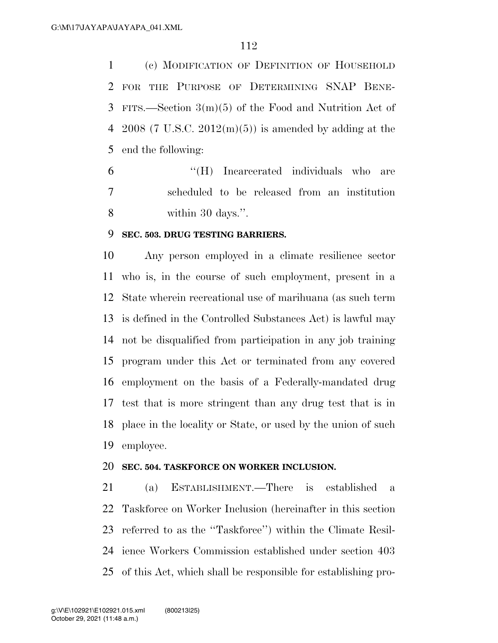(c) MODIFICATION OF DEFINITION OF HOUSEHOLD FOR THE PURPOSE OF DETERMINING SNAP BENE- FITS.—Section 3(m)(5) of the Food and Nutrition Act of 4 2008 (7 U.S.C.  $2012(m)(5)$ ) is amended by adding at the end the following:

 ''(H) Incarcerated individuals who are scheduled to be released from an institution within 30 days.''.

### **SEC. 503. DRUG TESTING BARRIERS.**

 Any person employed in a climate resilience sector who is, in the course of such employment, present in a State wherein recreational use of marihuana (as such term is defined in the Controlled Substances Act) is lawful may not be disqualified from participation in any job training program under this Act or terminated from any covered employment on the basis of a Federally-mandated drug test that is more stringent than any drug test that is in place in the locality or State, or used by the union of such employee.

### **SEC. 504. TASKFORCE ON WORKER INCLUSION.**

 (a) ESTABLISHMENT.—There is established a Taskforce on Worker Inclusion (hereinafter in this section referred to as the ''Taskforce'') within the Climate Resil- ience Workers Commission established under section 403 of this Act, which shall be responsible for establishing pro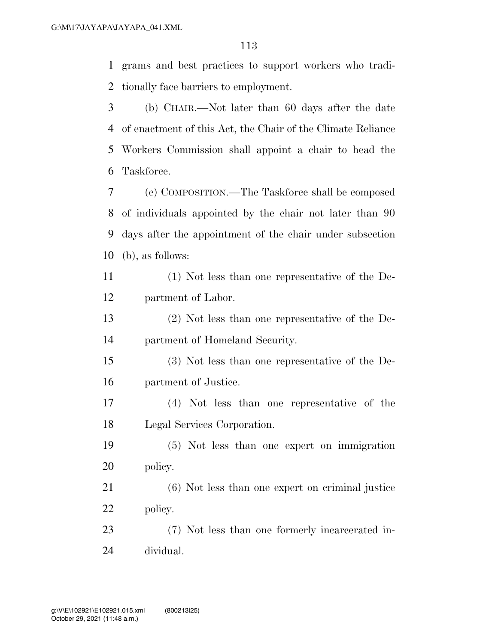grams and best practices to support workers who tradi-tionally face barriers to employment.

 (b) CHAIR.—Not later than 60 days after the date of enactment of this Act, the Chair of the Climate Reliance Workers Commission shall appoint a chair to head the Taskforce.

 (c) COMPOSITION.—The Taskforce shall be composed of individuals appointed by the chair not later than 90 days after the appointment of the chair under subsection (b), as follows:

 (1) Not less than one representative of the De-partment of Labor.

 (2) Not less than one representative of the De-partment of Homeland Security.

 (3) Not less than one representative of the De-partment of Justice.

 (4) Not less than one representative of the Legal Services Corporation.

 (5) Not less than one expert on immigration policy.

 (6) Not less than one expert on criminal justice policy.

 (7) Not less than one formerly incarcerated in-dividual.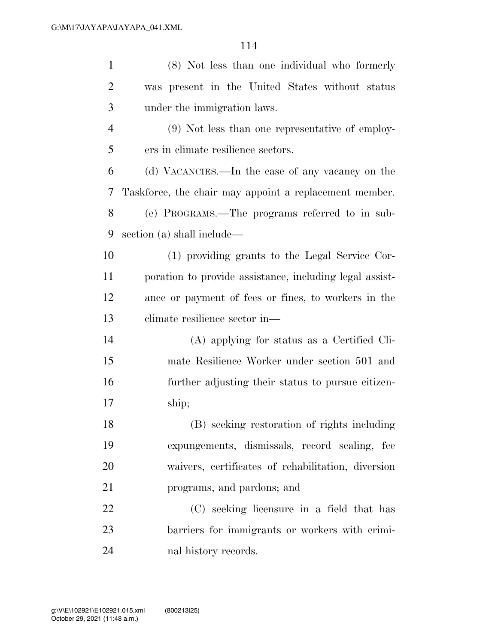| $\mathbf{1}$   | (8) Not less than one individual who formerly           |
|----------------|---------------------------------------------------------|
| $\overline{2}$ | was present in the United States without status         |
| 3              | under the immigration laws.                             |
| $\overline{4}$ | (9) Not less than one representative of employ-         |
| 5              | ers in climate resilience sectors.                      |
| 6              | (d) VACANCIES.—In the case of any vacancy on the        |
| 7              | Taskforce, the chair may appoint a replacement member.  |
| 8              | (e) PROGRAMS.—The programs referred to in sub-          |
| 9              | section (a) shall include—                              |
| 10             | (1) providing grants to the Legal Service Cor-          |
| 11             | poration to provide assistance, including legal assist- |
| 12             | ance or payment of fees or fines, to workers in the     |
| 13             | climate resilience sector in—                           |
| 14             | (A) applying for status as a Certified Cli-             |
| 15             | mate Resilience Worker under section 501 and            |
| 16             | further adjusting their status to pursue citizen-       |
| 17             | ship;                                                   |
| 18             | (B) seeking restoration of rights including             |
| 19             | expungements, dismissals, record sealing, fee           |
| 20             | waivers, certificates of rehabilitation, diversion      |
| 21             | programs, and pardons; and                              |
| 22             | (C) seeking licensure in a field that has               |
| 23             | barriers for immigrants or workers with crimi-          |
| 24             | nal history records.                                    |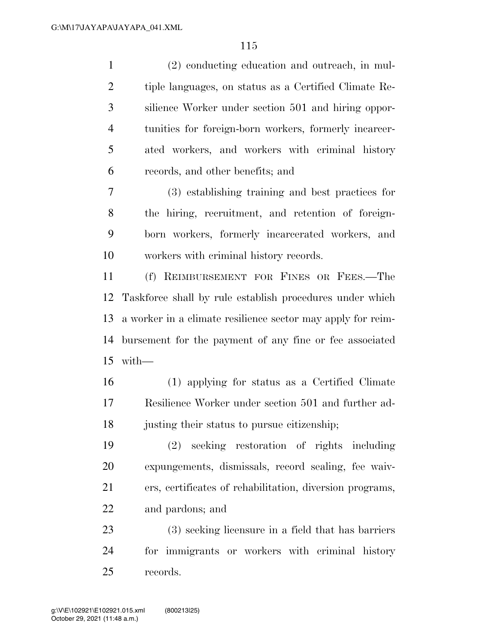(2) conducting education and outreach, in mul- tiple languages, on status as a Certified Climate Re- silience Worker under section 501 and hiring oppor- tunities for foreign-born workers, formerly incarcer- ated workers, and workers with criminal history records, and other benefits; and

 (3) establishing training and best practices for the hiring, recruitment, and retention of foreign- born workers, formerly incarcerated workers, and workers with criminal history records.

 (f) REIMBURSEMENT FOR FINES OR FEES.—The Taskforce shall by rule establish procedures under which a worker in a climate resilience sector may apply for reim- bursement for the payment of any fine or fee associated with—

 (1) applying for status as a Certified Climate Resilience Worker under section 501 and further ad-justing their status to pursue citizenship;

 (2) seeking restoration of rights including expungements, dismissals, record sealing, fee waiv- ers, certificates of rehabilitation, diversion programs, and pardons; and

 (3) seeking licensure in a field that has barriers for immigrants or workers with criminal history records.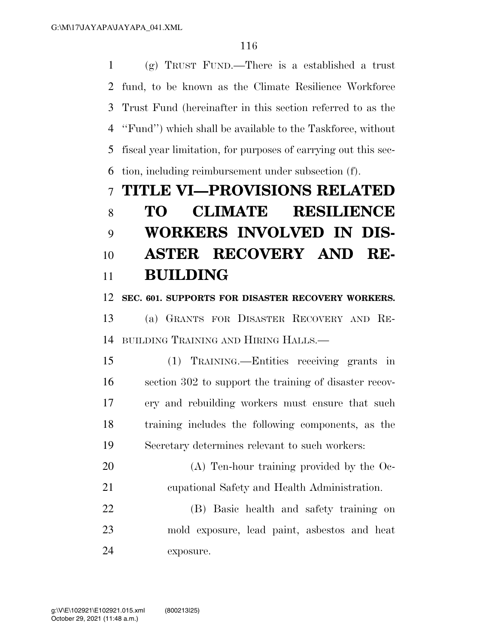(g) TRUST FUND.—There is a established a trust fund, to be known as the Climate Resilience Workforce Trust Fund (hereinafter in this section referred to as the ''Fund'') which shall be available to the Taskforce, without fiscal year limitation, for purposes of carrying out this sec-tion, including reimbursement under subsection (f).

## **TITLE VI—PROVISIONS RELATED**

# **TO CLIMATE RESILIENCE WORKERS INVOLVED IN DIS- ASTER RECOVERY AND RE-BUILDING**

### **SEC. 601. SUPPORTS FOR DISASTER RECOVERY WORKERS.**

 (a) GRANTS FOR DISASTER RECOVERY AND RE-BUILDING TRAINING AND HIRING HALLS.—

 (1) TRAINING.—Entities receiving grants in section 302 to support the training of disaster recov- ery and rebuilding workers must ensure that such training includes the following components, as the Secretary determines relevant to such workers:

 (A) Ten-hour training provided by the Oc-cupational Safety and Health Administration.

 (B) Basic health and safety training on mold exposure, lead paint, asbestos and heat exposure.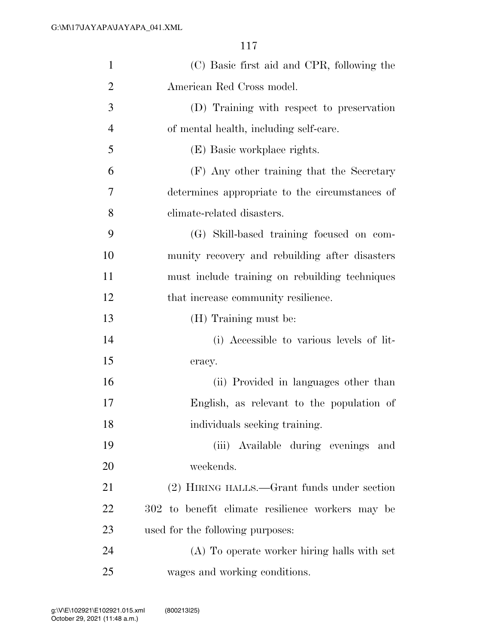| $\mathbf{1}$   | (C) Basic first aid and CPR, following the       |
|----------------|--------------------------------------------------|
| $\overline{2}$ | American Red Cross model.                        |
| 3              | (D) Training with respect to preservation        |
| $\overline{4}$ | of mental health, including self-care.           |
| 5              | (E) Basic workplace rights.                      |
| 6              | (F) Any other training that the Secretary        |
| 7              | determines appropriate to the circumstances of   |
| 8              | climate-related disasters.                       |
| 9              | (G) Skill-based training focused on com-         |
| 10             | munity recovery and rebuilding after disasters   |
| 11             | must include training on rebuilding techniques   |
| 12             | that increase community resilience.              |
| 13             | (H) Training must be:                            |
| 14             | (i) Accessible to various levels of lit-         |
| 15             | eracy.                                           |
| 16             | (ii) Provided in languages other than            |
| 17             | English, as relevant to the population of        |
| 18             | individuals seeking training.                    |
| 19             | (iii) Available during evenings and              |
| 20             | weekends.                                        |
| 21             | (2) HIRING HALLS.—Grant funds under section      |
| 22             | 302 to benefit climate resilience workers may be |
| 23             | used for the following purposes:                 |
| 24             | (A) To operate worker hiring halls with set      |
| 25             | wages and working conditions.                    |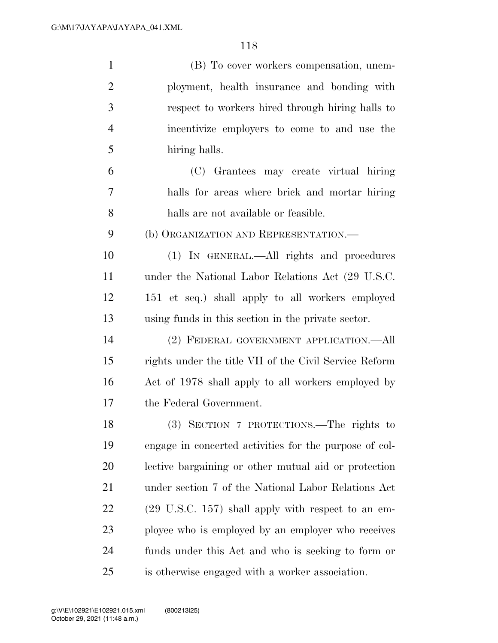| $\mathbf{1}$   | (B) To cover workers compensation, unem-               |
|----------------|--------------------------------------------------------|
| $\overline{2}$ | ployment, health insurance and bonding with            |
| 3              | respect to workers hired through hiring halls to       |
| $\overline{4}$ | incentivize employers to come to and use the           |
| 5              | hiring halls.                                          |
| 6              | (C) Grantees may create virtual hiring                 |
| 7              | halls for areas where brick and mortar hiring          |
| 8              | halls are not available or feasible.                   |
| 9              | (b) ORGANIZATION AND REPRESENTATION.—                  |
| 10             | (1) IN GENERAL.—All rights and procedures              |
| 11             | under the National Labor Relations Act (29 U.S.C.      |
| 12             | 151 et seq.) shall apply to all workers employed       |
| 13             | using funds in this section in the private sector.     |
| 14             | (2) FEDERAL GOVERNMENT APPLICATION.—All                |
| 15             | rights under the title VII of the Civil Service Reform |
| 16             | Act of 1978 shall apply to all workers employed by     |
| 17             | the Federal Government.                                |
| 18             | (3) SECTION 7 PROTECTIONS.—The rights to               |
| 19             | engage in concerted activities for the purpose of col- |
| <b>20</b>      | lective bargaining or other mutual aid or protection   |
| 21             | under section 7 of the National Labor Relations Act    |
| 22             | (29 U.S.C. 157) shall apply with respect to an em-     |
| 23             | ployee who is employed by an employer who receives     |
| 24             | funds under this Act and who is seeking to form or     |
| 25             | is otherwise engaged with a worker association.        |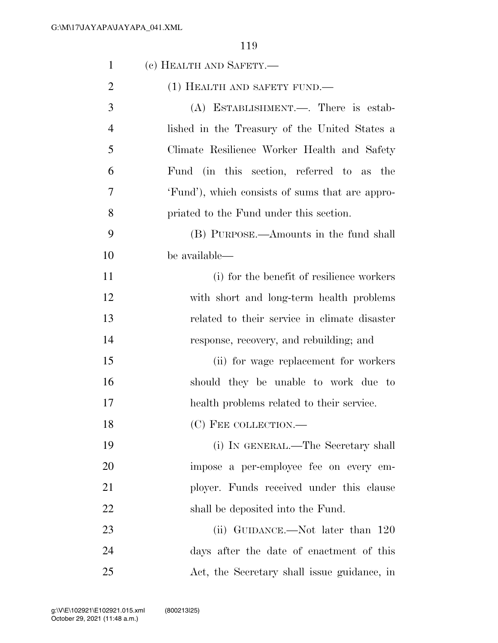| $\mathbf{1}$   | (c) HEALTH AND SAFETY.—                         |
|----------------|-------------------------------------------------|
| $\overline{2}$ | $(1)$ HEALTH AND SAFETY FUND.—                  |
| 3              | (A) ESTABLISHMENT.—. There is estab-            |
| 4              | lished in the Treasury of the United States a   |
| 5              | Climate Resilience Worker Health and Safety     |
| 6              | Fund (in this section, referred to as the       |
| 7              | 'Fund'), which consists of sums that are appro- |
| 8              | priated to the Fund under this section.         |
| 9              | (B) PURPOSE.—Amounts in the fund shall          |
| 10             | be available—                                   |
| 11             | (i) for the benefit of resilience workers       |
| 12             | with short and long-term health problems        |
| 13             | related to their service in climate disaster    |
| 14             | response, recovery, and rebuilding; and         |
| 15             | (ii) for wage replacement for workers           |
| 16             | should they be unable to work due to            |
| 17             | health problems related to their service.       |
| 18             | (C) FEE COLLECTION.-                            |
| 19             | (i) IN GENERAL.—The Secretary shall             |
| 20             | impose a per-employee fee on every em-          |
| 21             | ployer. Funds received under this clause        |
| 22             | shall be deposited into the Fund.               |
| 23             | (ii) GUIDANCE.—Not later than 120               |
| 24             | days after the date of enactment of this        |
| 25             | Act, the Secretary shall issue guidance, in     |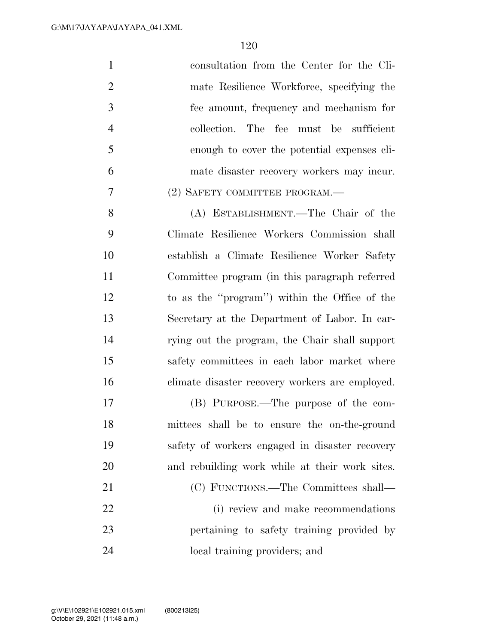| $\mathbf{1}$   | consultation from the Center for the Cli-       |
|----------------|-------------------------------------------------|
| $\overline{2}$ | mate Resilience Workforce, specifying the       |
| 3              | fee amount, frequency and mechanism for         |
| $\overline{4}$ | collection. The fee must be sufficient          |
| 5              | enough to cover the potential expenses cli-     |
| 6              | mate disaster recovery workers may incur.       |
| 7              | (2) SAFETY COMMITTEE PROGRAM.—                  |
| 8              | (A) ESTABLISHMENT.—The Chair of the             |
| 9              | Climate Resilience Workers Commission shall     |
| 10             | establish a Climate Resilience Worker Safety    |
| 11             | Committee program (in this paragraph referred   |
| 12             | to as the "program") within the Office of the   |
| 13             | Secretary at the Department of Labor. In car-   |
| 14             | rying out the program, the Chair shall support  |
| 15             | safety committees in each labor market where    |
| 16             | climate disaster recovery workers are employed. |
| 17             | (B) PURPOSE.—The purpose of the com-            |
| 18             | mittees shall be to ensure the on-the-ground    |
| 19             | safety of workers engaged in disaster recovery  |
| 20             | and rebuilding work while at their work sites.  |
| 21             | (C) FUNCTIONS.—The Committees shall—            |
| 22             | (i) review and make recommendations             |
| 23             | pertaining to safety training provided by       |
| 24             | local training providers; and                   |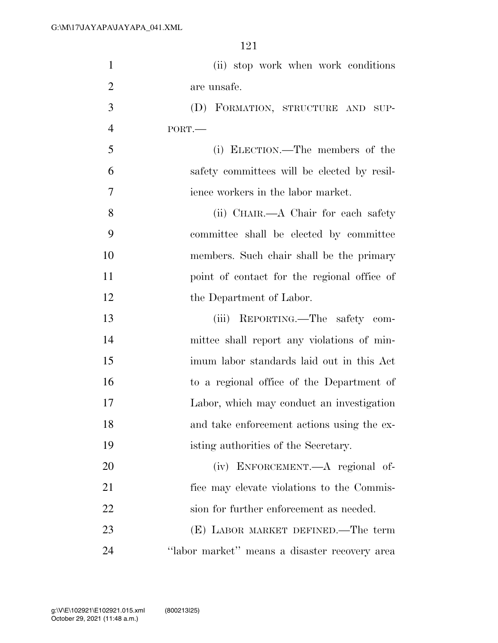| $\mathbf{1}$   | (ii) stop work when work conditions           |
|----------------|-----------------------------------------------|
| $\overline{2}$ | are unsafe.                                   |
| 3              | (D) FORMATION, STRUCTURE AND SUP-             |
| $\overline{4}$ | PORT.                                         |
| 5              | (i) ELECTION.—The members of the              |
| 6              | safety committees will be elected by resil-   |
| 7              | ience workers in the labor market.            |
| 8              | (ii) CHAIR.—A Chair for each safety           |
| 9              | committee shall be elected by committee       |
| 10             | members. Such chair shall be the primary      |
| 11             | point of contact for the regional office of   |
| 12             | the Department of Labor.                      |
| 13             | REPORTING.—The safety com-<br>(iii)           |
| 14             | mittee shall report any violations of min-    |
| 15             | imum labor standards laid out in this Act     |
| 16             | to a regional office of the Department of     |
| 17             | Labor, which may conduct an investigation     |
| 18             | and take enforcement actions using the ex-    |
| 19             | isting authorities of the Secretary.          |
| 20             | (iv) ENFORCEMENT.—A regional of-              |
| 21             | fice may elevate violations to the Commis-    |
| 22             | sion for further enforcement as needed.       |
| 23             | (E) LABOR MARKET DEFINED.—The term            |
| 24             | "labor market" means a disaster recovery area |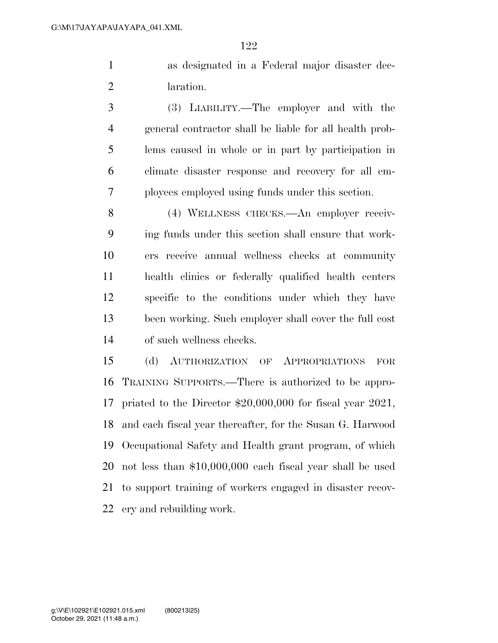as designated in a Federal major disaster dec-laration.

 (3) LIABILITY.—The employer and with the general contractor shall be liable for all health prob- lems caused in whole or in part by participation in climate disaster response and recovery for all em-ployees employed using funds under this section.

 (4) WELLNESS CHECKS.—An employer receiv- ing funds under this section shall ensure that work- ers receive annual wellness checks at community health clinics or federally qualified health centers specific to the conditions under which they have been working. Such employer shall cover the full cost of such wellness checks.

 (d) AUTHORIZATION OF APPROPRIATIONS FOR TRAINING SUPPORTS.—There is authorized to be appro- priated to the Director \$20,000,000 for fiscal year 2021, and each fiscal year thereafter, for the Susan G. Harwood Occupational Safety and Health grant program, of which not less than \$10,000,000 each fiscal year shall be used to support training of workers engaged in disaster recov-ery and rebuilding work.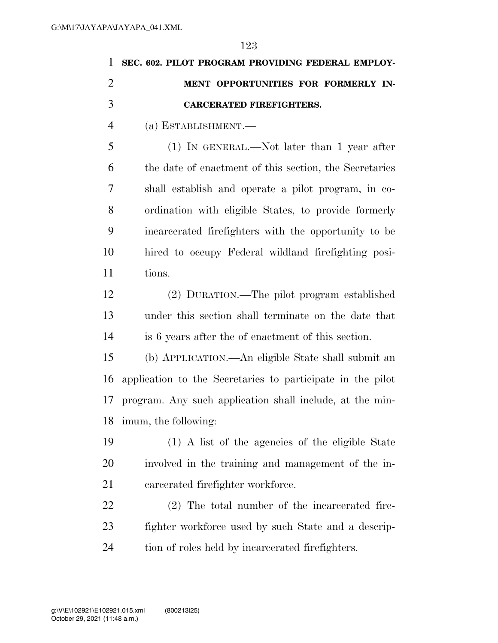| $\mathbf{1}$   | SEC. 602. PILOT PROGRAM PROVIDING FEDERAL EMPLOY-          |
|----------------|------------------------------------------------------------|
| $\overline{2}$ | MENT OPPORTUNITIES FOR FORMERLY IN-                        |
| 3              | <b>CARCERATED FIREFIGHTERS.</b>                            |
| $\overline{4}$ | (a) ESTABLISHMENT.-                                        |
| 5              | $(1)$ IN GENERAL.—Not later than 1 year after              |
| 6              | the date of enactment of this section, the Secretaries     |
| 7              | shall establish and operate a pilot program, in co-        |
| 8              | ordination with eligible States, to provide formerly       |
| 9              | incarcerated firefighters with the opportunity to be       |
| 10             | hired to occupy Federal wildland firefighting posi-        |
| 11             | tions.                                                     |
| 12             | (2) DURATION.—The pilot program established                |
| 13             | under this section shall terminate on the date that        |
| 14             | is 6 years after the of enactment of this section.         |
| 15             | (b) APPLICATION.—An eligible State shall submit an         |
| 16             | application to the Secretaries to participate in the pilot |
| 17             | program. Any such application shall include, at the min-   |
| 18             | imum, the following:                                       |
| 19             | (1) A list of the agencies of the eligible State           |
| 20             | involved in the training and management of the in-         |
| 21             | carcerated firefighter workforce.                          |
| 22             | $(2)$ The total number of the incarcerated fire-           |
| 23             | fighter workforce used by such State and a descrip-        |
| 24             | tion of roles held by incarcerated firefighters.           |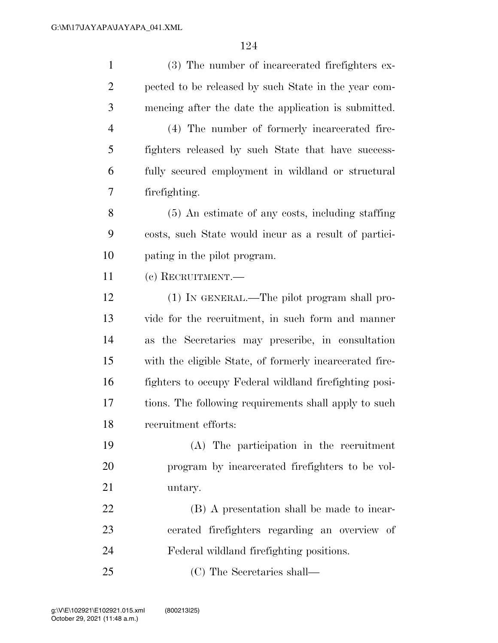(3) The number of incarcerated firefighters ex- pected to be released by such State in the year com- mencing after the date the application is submitted. (4) The number of formerly incarcerated fire- fighters released by such State that have success- fully secured employment in wildland or structural firefighting. (5) An estimate of any costs, including staffing costs, such State would incur as a result of partici- pating in the pilot program. (c) RECRUITMENT.— (1) IN GENERAL.—The pilot program shall pro- vide for the recruitment, in such form and manner as the Secretaries may prescribe, in consultation with the eligible State, of formerly incarcerated fire- fighters to occupy Federal wildland firefighting posi- tions. The following requirements shall apply to such recruitment efforts: (A) The participation in the recruitment program by incarcerated firefighters to be vol- untary. (B) A presentation shall be made to incar- cerated firefighters regarding an overview of Federal wildland firefighting positions. (C) The Secretaries shall—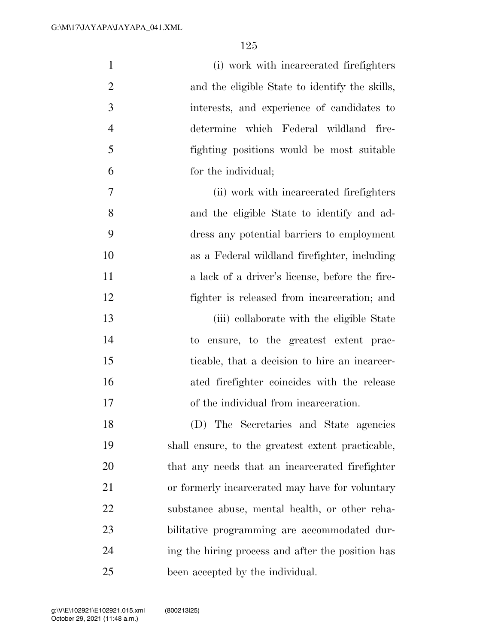| $\mathbf{1}$   | (i) work with incarcerated firefighters           |
|----------------|---------------------------------------------------|
| $\overline{2}$ | and the eligible State to identify the skills,    |
| 3              | interests, and experience of candidates to        |
| $\overline{4}$ | determine which Federal wildland fire-            |
| 5              | fighting positions would be most suitable         |
| 6              | for the individual;                               |
| 7              | (ii) work with incarcerated firefighters          |
| 8              | and the eligible State to identify and ad-        |
| 9              | dress any potential barriers to employment        |
| 10             | as a Federal wildland firefighter, including      |
| 11             | a lack of a driver's license, before the fire-    |
| 12             | fighter is released from incarceration; and       |
| 13             | (iii) collaborate with the eligible State         |
| 14             | to ensure, to the greatest extent prac-           |
| 15             | ticable, that a decision to hire an incarcer-     |
| 16             | ated firefighter coincides with the release       |
| 17             | of the individual from incarceration.             |
| 18             | (D) The Secretaries and State agencies            |
| 19             | shall ensure, to the greatest extent practicable, |
| 20             | that any needs that an incarcerated firefighter   |
| 21             | or formerly incarcerated may have for voluntary   |
| 22             | substance abuse, mental health, or other reha-    |
| 23             | bilitative programming are accommodated dur-      |
| 24             | ing the hiring process and after the position has |
| 25             | been accepted by the individual.                  |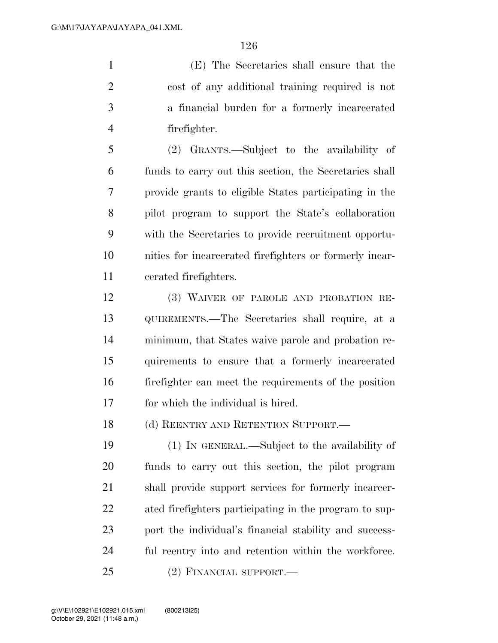(E) The Secretaries shall ensure that the cost of any additional training required is not a financial burden for a formerly incarcerated firefighter.

 (2) GRANTS.—Subject to the availability of funds to carry out this section, the Secretaries shall provide grants to eligible States participating in the pilot program to support the State's collaboration with the Secretaries to provide recruitment opportu- nities for incarcerated firefighters or formerly incar-cerated firefighters.

 (3) WAIVER OF PAROLE AND PROBATION RE- QUIREMENTS.—The Secretaries shall require, at a minimum, that States waive parole and probation re- quirements to ensure that a formerly incarcerated firefighter can meet the requirements of the position for which the individual is hired.

18 (d) REENTRY AND RETENTION SUPPORT.—

 (1) IN GENERAL.—Subject to the availability of funds to carry out this section, the pilot program shall provide support services for formerly incarcer- ated firefighters participating in the program to sup- port the individual's financial stability and success-ful reentry into and retention within the workforce.

(2) FINANCIAL SUPPORT.—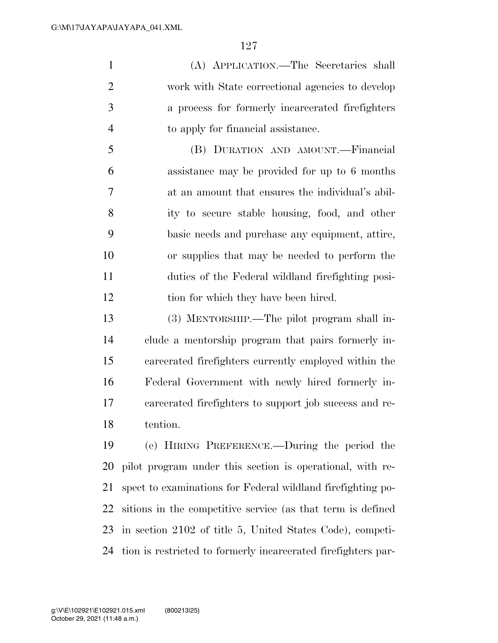(A) APPLICATION.—The Secretaries shall work with State correctional agencies to develop a process for formerly incarcerated firefighters to apply for financial assistance.

 (B) DURATION AND AMOUNT.—Financial assistance may be provided for up to 6 months at an amount that ensures the individual's abil- ity to secure stable housing, food, and other basic needs and purchase any equipment, attire, or supplies that may be needed to perform the duties of the Federal wildland firefighting posi-tion for which they have been hired.

 (3) MENTORSHIP.—The pilot program shall in- clude a mentorship program that pairs formerly in- carcerated firefighters currently employed within the Federal Government with newly hired formerly in- carcerated firefighters to support job success and re-tention.

 (e) HIRING PREFERENCE.—During the period the pilot program under this section is operational, with re- spect to examinations for Federal wildland firefighting po- sitions in the competitive service (as that term is defined in section 2102 of title 5, United States Code), competi-tion is restricted to formerly incarcerated firefighters par-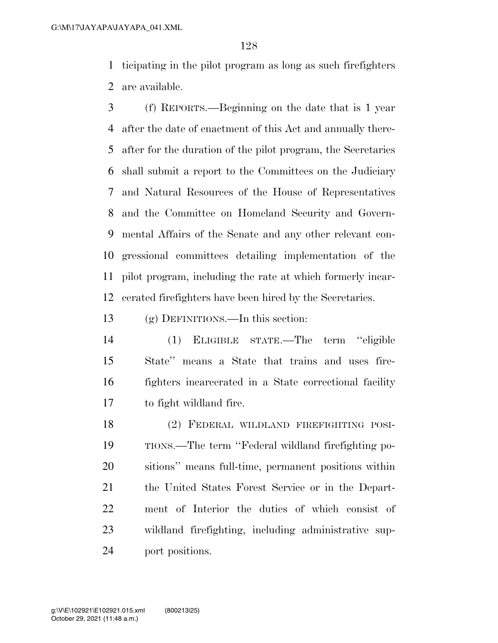ticipating in the pilot program as long as such firefighters are available.

 (f) REPORTS.—Beginning on the date that is 1 year after the date of enactment of this Act and annually there- after for the duration of the pilot program, the Secretaries shall submit a report to the Committees on the Judiciary and Natural Resources of the House of Representatives and the Committee on Homeland Security and Govern- mental Affairs of the Senate and any other relevant con- gressional committees detailing implementation of the pilot program, including the rate at which formerly incar-cerated firefighters have been hired by the Secretaries.

(g) DEFINITIONS.—In this section:

 (1) ELIGIBLE STATE.—The term ''eligible State'' means a State that trains and uses fire- fighters incarcerated in a State correctional facility to fight wildland fire.

 (2) FEDERAL WILDLAND FIREFIGHTING POSI- TIONS.—The term ''Federal wildland firefighting po- sitions'' means full-time, permanent positions within the United States Forest Service or in the Depart- ment of Interior the duties of which consist of wildland firefighting, including administrative sup-port positions.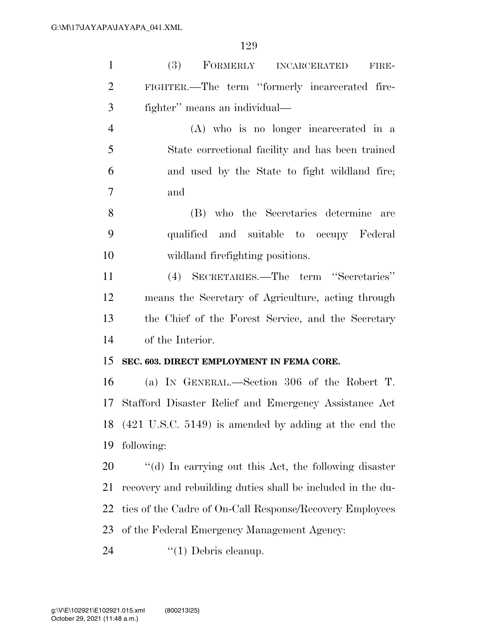| $\mathbf{1}$   | <b>(3)</b><br>FORMERLY INCARCERATED<br>FIRE-                |
|----------------|-------------------------------------------------------------|
| $\overline{2}$ | FIGHTER.—The term "formerly incarcerated fire-              |
| 3              | fighter" means an individual—                               |
| $\overline{4}$ | (A) who is no longer incarcerated in a                      |
| 5              | State correctional facility and has been trained            |
| 6              | and used by the State to fight wildland fire;               |
| 7              | and                                                         |
| 8              | (B) who the Secretaries determine<br>are                    |
| 9              | qualified and suitable to occupy Federal                    |
| 10             | wildland firefighting positions.                            |
| 11             | (4) SECRETARIES.—The term "Secretaries"                     |
| 12             | means the Secretary of Agriculture, acting through          |
| 13             | the Chief of the Forest Service, and the Secretary          |
| 14             | of the Interior.                                            |
| 15             | SEC. 603. DIRECT EMPLOYMENT IN FEMA CORE.                   |
| 16             | (a) IN GENERAL.—Section 306 of the Robert T.                |
| 17             | Stafford Disaster Relief and Emergency Assistance Act       |
|                | 18 (421 U.S.C. 5149) is amended by adding at the end the    |
| 19             | following:                                                  |
| 20             | "(d) In carrying out this Act, the following disaster       |
| 21             | recovery and rebuilding duties shall be included in the du- |
| 22             | ties of the Cadre of On-Call Response/Recovery Employees    |
| 23             | of the Federal Emergency Management Agency:                 |
| 24             | $\lq(1)$ Debris cleanup.                                    |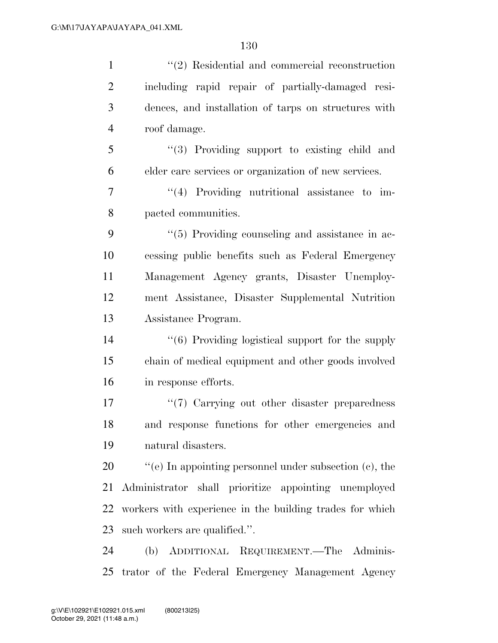| $\mathbf{1}$   | $\lq(2)$ Residential and commercial reconstruction               |
|----------------|------------------------------------------------------------------|
| $\overline{2}$ | including rapid repair of partially-damaged resi-                |
| 3              | dences, and installation of tarps on structures with             |
| $\overline{4}$ | roof damage.                                                     |
| 5              | "(3) Providing support to existing child and                     |
| 6              | elder care services or organization of new services.             |
| 7              | $\lq(4)$ Providing nutritional assistance to im-                 |
| 8              | pacted communities.                                              |
| 9              | $\lq(5)$ Providing counseling and assistance in ac-              |
| 10             | cessing public benefits such as Federal Emergency                |
| 11             | Management Agency grants, Disaster Unemploy-                     |
| 12             | ment Assistance, Disaster Supplemental Nutrition                 |
| 13             | Assistance Program.                                              |
| 14             | $\cdot\cdot\cdot(6)$ Providing logistical support for the supply |
| 15             | chain of medical equipment and other goods involved              |
| 16             | in response efforts.                                             |
| 17             | "(7) Carrying out other disaster preparedness                    |
| 18             | and response functions for other emergencies and                 |
| 19             | natural disasters.                                               |
| 20             | "(e) In appointing personnel under subsection $(c)$ , the        |
| 21             | Administrator shall prioritize appointing unemployed             |
| 22             | workers with experience in the building trades for which         |
| 23             | such workers are qualified.".                                    |
| 24             | (b) ADDITIONAL REQUIREMENT.—The Adminis-                         |
| 25             | trator of the Federal Emergency Management Agency                |